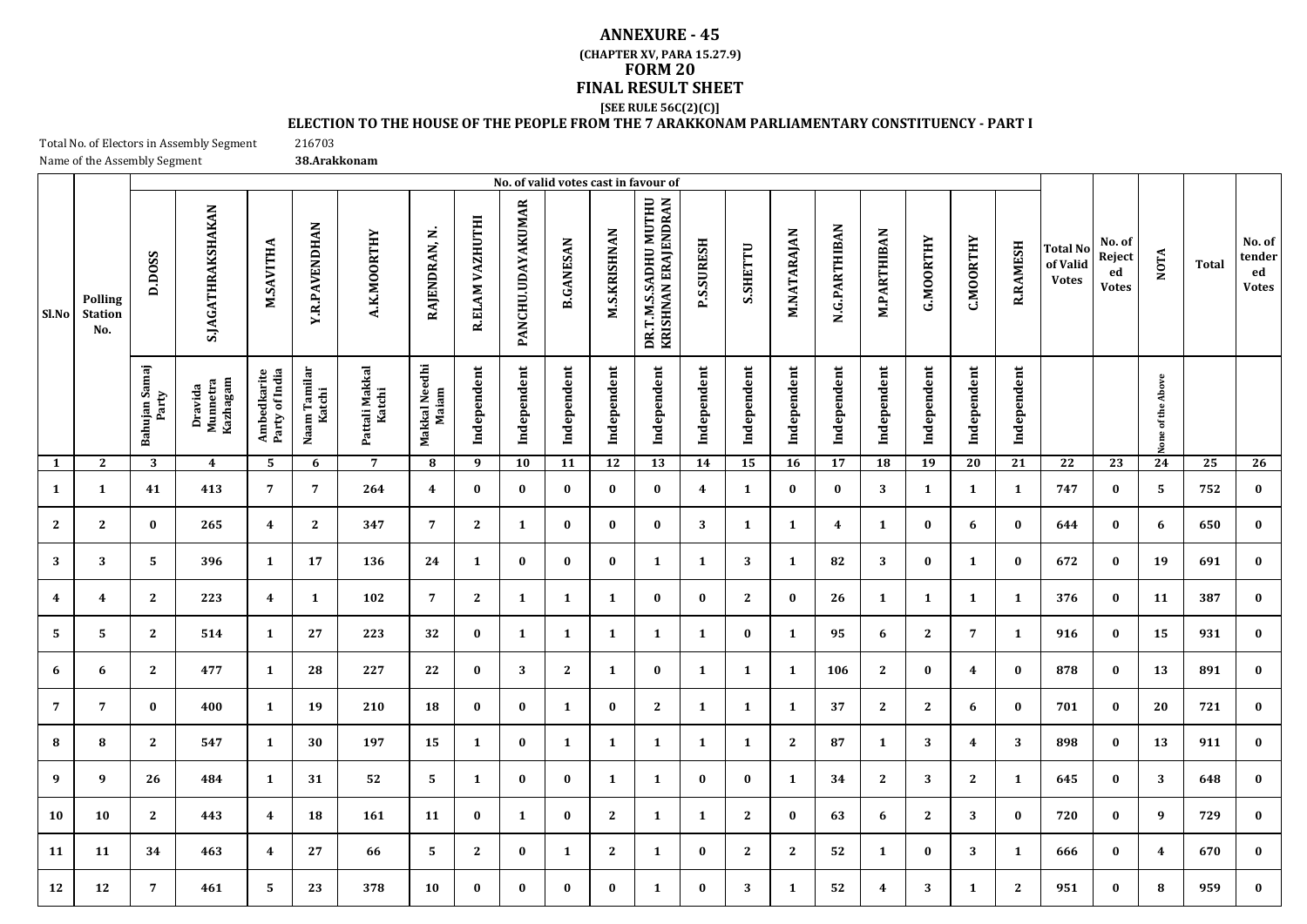## **FINAL RESULT SHEET ANNEXURE - 45 [SEE RULE 56C(2)(C)] (CHAPTER XV, PARA 15.27.9) FORM 20**

## **ELECTION TO THE HOUSE OF THE PEOPLE FROM THE 7 ARAKKONAM PARLIAMENTARY CONSTITUENCY - PART I**

Total No. of Electors in Assembly Segment Name of the Assembly Segment **38.Arakkonam**

216703

|                         |                                  |                        |                                 |                               |                        |                          |                        |                 |                   |                  |                     | No. of valid votes cast in favour of        |                   |                 |              |               |                    |              |                  |                 |                                      |                                        |                   |              |                                        |
|-------------------------|----------------------------------|------------------------|---------------------------------|-------------------------------|------------------------|--------------------------|------------------------|-----------------|-------------------|------------------|---------------------|---------------------------------------------|-------------------|-----------------|--------------|---------------|--------------------|--------------|------------------|-----------------|--------------------------------------|----------------------------------------|-------------------|--------------|----------------------------------------|
| Sl.No                   | Polling<br><b>Station</b><br>No. | D.DOSS                 | S.JAGATHRAKSHAKAN               | M.SAVITHA                     | <b>Y.R.PAVENDHAN</b>   | A.K.MOORTHY              | RAJENDRAN, N           | R.ELAM VAZHUTHI | PANCHU.UDAYAKUMAR | <b>B.GANESAN</b> | <b>M.S.KRISHNAN</b> | DR.T.M.S.SADHU MUTHU<br>KRISHNAN ERAJENDRAN | <b>P.S.SURESH</b> | <b>S.SHETTU</b> | M.NATARAJAN  | N.G.PARTHIBAN | <b>M.PARTHIBAN</b> | G.MOORTHY    | <b>C.MOORTHY</b> | <b>R.RAMESH</b> | Total No<br>of Valid<br><b>Votes</b> | No. of<br>Reject<br>ed<br><b>Votes</b> | <b>NOTA</b>       | <b>Total</b> | No. of<br>tender<br>ed<br><b>Votes</b> |
|                         |                                  | Bahujan Samaj<br>Party | Kazhagam<br>Munnetra<br>Dravida | Ambedkarite<br>Party of India | Naam Tamilar<br>Katchi | Pattali Makkal<br>Katchi | Makkal Needhi<br>Maiam | Independent     | Independent       | Independent      | Independent         | Independent                                 | Independent       | Independent     | Independent  | Independent   | Independent        | Independent  | Independent      | Independent     |                                      |                                        | None of the Above |              |                                        |
| $\mathbf{1}$            | $\mathbf{2}$                     | 3                      | $\boldsymbol{4}$                | 5                             | 6                      | $\overline{7}$           | 8                      | 9               | 10                | 11               | 12                  | $\overline{13}$                             | $\overline{14}$   | $\overline{15}$ | 16           | 17            | 18                 | 19           | 20               | $\overline{21}$ | $\overline{22}$                      | 23                                     | $\overline{24}$   | 25           | $\overline{26}$                        |
| $\mathbf{1}$            | $\mathbf{1}$                     | 41                     | 413                             | 7                             | $\overline{7}$         | 264                      | 4                      | $\bf{0}$        | $\bf{0}$          | $\bf{0}$         | $\bf{0}$            | $\bf{0}$                                    | 4                 | $\mathbf{1}$    | $\bf{0}$     | $\bf{0}$      | 3                  | 1            | 1                | 1               | 747                                  | $\bf{0}$                               | 5                 | 752          | $\bf{0}$                               |
| 2                       | $\mathbf{2}$                     | $\bf{0}$               | 265                             | $\overline{4}$                | $\mathbf{2}$           | 347                      | $\overline{7}$         | $\mathbf{2}$    | $\mathbf{1}$      | $\bf{0}$         | $\bf{0}$            | $\bf{0}$                                    | 3                 | 1               | 1            | 4             | 1                  | 0            | 6                | $\bf{0}$        | 644                                  | $\bf{0}$                               | 6                 | 650          | $\bf{0}$                               |
| 3                       | 3                                | 5                      | 396                             | 1                             | 17                     | 136                      | 24                     | 1               | $\bf{0}$          | $\bf{0}$         | $\bf{0}$            | 1                                           | 1                 | 3               | 1            | 82            | 3                  | $\bf{0}$     | 1                | $\bf{0}$        | 672                                  | $\bf{0}$                               | 19                | 691          | $\bf{0}$                               |
| $\overline{\mathbf{4}}$ | 4                                | $\mathbf{2}$           | 223                             | $\boldsymbol{4}$              | $\mathbf{1}$           | 102                      | $\overline{7}$         | $\mathbf{2}$    | $\mathbf{1}$      | $\mathbf{1}$     | 1                   | $\bf{0}$                                    | $\bf{0}$          | $\mathbf{2}$    | $\bf{0}$     | 26            | 1                  | $\mathbf{1}$ | 1                | $\mathbf{1}$    | 376                                  | $\bf{0}$                               | 11                | 387          | $\bf{0}$                               |
| 5                       | 5                                | $\mathbf{2}$           | 514                             | 1                             | 27                     | 223                      | 32                     | $\bf{0}$        | $\mathbf{1}$      | $\mathbf{1}$     | 1                   | $\mathbf{1}$                                | 1                 | $\bf{0}$        | 1            | 95            | 6                  | $\mathbf{2}$ | $\overline{7}$   | $\mathbf{1}$    | 916                                  | $\bf{0}$                               | 15                | 931          | $\bf{0}$                               |
| 6                       | 6                                | $\mathbf{2}$           | 477                             | 1                             | 28                     | 227                      | 22                     | $\bf{0}$        | 3                 | $\mathbf{2}$     | 1                   | $\bf{0}$                                    | 1                 | $\mathbf{1}$    | 1            | 106           | $\bf{2}$           | $\bf{0}$     | $\boldsymbol{4}$ | $\bf{0}$        | 878                                  | $\bf{0}$                               | 13                | 891          | $\bf{0}$                               |
| $\overline{7}$          | $\overline{7}$                   | $\bf{0}$               | 400                             | 1                             | 19                     | 210                      | 18                     | $\bf{0}$        | $\bf{0}$          | 1                | $\bf{0}$            | $\mathbf{2}$                                | 1                 | 1               | 1            | 37            | $\mathbf{2}$       | $\mathbf{2}$ | 6                | $\bf{0}$        | 701                                  | $\bf{0}$                               | 20                | 721          | $\bf{0}$                               |
| 8                       | 8                                | $\mathbf{2}$           | 547                             | 1                             | 30                     | 197                      | 15                     | 1               | $\bf{0}$          | 1                | 1                   | 1                                           | 1                 | 1               | $\mathbf{2}$ | 87            | 1                  | 3            | $\overline{4}$   | 3               | 898                                  | $\bf{0}$                               | 13                | 911          | $\bf{0}$                               |
| 9                       | 9                                | 26                     | 484                             | 1                             | 31                     | 52                       | 5                      | 1               | $\bf{0}$          | $\bf{0}$         | 1                   | 1                                           | 0                 | $\bf{0}$        | 1            | 34            | 2                  | 3            | 2                | 1               | 645                                  | $\bf{0}$                               | 3                 | 648          | $\bf{0}$                               |
| 10                      | 10                               | $\mathbf{2}$           | 443                             | $\overline{\mathbf{4}}$       | 18                     | 161                      | 11                     | $\bf{0}$        | $\mathbf{1}$      | $\bf{0}$         | $\mathbf{2}$        | 1                                           | 1                 | $\mathbf{2}$    | $\bf{0}$     | 63            | 6                  | $\mathbf{2}$ | 3                | $\bf{0}$        | 720                                  | $\bf{0}$                               | 9                 | 729          | $\bf{0}$                               |
| 11                      | 11                               | 34                     | 463                             | $\overline{4}$                | 27                     | 66                       | 5                      | $\mathbf{2}$    | $\bf{0}$          | $\mathbf{1}$     | 2                   | 1                                           | $\bf{0}$          | $\mathbf{2}$    | $\mathbf{2}$ | 52            | 1                  | $\bf{0}$     | 3                | $\mathbf{1}$    | 666                                  | $\bf{0}$                               | 4                 | 670          | $\bf{0}$                               |
| 12                      | 12                               | 7                      | 461                             | 5                             | 23                     | 378                      | 10                     | $\bf{0}$        | $\bf{0}$          | $\bf{0}$         | $\bf{0}$            | $\mathbf{1}$                                | 0                 | 3               | 1            | 52            | 4                  | 3            | $\mathbf{1}$     | $\mathbf{2}$    | 951                                  | $\bf{0}$                               | 8                 | 959          | $\bf{0}$                               |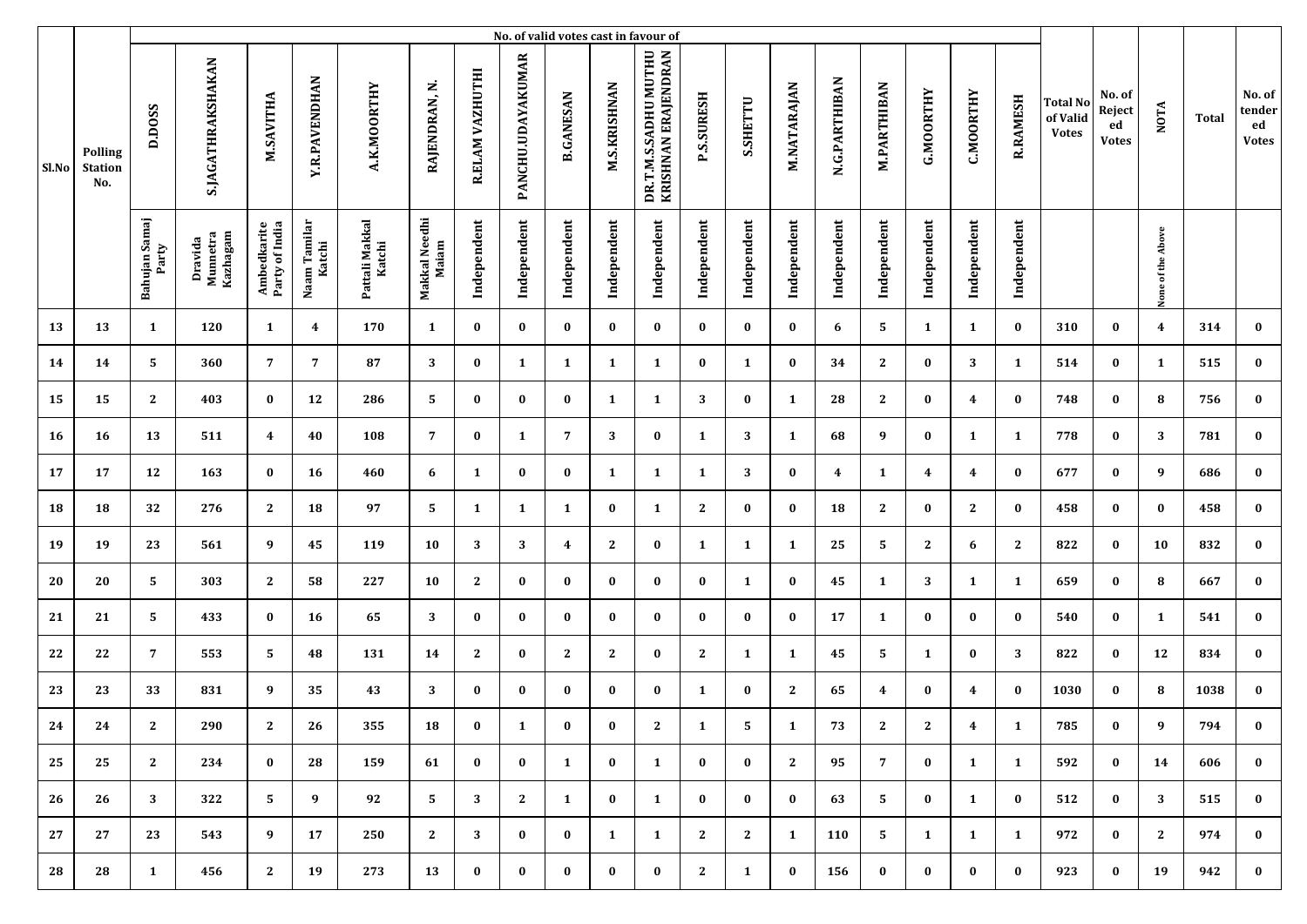|       |                                         |                        |                                 |                               |                        |                          |                        |                 |                   |                  |                     | No. of valid votes cast in favour of        |                   |              |              |               |                    |              |                  |                 |                                             |                                        |                   |       |                                        |
|-------|-----------------------------------------|------------------------|---------------------------------|-------------------------------|------------------------|--------------------------|------------------------|-----------------|-------------------|------------------|---------------------|---------------------------------------------|-------------------|--------------|--------------|---------------|--------------------|--------------|------------------|-----------------|---------------------------------------------|----------------------------------------|-------------------|-------|----------------------------------------|
| Sl.No | <b>Polling</b><br><b>Station</b><br>No. | D.DOSS                 | <b>S.JAGATHRAKSHAKAN</b>        | M.SAVITHA                     | <b>Y.R.PAVENDHAN</b>   | A.K.MOORTHY              | RAJENDRAN, N.          | R.ELAM VAZHUTHI | PANCHU.UDAYAKUMAR | <b>B.GANESAN</b> | <b>M.S.KRISHNAN</b> | DR.T.M.S.SADHU MUTHU<br>KRISHNAN ERAJENDRAN | <b>P.S.SURESH</b> | S.SHETTU     | M.NATARAJAN  | N.G.PARTHIBAN | <b>M.PARTHIBAN</b> | G.MOORTHY    | <b>C.MOORTHY</b> | <b>R.RAMESH</b> | <b>Total No</b><br>of Valid<br><b>Votes</b> | No. of<br>Reject<br>ed<br><b>Votes</b> | <b>NOTA</b>       | Total | No. of<br>tender<br>ed<br><b>Votes</b> |
|       |                                         | Bahujan Samaj<br>Party | Kazhagam<br>Dravida<br>Munnetra | Ambedkarite<br>Party of India | Naam Tamilar<br>Katchi | Pattali Makkal<br>Katchi | Makkal Needhi<br>Maiam | Independent     | Independent       | Independent      | Independent         | Independent                                 | Independent       | Independent  | Independent  | Independent   | Independent        | Independent  | Independent      | Independent     |                                             |                                        | None of the Above |       |                                        |
| 13    | 13                                      | 1                      | 120                             | $\mathbf{1}$                  | 4                      | 170                      | 1                      | $\bf{0}$        | $\bf{0}$          | $\bf{0}$         | $\bf{0}$            | $\bf{0}$                                    | $\bf{0}$          | $\bf{0}$     | $\bf{0}$     | 6             | 5                  | 1            | $\mathbf{1}$     | $\bf{0}$        | 310                                         | $\bf{0}$                               | $\overline{4}$    | 314   | $\bf{0}$                               |
| 14    | 14                                      | 5                      | 360                             | $\overline{7}$                | $\overline{7}$         | 87                       | 3                      | $\bf{0}$        | 1                 | 1                | 1                   | 1                                           | $\bf{0}$          | 1            | $\bf{0}$     | 34            | $\mathbf{2}$       | $\bf{0}$     | 3                | $\mathbf{1}$    | 514                                         | $\bf{0}$                               | 1                 | 515   | $\bf{0}$                               |
| 15    | 15                                      | $\mathbf{2}$           | 403                             | $\bf{0}$                      | 12                     | 286                      | 5                      | $\bf{0}$        | $\bf{0}$          | $\bf{0}$         | 1                   | 1                                           | 3                 | $\bf{0}$     | 1            | 28            | $\mathbf{2}$       | $\bf{0}$     | 4                | $\bf{0}$        | 748                                         | $\bf{0}$                               | 8                 | 756   | $\bf{0}$                               |
| 16    | 16                                      | 13                     | 511                             | $\overline{\mathbf{4}}$       | 40                     | 108                      | 7                      | $\bf{0}$        | 1                 | 7                | 3                   | $\bf{0}$                                    | 1                 | 3            | 1            | 68            | 9                  | $\bf{0}$     | $\mathbf{1}$     | 1               | 778                                         | $\bf{0}$                               | 3                 | 781   | $\bf{0}$                               |
| 17    | 17                                      | 12                     | 163                             | $\bf{0}$                      | 16                     | 460                      | 6                      | 1               | $\bf{0}$          | $\bf{0}$         | $\mathbf{1}$        | 1                                           | 1                 | 3            | $\bf{0}$     | 4             | 1                  | 4            | 4                | $\bf{0}$        | 677                                         | $\bf{0}$                               | 9                 | 686   | $\bf{0}$                               |
| 18    | 18                                      | 32                     | 276                             | 2                             | 18                     | 97                       | 5                      | 1               | $\mathbf{1}$      | $\mathbf{1}$     | $\bf{0}$            | 1                                           | $\mathbf{2}$      | $\bf{0}$     | $\bf{0}$     | 18            | $\mathbf{2}$       | $\bf{0}$     | $\mathbf{2}$     | $\bf{0}$        | 458                                         | $\bf{0}$                               | $\bf{0}$          | 458   | $\bf{0}$                               |
| 19    | 19                                      | 23                     | 561                             | 9                             | 45                     | 119                      | 10                     | 3               | 3                 | 4                | $\mathbf{2}$        | $\bf{0}$                                    | 1                 | $\mathbf{1}$ | 1            | 25            | 5                  | $\mathbf{2}$ | 6                | $\mathbf{2}$    | 822                                         | $\bf{0}$                               | 10                | 832   | $\bf{0}$                               |
| 20    | 20                                      | 5                      | 303                             | $\mathbf{2}$                  | 58                     | 227                      | 10                     | 2               | $\bf{0}$          | $\bf{0}$         | $\bf{0}$            | $\bf{0}$                                    | $\bf{0}$          | 1            | $\bf{0}$     | 45            | 1                  | 3            | $\mathbf{1}$     | 1               | 659                                         | 0                                      | 8                 | 667   | $\bf{0}$                               |
| 21    | 21                                      | 5                      | 433                             | $\bf{0}$                      | 16                     | 65                       | 3                      | $\bf{0}$        | $\bf{0}$          | $\bf{0}$         | $\bf{0}$            | $\bf{0}$                                    | $\bf{0}$          | $\bf{0}$     | $\bf{0}$     | 17            | 1                  | $\bf{0}$     | $\bf{0}$         | $\bf{0}$        | 540                                         | $\bf{0}$                               | 1                 | 541   | $\bf{0}$                               |
| 22    | 22                                      | 7                      | 553                             | 5                             | 48                     | 131                      | 14                     | $\mathbf{2}$    | $\bf{0}$          | 2                | $\mathbf{2}$        | $\bf{0}$                                    | $\mathbf{2}$      | 1            | 1            | 45            | 5.                 | 1            | $\bf{0}$         | 3               | 822                                         | $\bf{0}$                               | 12                | 834   | $\bf{0}$                               |
| 23    | 23                                      | 33                     | 831                             | 9                             | 35                     | 43                       | 3                      | $\bf{0}$        | $\bf{0}$          | $\bf{0}$         | $\bf{0}$            | $\bf{0}$                                    | 1                 | $\bf{0}$     | $\mathbf{2}$ | 65            | 4                  | $\bf{0}$     | 4                | $\bf{0}$        | 1030                                        | $\bf{0}$                               | 8                 | 1038  | $\bf{0}$                               |
| 24    | 24                                      | 2                      | 290                             | 2                             | 26                     | 355                      | 18                     | $\bf{0}$        | 1                 | $\bf{0}$         | $\bf{0}$            | 2                                           | 1                 | 5            | 1            | 73            | 2                  | $\mathbf{2}$ | 4                | 1               | 785                                         | $\bf{0}$                               | 9                 | 794   | $\bf{0}$                               |
| 25    | 25                                      | $\mathbf{2}$           | 234                             | $\bf{0}$                      | 28                     | 159                      | 61                     | $\bf{0}$        | $\bf{0}$          | $\mathbf{1}$     | $\bf{0}$            | 1                                           | $\bf{0}$          | $\bf{0}$     | 2            | 95            | $\overline{7}$     | $\bf{0}$     | 1                | $\mathbf{1}$    | 592                                         | $\bf{0}$                               | 14                | 606   | $\bf{0}$                               |
| 26    | 26                                      | 3                      | 322                             | 5                             | 9                      | 92                       | 5                      | 3               | $\mathbf{2}$      | $\mathbf{1}$     | $\bf{0}$            | 1                                           | $\bf{0}$          | $\bf{0}$     | $\bf{0}$     | 63            | 5                  | $\bf{0}$     | 1                | $\bf{0}$        | 512                                         | $\bf{0}$                               | 3                 | 515   | $\bf{0}$                               |
| 27    | 27                                      | 23                     | 543                             | 9                             | 17                     | 250                      | 2                      | 3               | $\bf{0}$          | $\bf{0}$         | 1                   | 1                                           | $\mathbf{2}$      | $\mathbf{2}$ | 1            | 110           | 5                  | 1            | 1                | $\mathbf{1}$    | 972                                         | $\bf{0}$                               | $\mathbf{2}$      | 974   | $\bf{0}$                               |
| 28    | 28                                      | $\mathbf{1}$           | 456                             | 2                             | 19                     | 273                      | 13                     | $\bf{0}$        | $\bf{0}$          | $\bf{0}$         | $\bf{0}$            | $\bf{0}$                                    | $\mathbf{2}$      | $\mathbf{1}$ | $\bf{0}$     | 156           | $\bf{0}$           | $\bf{0}$     | $\bf{0}$         | $\bf{0}$        | 923                                         | $\bf{0}$                               | 19                | 942   | $\bf{0}$                               |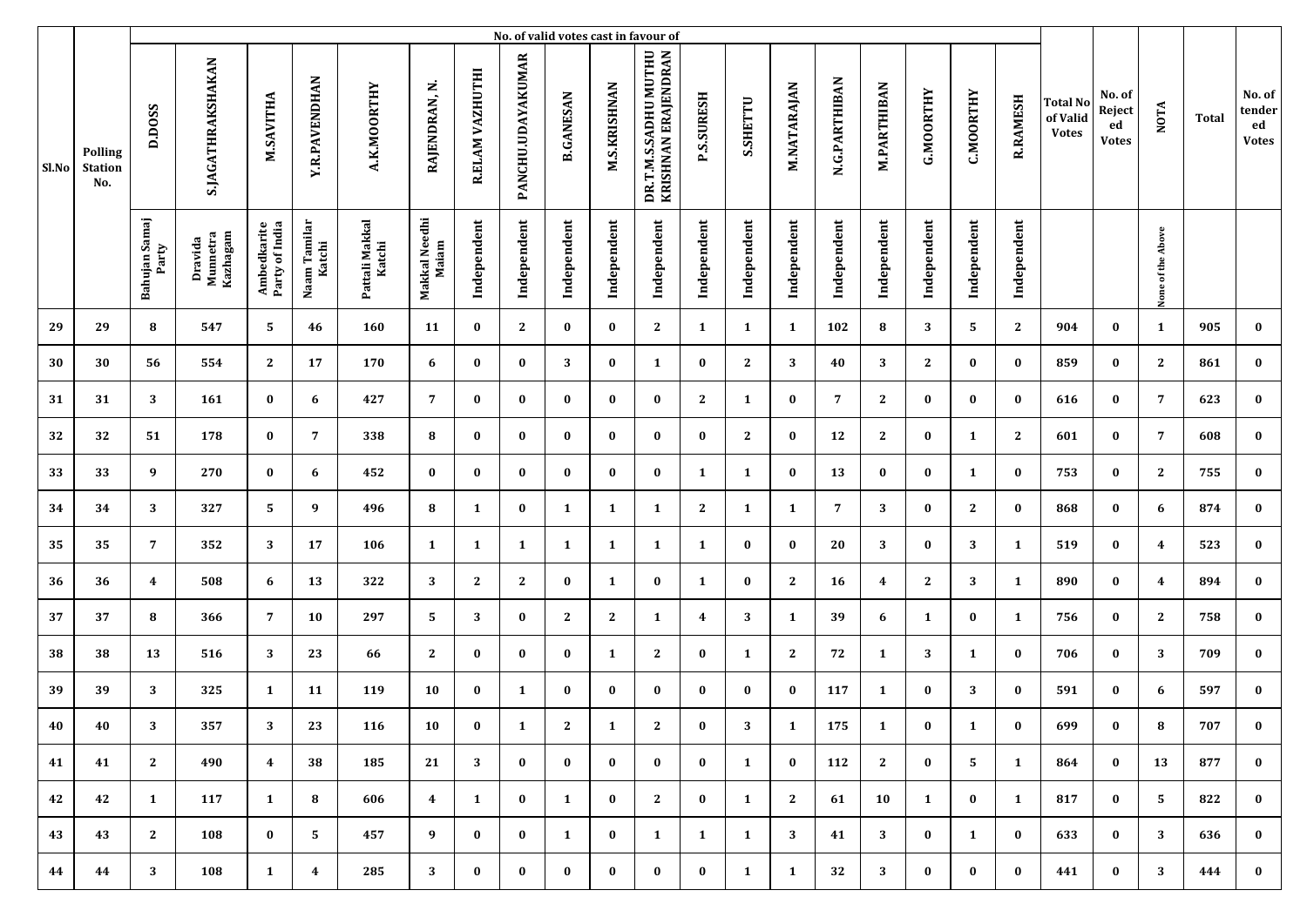|       |                                         |                        |                                 |                               |                         |                          |                        |                 |                   |                  |                     | No. of valid votes cast in favour of        |                         |              |              |               |                    |              |                  |                 |                                             |                                        |                   |       |                                        |
|-------|-----------------------------------------|------------------------|---------------------------------|-------------------------------|-------------------------|--------------------------|------------------------|-----------------|-------------------|------------------|---------------------|---------------------------------------------|-------------------------|--------------|--------------|---------------|--------------------|--------------|------------------|-----------------|---------------------------------------------|----------------------------------------|-------------------|-------|----------------------------------------|
| Sl.No | <b>Polling</b><br><b>Station</b><br>No. | D.DOSS                 | S.JAGATHRAKSHAKAN               | M.SAVITHA                     | <b>Y.R.PAVENDHAN</b>    | A.K.MOORTHY              | RAJENDRAN, N.          | R.ELAM VAZHUTHI | PANCHU.UDAYAKUMAR | <b>B.GANESAN</b> | <b>M.S.KRISHNAN</b> | DR.T.M.S.SADHU MUTHU<br>KRISHNAN ERAJENDRAN | <b>P.S.SURESH</b>       | S.SHETTU     | M.NATARAJAN  | N.G.PARTHIBAN | <b>M.PARTHIBAN</b> | G.MOORTHY    | <b>C.MOORTHY</b> | <b>R.RAMESH</b> | <b>Total No</b><br>of Valid<br><b>Votes</b> | No. of<br>Reject<br>ed<br><b>Votes</b> | <b>NOTA</b>       | Total | No. of<br>tender<br>ed<br><b>Votes</b> |
|       |                                         | Bahujan Samaj<br>Party | Kazhagam<br>Dravida<br>Munnetra | Ambedkarite<br>Party of India | Naam Tamilar<br>Katchi  | Pattali Makkal<br>Katchi | Makkal Needhi<br>Maiam | Independent     | Independent       | Independent      | Independent         | Independent                                 | Independent             | Independent  | Independent  | Independent   | Independent        | Independent  | Independent      | Independent     |                                             |                                        | None of the Above |       |                                        |
| 29    | 29                                      | 8                      | 547                             | 5                             | 46                      | 160                      | 11                     | $\bf{0}$        | $\mathbf{2}$      | $\bf{0}$         | $\bf{0}$            | $\mathbf{2}$                                | 1                       | $\mathbf{1}$ | 1            | 102           | 8                  | 3            | 5                | $\mathbf{2}$    | 904                                         | $\bf{0}$                               | 1                 | 905   | $\bf{0}$                               |
| 30    | 30                                      | 56                     | 554                             | $\mathbf{2}$                  | 17                      | 170                      | 6                      | $\bf{0}$        | $\bf{0}$          | 3                | $\bf{0}$            | 1                                           | $\bf{0}$                | $\mathbf{2}$ | 3            | 40            | 3                  | $\mathbf{2}$ | $\bf{0}$         | $\bf{0}$        | 859                                         | $\bf{0}$                               | $\mathbf{2}$      | 861   | $\bf{0}$                               |
| 31    | 31                                      | 3                      | 161                             | $\bf{0}$                      | 6                       | 427                      | 7                      | $\bf{0}$        | $\bf{0}$          | $\bf{0}$         | $\bf{0}$            | $\bf{0}$                                    | 2                       | 1            | $\bf{0}$     | 7             | $\mathbf{2}$       | $\bf{0}$     | $\bf{0}$         | $\bf{0}$        | 616                                         | $\bf{0}$                               | 7                 | 623   | $\bf{0}$                               |
| 32    | 32                                      | 51                     | 178                             | $\bf{0}$                      | 7                       | 338                      | 8                      | $\bf{0}$        | $\bf{0}$          | $\bf{0}$         | $\bf{0}$            | $\bf{0}$                                    | $\bf{0}$                | $\mathbf{2}$ | $\bf{0}$     | 12            | $\mathbf{2}$       | $\bf{0}$     | $\mathbf{1}$     | $\mathbf{2}$    | 601                                         | $\bf{0}$                               | 7                 | 608   | $\bf{0}$                               |
| 33    | 33                                      | 9                      | 270                             | $\bf{0}$                      | 6                       | 452                      | $\bf{0}$               | $\bf{0}$        | $\bf{0}$          | $\bf{0}$         | $\bf{0}$            | $\bf{0}$                                    | 1                       | $\mathbf{1}$ | $\bf{0}$     | 13            | $\bf{0}$           | $\bf{0}$     | 1                | $\bf{0}$        | 753                                         | $\bf{0}$                               | $\mathbf{2}$      | 755   | $\bf{0}$                               |
| 34    | 34                                      | 3                      | 327                             | 5                             | 9                       | 496                      | 8                      | 1               | $\bf{0}$          | $\mathbf{1}$     | 1                   | 1                                           | $\mathbf{2}$            | $\mathbf{1}$ | 1            | 7             | 3                  | $\bf{0}$     | $\mathbf{2}$     | $\bf{0}$        | 868                                         | $\bf{0}$                               | 6                 | 874   | $\bf{0}$                               |
| 35    | 35                                      | 7                      | 352                             | 3                             | 17                      | 106                      | 1                      | 1               | 1                 | 1                | 1                   | 1                                           | $\mathbf{1}$            | $\bf{0}$     | $\bf{0}$     | 20            | 3                  | $\bf{0}$     | 3                | 1               | 519                                         | $\bf{0}$                               | 4                 | 523   | $\bf{0}$                               |
| 36    | 36                                      | $\boldsymbol{4}$       | 508                             | 6                             | 13                      | 322                      | 3                      | 2               | $\mathbf{2}$      | $\bf{0}$         | 1                   | $\bf{0}$                                    | 1                       | $\bf{0}$     | $\mathbf{2}$ | 16            | 4                  | $\mathbf{2}$ | 3                | $\mathbf{1}$    | 890                                         | $\bf{0}$                               | 4                 | 894   | $\bf{0}$                               |
| 37    | 37                                      | 8                      | 366                             | $\overline{7}$                | 10                      | 297                      | 5                      | 3               | $\bf{0}$          | 2                | $\mathbf{2}$        | 1                                           | $\overline{\mathbf{4}}$ | 3            | 1            | 39            | 6                  | 1            | $\bf{0}$         | 1               | 756                                         | $\bf{0}$                               | 2                 | 758   | $\bf{0}$                               |
| 38    | 38                                      | 13                     | 516                             | 3                             | 23                      | 66                       | $\mathbf{2}$           | $\bf{0}$        | $\bf{0}$          | $\bf{0}$         | 1                   | $\mathbf{2}$                                | $\bf{0}$                | 1            | $\mathbf{2}$ | 72            | 1                  | 3            | $\mathbf{1}$     | $\bf{0}$        | 706                                         | $\bf{0}$                               | 3                 | 709   | $\bf{0}$                               |
| 39    | 39                                      | 3                      | 325                             | 1                             | 11                      | 119                      | 10                     | $\bf{0}$        | 1                 | $\bf{0}$         | $\bf{0}$            | $\bf{0}$                                    | $\bf{0}$                | $\bf{0}$     | $\bf{0}$     | 117           | 1                  | $\bf{0}$     | 3                | $\bf{0}$        | 591                                         | $\bf{0}$                               | 6                 | 597   | $\bf{0}$                               |
| 40    | 40                                      | 3                      | 357                             | 3                             | 23                      | 116                      | 10                     | $\bf{0}$        | 1                 | 2                | 1                   | 2                                           | $\bf{0}$                | 3            | 1            | 175           | 1                  | $\bf{0}$     | 1                | $\bf{0}$        | 699                                         | $\bf{0}$                               | 8                 | 707   | $\bf{0}$                               |
| 41    | 41                                      | $\mathbf{2}$           | 490                             | $\overline{4}$                | 38                      | 185                      | 21                     | 3               | $\bf{0}$          | $\bf{0}$         | $\bf{0}$            | $\bf{0}$                                    | $\bf{0}$                | <b>1</b>     | $\bf{0}$     | 112           | 2                  | $\bf{0}$     | 5                | $\mathbf{1}$    | 864                                         | $\bf{0}$                               | 13                | 877   | $\bf{0}$                               |
| 42    | 42                                      | $\mathbf{1}$           | 117                             | $\mathbf{1}$                  | 8                       | 606                      | $\overline{4}$         | 1               | $\bf{0}$          | $\mathbf{1}$     | $\bf{0}$            | 2                                           | $\bf{0}$                | $\mathbf{1}$ | 2            | 61            | 10                 | 1            | $\bf{0}$         | $\mathbf{1}$    | 817                                         | $\bf{0}$                               | 5                 | 822   | $\bf{0}$                               |
| 43    | 43                                      | $\mathbf{2}$           | 108                             | $\bf{0}$                      | 5                       | 457                      | 9                      | $\bf{0}$        | $\bf{0}$          | 1                | $\bf{0}$            | 1                                           | $\mathbf{1}$            | $\mathbf{1}$ | 3            | 41            | 3                  | $\bf{0}$     | 1                | $\bf{0}$        | 633                                         | $\bf{0}$                               | 3                 | 636   | $\bf{0}$                               |
| 44    | 44                                      | 3                      | 108                             | $\mathbf{1}$                  | $\overline{\mathbf{4}}$ | 285                      | 3                      | $\bf{0}$        | $\bf{0}$          | $\bf{0}$         | $\bf{0}$            | $\bf{0}$                                    | $\bf{0}$                | $\mathbf{1}$ | 1            | 32            | 3                  | $\bf{0}$     | $\bf{0}$         | $\bf{0}$        | 441                                         | $\bf{0}$                               | 3                 | 444   | $\bf{0}$                               |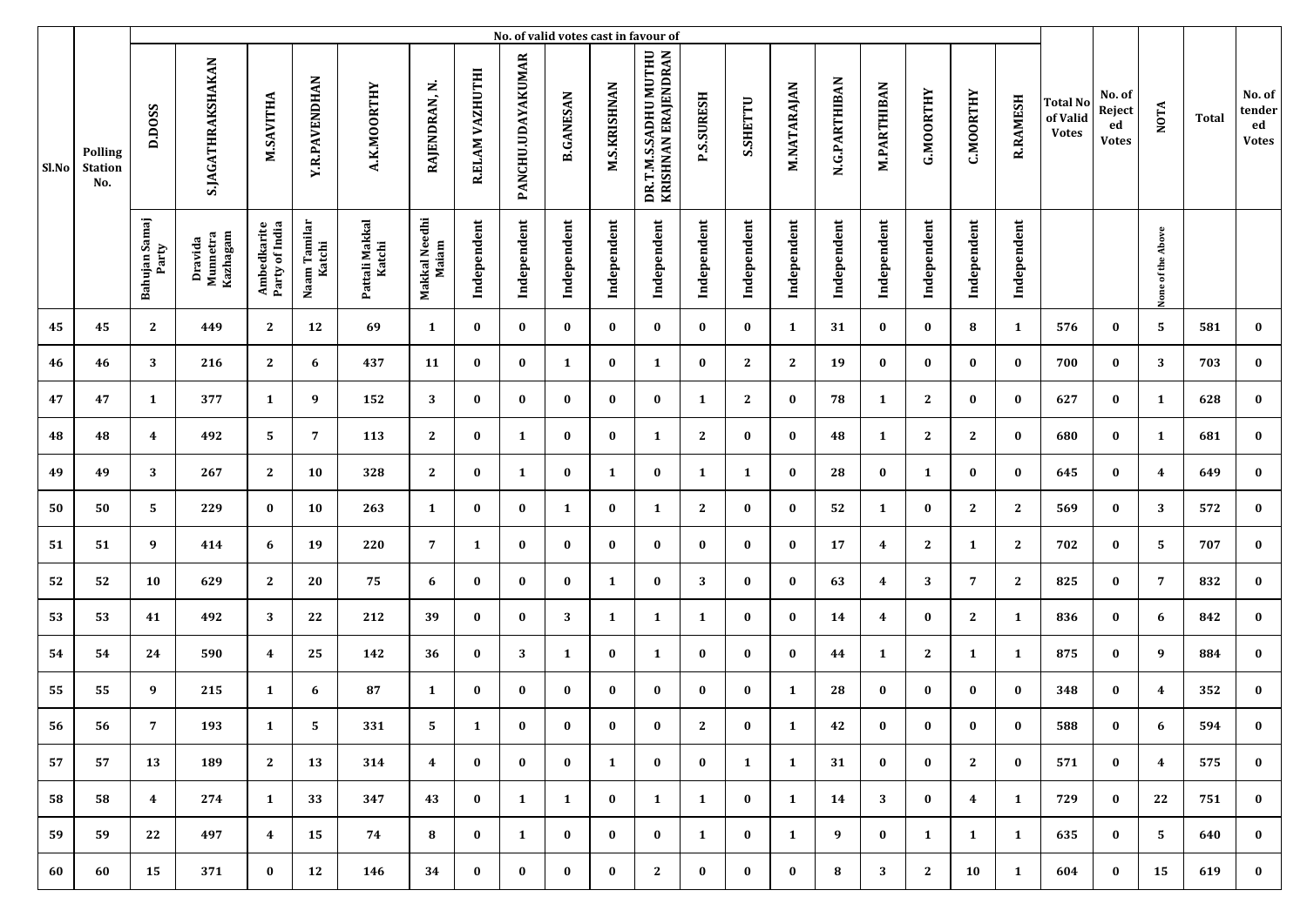|       |                                         |                         |                                 |                               |                        |                          |                        |                 |                   |                  |                     | No. of valid votes cast in favour of        |                   |              |              |               |                    |              |                  |                 |                                             |                                        |                   |       |                                        |
|-------|-----------------------------------------|-------------------------|---------------------------------|-------------------------------|------------------------|--------------------------|------------------------|-----------------|-------------------|------------------|---------------------|---------------------------------------------|-------------------|--------------|--------------|---------------|--------------------|--------------|------------------|-----------------|---------------------------------------------|----------------------------------------|-------------------|-------|----------------------------------------|
| Sl.No | <b>Polling</b><br><b>Station</b><br>No. | D.DOSS                  | S.JAGATHRAKSHAKAN               | M.SAVITHA                     | <b>Y.R.PAVENDHAN</b>   | A.K.MOORTHY              | RAJENDRAN, N.          | R.ELAM VAZHUTHI | PANCHU.UDAYAKUMAR | <b>B.GANESAN</b> | <b>M.S.KRISHNAN</b> | DR.T.M.S.SADHU MUTHU<br>KRISHNAN ERAJENDRAN | <b>P.S.SURESH</b> | S.SHETTU     | M.NATARAJAN  | N.G.PARTHIBAN | <b>M.PARTHIBAN</b> | G.MOORTHY    | <b>C.MOORTHY</b> | <b>R.RAMESH</b> | <b>Total No</b><br>of Valid<br><b>Votes</b> | No. of<br>Reject<br>ed<br><b>Votes</b> | <b>NOTA</b>       | Total | No. of<br>tender<br>ed<br><b>Votes</b> |
|       |                                         | Bahujan Samaj<br>Party  | Kazhagam<br>Dravida<br>Munnetra | Ambedkarite<br>Party of India | Naam Tamilar<br>Katchi | Pattali Makkal<br>Katchi | Makkal Needhi<br>Maiam | Independent     | Independent       | Independent      | Independent         | Independent                                 | Independent       | Independent  | Independent  | Independent   | Independent        | Independent  | Independent      | Independent     |                                             |                                        | None of the Above |       |                                        |
| 45    | 45                                      | 2                       | 449                             | 2                             | 12                     | 69                       | 1                      | $\bf{0}$        | $\bf{0}$          | $\bf{0}$         | $\bf{0}$            | $\bf{0}$                                    | $\bf{0}$          | $\bf{0}$     | 1            | 31            | $\bf{0}$           | $\bf{0}$     | 8                | 1               | 576                                         | $\bf{0}$                               | 5                 | 581   | $\bf{0}$                               |
| 46    | 46                                      | 3                       | 216                             | $\mathbf{2}$                  | 6                      | 437                      | 11                     | $\bf{0}$        | $\bf{0}$          | 1                | $\bf{0}$            | 1                                           | $\bf{0}$          | $\mathbf{2}$ | $\mathbf{2}$ | 19            | 0                  | $\bf{0}$     | $\bf{0}$         | $\bf{0}$        | 700                                         | $\bf{0}$                               | 3                 | 703   | $\bf{0}$                               |
| 47    | 47                                      | 1                       | 377                             | 1                             | 9                      | 152                      | 3                      | $\bf{0}$        | $\bf{0}$          | $\bf{0}$         | $\bf{0}$            | $\bf{0}$                                    | 1                 | $\mathbf{2}$ | $\bf{0}$     | 78            | 1                  | $\mathbf{2}$ | $\bf{0}$         | $\bf{0}$        | 627                                         | $\bf{0}$                               | 1                 | 628   | $\bf{0}$                               |
| 48    | 48                                      | $\overline{\mathbf{4}}$ | 492                             | 5                             | 7                      | 113                      | 2                      | $\bf{0}$        | 1                 | $\bf{0}$         | $\bf{0}$            | 1                                           | 2                 | $\bf{0}$     | $\bf{0}$     | 48            | 1                  | $\mathbf{2}$ | $\mathbf{2}$     | $\bf{0}$        | 680                                         | $\bf{0}$                               | 1                 | 681   | $\bf{0}$                               |
| 49    | 49                                      | 3                       | 267                             | $\mathbf{2}$                  | 10                     | 328                      | $\mathbf{2}$           | $\bf{0}$        | 1                 | $\bf{0}$         | $\mathbf{1}$        | $\bf{0}$                                    | 1                 | $\mathbf{1}$ | $\bf{0}$     | 28            | $\bf{0}$           | 1            | $\bf{0}$         | $\bf{0}$        | 645                                         | $\bf{0}$                               | 4                 | 649   | $\bf{0}$                               |
| 50    | 50                                      | 5                       | 229                             | $\bf{0}$                      | 10                     | 263                      | $\mathbf{1}$           | $\bf{0}$        | $\bf{0}$          | $\mathbf{1}$     | $\bf{0}$            | 1                                           | $\mathbf{2}$      | $\bf{0}$     | $\bf{0}$     | 52            | 1                  | $\bf{0}$     | $\mathbf{2}$     | $\mathbf{2}$    | 569                                         | $\bf{0}$                               | 3                 | 572   | $\bf{0}$                               |
| 51    | 51                                      | 9                       | 414                             | 6                             | 19                     | 220                      | $\overline{7}$         | 1               | $\bf{0}$          | $\bf{0}$         | $\bf{0}$            | $\bf{0}$                                    | $\bf{0}$          | $\bf{0}$     | $\bf{0}$     | 17            | 4                  | $\mathbf{2}$ | 1                | $\mathbf{2}$    | 702                                         | $\bf{0}$                               | 5                 | 707   | $\bf{0}$                               |
| 52    | 52                                      | 10                      | 629                             | $\mathbf{2}$                  | 20                     | 75                       | 6                      | $\bf{0}$        | $\bf{0}$          | $\bf{0}$         | 1                   | $\bf{0}$                                    | 3                 | $\bf{0}$     | $\bf{0}$     | 63            | 4                  | 3            | $\overline{7}$   | $\mathbf{2}$    | 825                                         | 0                                      | $\overline{7}$    | 832   | $\bf{0}$                               |
| 53    | 53                                      | 41                      | 492                             | 3                             | 22                     | 212                      | 39                     | $\bf{0}$        | $\bf{0}$          | 3                | 1                   | 1                                           | 1                 | $\bf{0}$     | $\bf{0}$     | 14            | 4                  | $\bf{0}$     | $\mathbf{2}$     | 1               | 836                                         | $\bf{0}$                               | 6                 | 842   | $\bf{0}$                               |
| 54    | 54                                      | 24                      | 590                             | $\overline{\mathbf{4}}$       | 25                     | 142                      | 36                     | $\bf{0}$        | 3                 | $\mathbf{1}$     | $\bf{0}$            | 1                                           | $\bf{0}$          | $\bf{0}$     | $\bf{0}$     | 44            | 1                  | $\mathbf{2}$ | $\mathbf{1}$     | 1               | 875                                         | $\bf{0}$                               | 9                 | 884   | $\bf{0}$                               |
| 55    | 55                                      | 9                       | 215                             | 1                             | 6                      | 87                       | $\mathbf{1}$           | $\bf{0}$        | $\bf{0}$          | $\bf{0}$         | $\bf{0}$            | $\bf{0}$                                    | $\bf{0}$          | $\bf{0}$     | 1            | 28            | $\bf{0}$           | $\bf{0}$     | $\bf{0}$         | $\bf{0}$        | 348                                         | $\bf{0}$                               | 4                 | 352   | $\bf{0}$                               |
| 56    | 56                                      | 7                       | 193                             | 1                             | 5.                     | 331                      | 5                      | 1               | $\bf{0}$          | $\bf{0}$         | $\bf{0}$            | $\bf{0}$                                    | 2                 | $\bf{0}$     | 1            | 42            | $\bf{0}$           | $\bf{0}$     | $\bf{0}$         | $\bf{0}$        | 588                                         | $\bf{0}$                               | 6                 | 594   | $\bf{0}$                               |
| 57    | 57                                      | 13                      | 189                             | 2                             | 13                     | 314                      | $\overline{4}$         | $\bf{0}$        | $\bf{0}$          | $\bf{0}$         | 1                   | $\bf{0}$                                    | $\bf{0}$          | $\mathbf{1}$ | 1            | 31            | $\bf{0}$           | $\bf{0}$     | $\mathbf{2}$     | $\bf{0}$        | 571                                         | $\bf{0}$                               | $\overline{4}$    | 575   | $\bf{0}$                               |
| 58    | 58                                      | $\overline{4}$          | 274                             | $\mathbf{1}$                  | 33                     | 347                      | 43                     | $\bf{0}$        | 1                 | $\mathbf{1}$     | $\bf{0}$            | 1                                           | 1                 | $\bf{0}$     | 1            | 14            | 3                  | $\bf{0}$     | $\overline{4}$   | $\mathbf{1}$    | 729                                         | $\bf{0}$                               | 22                | 751   | $\bf{0}$                               |
| 59    | 59                                      | 22                      | 497                             | $\overline{4}$                | 15                     | 74                       | 8                      | $\bf{0}$        | 1                 | $\bf{0}$         | $\bf{0}$            | $\bf{0}$                                    | $\mathbf{1}$      | $\bf{0}$     | 1            | 9             | $\bf{0}$           | 1            | 1                | $\mathbf{1}$    | 635                                         | $\bf{0}$                               | 5                 | 640   | $\bf{0}$                               |
| 60    | 60                                      | 15                      | 371                             | $\bf{0}$                      | 12                     | 146                      | 34                     | $\bf{0}$        | $\bf{0}$          | $\bf{0}$         | $\bf{0}$            | $\mathbf{2}$                                | $\bf{0}$          | $\bf{0}$     | $\bf{0}$     | 8             | 3                  | $\mathbf{2}$ | 10               | $\mathbf{1}$    | 604                                         | $\bf{0}$                               | 15                | 619   | $\bf{0}$                               |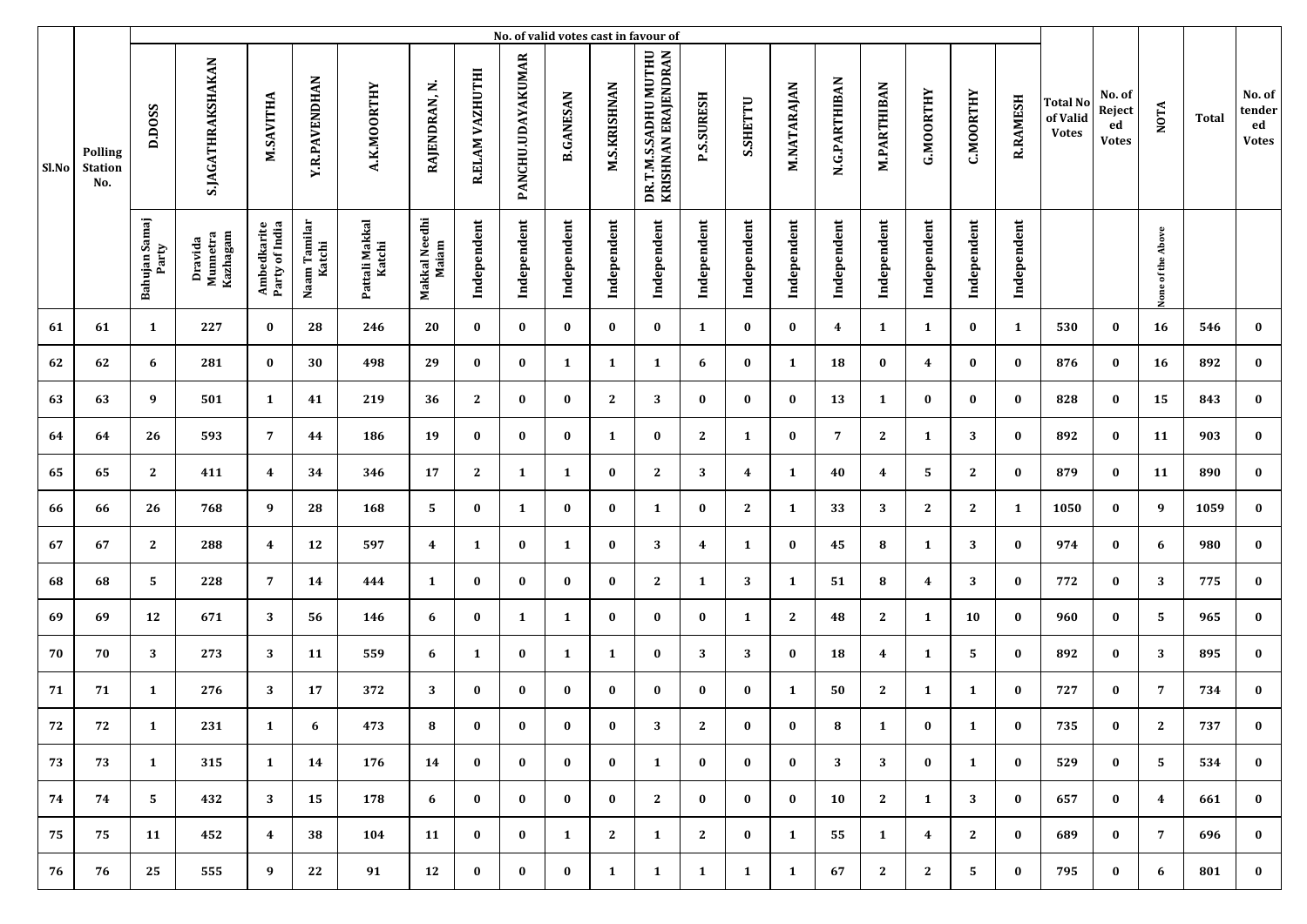|       |                                         |                        |                                 |                               |                        |                          |                        |                 |                   |                  |                     | No. of valid votes cast in favour of        |                         |              |              |               |                    |                |                  |                 |                                             |                                        |                   |       |                                        |
|-------|-----------------------------------------|------------------------|---------------------------------|-------------------------------|------------------------|--------------------------|------------------------|-----------------|-------------------|------------------|---------------------|---------------------------------------------|-------------------------|--------------|--------------|---------------|--------------------|----------------|------------------|-----------------|---------------------------------------------|----------------------------------------|-------------------|-------|----------------------------------------|
| Sl.No | <b>Polling</b><br><b>Station</b><br>No. | D.DOSS                 | S.JAGATHRAKSHAKAN               | M.SAVITHA                     | <b>Y.R.PAVENDHAN</b>   | A.K.MOORTHY              | RAJENDRAN, N.          | R.ELAM VAZHUTHI | PANCHU.UDAYAKUMAR | <b>B.GANESAN</b> | <b>M.S.KRISHNAN</b> | DR.T.M.S.SADHU MUTHU<br>KRISHNAN ERAJENDRAN | <b>P.S.SURESH</b>       | S.SHETTU     | M.NATARAJAN  | N.G.PARTHIBAN | <b>M.PARTHIBAN</b> | G.MOORTHY      | <b>C.MOORTHY</b> | <b>R.RAMESH</b> | <b>Total No</b><br>of Valid<br><b>Votes</b> | No. of<br>Reject<br>ed<br><b>Votes</b> | <b>NOTA</b>       | Total | No. of<br>tender<br>ed<br><b>Votes</b> |
|       |                                         | Bahujan Samaj<br>Party | Kazhagam<br>Dravida<br>Munnetra | Ambedkarite<br>Party of India | Naam Tamilar<br>Katchi | Pattali Makkal<br>Katchi | Makkal Needhi<br>Maiam | Independent     | Independent       | Independent      | Independent         | Independent                                 | Independent             | Independent  | Independent  | Independent   | Independent        | Independent    | Independent      | Independent     |                                             |                                        | None of the Above |       |                                        |
| 61    | 61                                      | $\mathbf{1}$           | 227                             | $\bf{0}$                      | 28                     | 246                      | 20                     | $\bf{0}$        | $\bf{0}$          | $\bf{0}$         | $\bf{0}$            | $\bf{0}$                                    | 1                       | $\bf{0}$     | $\bf{0}$     | 4             | 1                  | 1              | $\bf{0}$         | 1               | 530                                         | $\bf{0}$                               | 16                | 546   | $\bf{0}$                               |
| 62    | 62                                      | 6                      | 281                             | $\bf{0}$                      | 30                     | 498                      | 29                     | $\bf{0}$        | $\bf{0}$          | 1                | 1                   | 1                                           | 6                       | $\bf{0}$     | 1            | 18            | 0                  | 4              | $\bf{0}$         | $\bf{0}$        | 876                                         | $\bf{0}$                               | 16                | 892   | $\bf{0}$                               |
| 63    | 63                                      | 9                      | 501                             | 1                             | 41                     | 219                      | 36                     | 2               | $\bf{0}$          | $\bf{0}$         | $\mathbf{2}$        | 3                                           | $\bf{0}$                | $\bf{0}$     | $\bf{0}$     | 13            | 1                  | $\bf{0}$       | $\bf{0}$         | $\bf{0}$        | 828                                         | $\bf{0}$                               | 15                | 843   | $\bf{0}$                               |
| 64    | 64                                      | 26                     | 593                             | $\overline{7}$                | 44                     | 186                      | 19                     | $\bf{0}$        | $\bf{0}$          | $\bf{0}$         | 1                   | $\bf{0}$                                    | $\mathbf{2}$            | 1            | $\bf{0}$     | 7             | $\mathbf{2}$       | 1              | 3                | $\bf{0}$        | 892                                         | $\bf{0}$                               | 11                | 903   | $\bf{0}$                               |
| 65    | 65                                      | $\mathbf{2}$           | 411                             | $\overline{4}$                | 34                     | 346                      | 17                     | $\mathbf{2}$    | 1                 | $\mathbf{1}$     | $\bf{0}$            | $\mathbf{2}$                                | 3                       | 4            | 1            | 40            | 4                  | 5              | $\mathbf{2}$     | $\bf{0}$        | 879                                         | $\bf{0}$                               | 11                | 890   | $\bf{0}$                               |
| 66    | 66                                      | 26                     | 768                             | 9                             | 28                     | 168                      | 5                      | $\bf{0}$        | $\mathbf{1}$      | $\bf{0}$         | $\bf{0}$            | 1                                           | $\bf{0}$                | $\mathbf{2}$ | 1            | 33            | 3                  | $\mathbf{2}$   | $\mathbf{2}$     | $\mathbf{1}$    | 1050                                        | $\bf{0}$                               | 9                 | 1059  | $\bf{0}$                               |
| 67    | 67                                      | $\mathbf{2}$           | 288                             | $\overline{\mathbf{4}}$       | 12                     | 597                      | 4                      | 1               | $\bf{0}$          | 1                | $\bf{0}$            | 3                                           | $\overline{\mathbf{4}}$ | $\mathbf{1}$ | $\bf{0}$     | 45            | 8                  | 1              | 3                | $\bf{0}$        | 974                                         | $\bf{0}$                               | 6                 | 980   | $\bf{0}$                               |
| 68    | 68                                      | 5                      | 228                             | $\overline{7}$                | 14                     | 444                      | 1                      | $\bf{0}$        | $\bf{0}$          | $\bf{0}$         | $\bf{0}$            | $\mathbf{2}$                                | 1                       | 3            | 1            | 51            | 8                  | 4              | 3                | $\bf{0}$        | 772                                         | 0                                      | 3                 | 775   | $\bf{0}$                               |
| 69    | 69                                      | 12                     | 671                             | 3                             | 56                     | 146                      | 6                      | $\bf{0}$        | 1                 | 1                | $\bf{0}$            | $\bf{0}$                                    | $\bf{0}$                | 1            | $\mathbf{2}$ | 48            | 2                  | 1              | 10               | $\bf{0}$        | 960                                         | $\bf{0}$                               | 5                 | 965   | $\bf{0}$                               |
| 70    | 70                                      | 3                      | 273                             | 3                             | 11                     | 559                      | 6                      | 1               | $\bf{0}$          | $\mathbf{1}$     | 1                   | $\bf{0}$                                    | 3                       | 3            | $\bf{0}$     | 18            | 4                  | 1              | 5                | $\bf{0}$        | 892                                         | $\bf{0}$                               | 3                 | 895   | $\bf{0}$                               |
| 71    | 71                                      | 1                      | 276                             | 3                             | 17                     | 372                      | 3                      | $\bf{0}$        | $\bf{0}$          | $\bf{0}$         | $\bf{0}$            | $\bf{0}$                                    | $\bf{0}$                | $\bf{0}$     | 1            | 50            | $\mathbf{2}$       | 1              | $\mathbf{1}$     | $\bf{0}$        | 727                                         | $\bf{0}$                               | 7                 | 734   | $\bf{0}$                               |
| 72    | 72                                      | $\mathbf{1}$           | 231                             | 1                             | 6                      | 473                      | 8                      | $\bf{0}$        | $\bf{0}$          | $\bf{0}$         | $\bf{0}$            | 3                                           | 2                       | $\bf{0}$     | $\bf{0}$     | 8             | $\mathbf{1}$       | $\bf{0}$       | 1                | $\bf{0}$        | 735                                         | $\bf{0}$                               | 2                 | 737   | $\bf{0}$                               |
| 73    | 73                                      | $\mathbf{1}$           | 315                             | $\mathbf{1}$                  | 14                     | 176                      | 14                     | $\bf{0}$        | $\bf{0}$          | $\bf{0}$         | $\bf{0}$            | 1                                           | $\bf{0}$                | $\bf{0}$     | $\bf{0}$     | 3             | 3                  | $\bf{0}$       | 1                | $\bf{0}$        | 529                                         | $\bf{0}$                               | 5                 | 534   | $\bf{0}$                               |
| 74    | 74                                      | 5                      | 432                             | 3                             | 15                     | 178                      | 6                      | $\bf{0}$        | $\bf{0}$          | $\bf{0}$         | $\bf{0}$            | 2                                           | $\bf{0}$                | $\bf{0}$     | $\bf{0}$     | 10            | 2                  | 1              | 3                | $\bf{0}$        | 657                                         | $\bf{0}$                               | $\overline{4}$    | 661   | $\bf{0}$                               |
| 75    | 75                                      | 11                     | 452                             | $\overline{4}$                | 38                     | 104                      | 11                     | $\bf{0}$        | $\bf{0}$          | $\mathbf{1}$     | $\mathbf{2}$        | 1                                           | $\mathbf{2}$            | $\bf{0}$     | 1            | 55            | 1                  | $\overline{4}$ | $\mathbf{2}$     | $\bf{0}$        | 689                                         | $\bf{0}$                               | $7\overline{ }$   | 696   | $\bf{0}$                               |
| 76    | 76                                      | 25                     | 555                             | 9                             | 22                     | 91                       | 12                     | $\bf{0}$        | $\bf{0}$          | $\bf{0}$         | $\mathbf{1}$        | 1                                           | $\mathbf{1}$            | $\mathbf{1}$ | 1            | 67            | $\mathbf{2}$       | $\mathbf{2}$   | 5                | $\bf{0}$        | 795                                         | $\bf{0}$                               | 6                 | 801   | $\bf{0}$                               |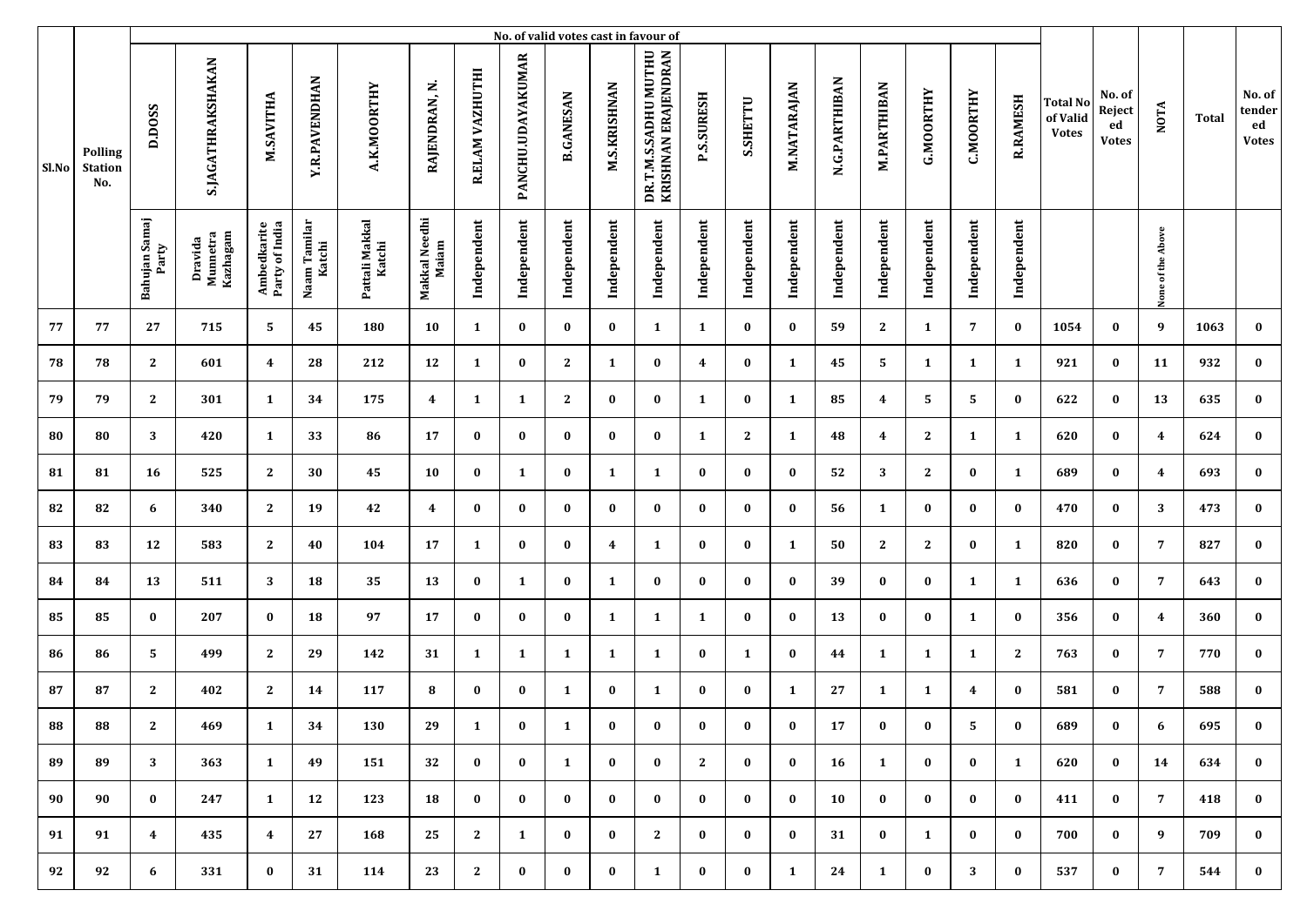|       |                                         |                        |                                 |                               |                        |                          |                        |                 |                   |                  |                     | No. of valid votes cast in favour of        |                   |              |             |               |                    |              |                  |                 |                                             |                                        |                   |       |                                        |
|-------|-----------------------------------------|------------------------|---------------------------------|-------------------------------|------------------------|--------------------------|------------------------|-----------------|-------------------|------------------|---------------------|---------------------------------------------|-------------------|--------------|-------------|---------------|--------------------|--------------|------------------|-----------------|---------------------------------------------|----------------------------------------|-------------------|-------|----------------------------------------|
| Sl.No | <b>Polling</b><br><b>Station</b><br>No. | D.DOSS                 | S.JAGATHRAKSHAKAN               | M.SAVITHA                     | <b>Y.R.PAVENDHAN</b>   | A.K.MOORTHY              | RAJENDRAN, N.          | R.ELAM VAZHUTHI | PANCHU.UDAYAKUMAR | <b>B.GANESAN</b> | <b>M.S.KRISHNAN</b> | DR.T.M.S.SADHU MUTHU<br>KRISHNAN ERAJENDRAN | <b>P.S.SURESH</b> | S.SHETTU     | M.NATARAJAN | N.G.PARTHIBAN | <b>M.PARTHIBAN</b> | G.MOORTHY    | <b>C.MOORTHY</b> | <b>R.RAMESH</b> | <b>Total No</b><br>of Valid<br><b>Votes</b> | No. of<br>Reject<br>ed<br><b>Votes</b> | <b>NOTA</b>       | Total | No. of<br>tender<br>ed<br><b>Votes</b> |
|       |                                         | Bahujan Samaj<br>Party | Kazhagam<br>Dravida<br>Munnetra | Ambedkarite<br>Party of India | Naam Tamilar<br>Katchi | Pattali Makkal<br>Katchi | Makkal Needhi<br>Maiam | Independent     | Independent       | Independent      | Independent         | Independent                                 | Independent       | Independent  | Independent | Independent   | Independent        | Independent  | Independent      | Independent     |                                             |                                        | None of the Above |       |                                        |
| 77    | 77                                      | 27                     | 715                             | 5                             | 45                     | 180                      | 10                     | 1               | $\bf{0}$          | $\bf{0}$         | $\bf{0}$            | 1                                           | 1                 | $\bf{0}$     | $\bf{0}$    | 59            | $\mathbf{2}$       | 1            | $\overline{7}$   | $\bf{0}$        | 1054                                        | $\bf{0}$                               | 9                 | 1063  | $\bf{0}$                               |
| 78    | 78                                      | $\mathbf{2}$           | 601                             | $\overline{\mathbf{4}}$       | 28                     | 212                      | 12                     | 1               | $\bf{0}$          | 2                | 1                   | $\bf{0}$                                    | 4                 | $\bf{0}$     | 1           | 45            | 5                  | 1            | 1                | $\mathbf{1}$    | 921                                         | $\bf{0}$                               | 11                | 932   | $\bf{0}$                               |
| 79    | 79                                      | $\mathbf{2}$           | 301                             | 1                             | 34                     | 175                      | 4                      | 1               | 1                 | 2                | $\bf{0}$            | $\bf{0}$                                    | 1                 | $\bf{0}$     | 1           | 85            | 4                  | 5            | 5                | $\bf{0}$        | 622                                         | $\bf{0}$                               | 13                | 635   | $\bf{0}$                               |
| 80    | 80                                      | 3                      | 420                             | 1                             | 33                     | 86                       | 17                     | $\bf{0}$        | $\bf{0}$          | $\bf{0}$         | $\bf{0}$            | $\bf{0}$                                    | 1                 | $\mathbf{2}$ | 1           | 48            | 4                  | $\mathbf{2}$ | $\mathbf{1}$     | 1               | 620                                         | $\bf{0}$                               | 4                 | 624   | $\bf{0}$                               |
| 81    | 81                                      | 16                     | 525                             | $\mathbf{2}$                  | 30                     | 45                       | 10                     | $\bf{0}$        | 1                 | $\bf{0}$         | $\mathbf{1}$        | 1                                           | $\bf{0}$          | $\bf{0}$     | $\bf{0}$    | 52            | 3                  | $\mathbf{2}$ | $\bf{0}$         | $\mathbf{1}$    | 689                                         | $\bf{0}$                               | 4                 | 693   | $\bf{0}$                               |
| 82    | 82                                      | 6                      | 340                             | 2                             | 19                     | 42                       | 4                      | $\bf{0}$        | $\bf{0}$          | $\bf{0}$         | $\bf{0}$            | $\bf{0}$                                    | $\bf{0}$          | $\bf{0}$     | $\bf{0}$    | 56            | 1                  | $\bf{0}$     | $\bf{0}$         | $\bf{0}$        | 470                                         | $\bf{0}$                               | 3                 | 473   | $\bf{0}$                               |
| 83    | 83                                      | 12                     | 583                             | $\mathbf{2}$                  | 40                     | 104                      | 17                     | 1               | $\bf{0}$          | $\bf{0}$         | 4                   | 1                                           | $\bf{0}$          | $\bf{0}$     | 1           | 50            | $\mathbf{2}$       | $\mathbf{2}$ | $\bf{0}$         | 1               | 820                                         | $\bf{0}$                               | $\overline{7}$    | 827   | $\bf{0}$                               |
| 84    | 84                                      | 13                     | 511                             | 3                             | 18                     | 35                       | 13                     | $\bf{0}$        | 1                 | $\bf{0}$         | 1                   | $\bf{0}$                                    | $\bf{0}$          | $\bf{0}$     | $\bf{0}$    | 39            | $\bf{0}$           | 0            | 1                | $\mathbf{1}$    | 636                                         | 0                                      | $\overline{7}$    | 643   | $\bf{0}$                               |
| 85    | 85                                      | $\bf{0}$               | 207                             | $\bf{0}$                      | 18                     | 97                       | 17                     | $\bf{0}$        | $\bf{0}$          | $\bf{0}$         | 1                   | 1                                           | 1                 | $\bf{0}$     | $\bf{0}$    | 13            | $\bf{0}$           | $\bf{0}$     | $\mathbf{1}$     | $\bf{0}$        | 356                                         | $\bf{0}$                               | 4                 | 360   | $\bf{0}$                               |
| 86    | 86                                      | 5                      | 499                             | $\mathbf{2}$                  | 29                     | 142                      | 31                     | 1               | 1                 | $\mathbf{1}$     | 1                   | 1                                           | $\bf{0}$          | 1            | $\bf{0}$    | 44            | 1                  | 1            | $\mathbf{1}$     | $\mathbf{2}$    | 763                                         | $\bf{0}$                               | 7                 | 770   | $\bf{0}$                               |
| 87    | 87                                      | 2                      | 402                             | $\mathbf{2}$                  | 14                     | 117                      | 8                      | $\bf{0}$        | $\bf{0}$          | 1                | $\bf{0}$            | 1                                           | $\bf{0}$          | $\bf{0}$     | 1           | 27            | 1                  | 1            | 4                | $\bf{0}$        | 581                                         | $\bf{0}$                               | 7                 | 588   | $\bf{0}$                               |
| 88    | 88                                      | 2                      | 469                             | $\mathbf{1}$                  | 34                     | 130                      | 29                     | 1               | $\bf{0}$          | 1                | $\bf{0}$            | $\bf{0}$                                    | $\bf{0}$          | $\bf{0}$     | $\bf{0}$    | 17            | $\bf{0}$           | $\bf{0}$     | 5                | $\bf{0}$        | 689                                         | $\bf{0}$                               | 6                 | 695   | $\bf{0}$                               |
| 89    | 89                                      | 3                      | 363                             | $\mathbf{1}$                  | 49                     | 151                      | 32                     | $\bf{0}$        | $\bf{0}$          | $\mathbf{1}$     | $\bf{0}$            | $\bf{0}$                                    | 2                 | $\bf{0}$     | $\bf{0}$    | 16            | 1                  | $\bf{0}$     | $\bf{0}$         | $\mathbf{1}$    | 620                                         | $\bf{0}$                               | 14                | 634   | $\bf{0}$                               |
| 90    | 90                                      | $\bf{0}$               | 247                             | $\mathbf{1}$                  | 12                     | 123                      | 18                     | $\bf{0}$        | $\bf{0}$          | $\bf{0}$         | $\bf{0}$            | $\bf{0}$                                    | $\bf{0}$          | $\bf{0}$     | $\bf{0}$    | 10            | $\bf{0}$           | $\bf{0}$     | $\bf{0}$         | $\bf{0}$        | 411                                         | $\bf{0}$                               | 7                 | 418   | $\bf{0}$                               |
| 91    | 91                                      | $\overline{4}$         | 435                             | $\overline{4}$                | 27                     | 168                      | 25                     | 2               | $\mathbf{1}$      | $\bf{0}$         | $\bf{0}$            | 2                                           | $\bf{0}$          | $\bf{0}$     | $\bf{0}$    | 31            | $\bf{0}$           | 1            | $\bf{0}$         | $\bf{0}$        | 700                                         | $\bf{0}$                               | 9                 | 709   | $\bf{0}$                               |
| 92    | 92                                      | 6                      | 331                             | $\bf{0}$                      | 31                     | 114                      | 23                     | $\mathbf{2}$    | $\bf{0}$          | $\bf{0}$         | $\bf{0}$            | 1                                           | $\bf{0}$          | $\bf{0}$     | 1           | 24            | 1                  | $\bf{0}$     | 3                | $\bf{0}$        | 537                                         | $\bf{0}$                               | $7\phantom{.0}$   | 544   | $\bf{0}$                               |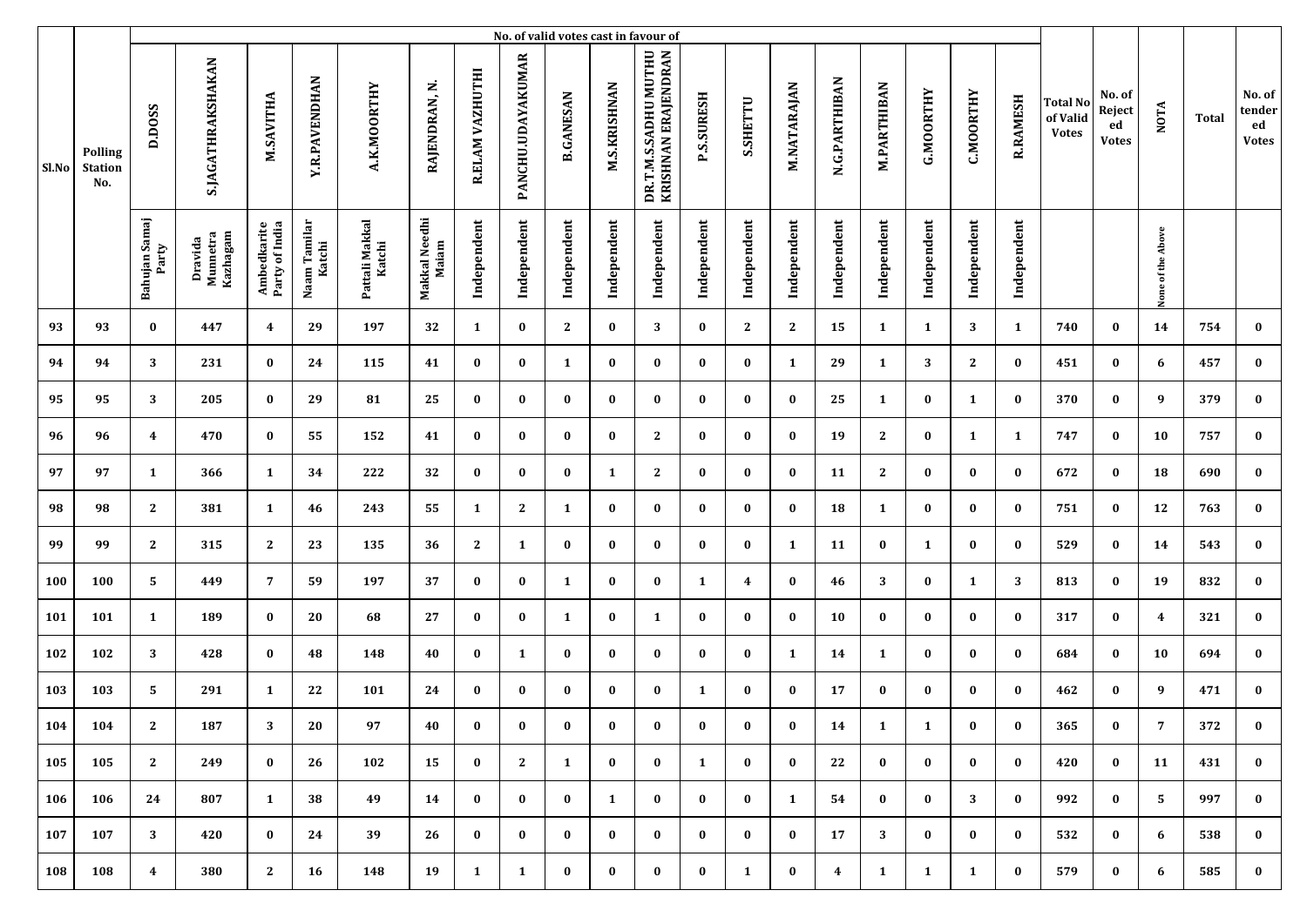|            |                                         |                         |                                 |                               |                        |                          |                        |                 |                   |                  |                     | No. of valid votes cast in favour of        |                   |              |              |                         |                    |                  |                  |                 |                                             |                                        |                   |       |                                        |
|------------|-----------------------------------------|-------------------------|---------------------------------|-------------------------------|------------------------|--------------------------|------------------------|-----------------|-------------------|------------------|---------------------|---------------------------------------------|-------------------|--------------|--------------|-------------------------|--------------------|------------------|------------------|-----------------|---------------------------------------------|----------------------------------------|-------------------|-------|----------------------------------------|
| Sl.No      | <b>Polling</b><br><b>Station</b><br>No. | D.DOSS                  | S.JAGATHRAKSHAKAN               | M.SAVITHA                     | <b>Y.R.PAVENDHAN</b>   | A.K.MOORTHY              | RAJENDRAN, N.          | R.ELAM VAZHUTHI | PANCHU.UDAYAKUMAR | <b>B.GANESAN</b> | <b>M.S.KRISHNAN</b> | DR.T.M.S.SADHU MUTHU<br>KRISHNAN ERAJENDRAN | <b>P.S.SURESH</b> | S.SHETTU     | M.NATARAJAN  | N.G.PARTHIBAN           | <b>M.PARTHIBAN</b> | <b>G.MOORTHY</b> | <b>C.MOORTHY</b> | <b>R.RAMESH</b> | <b>Total No</b><br>of Valid<br><b>Votes</b> | No. of<br>Reject<br>ed<br><b>Votes</b> | <b>NOTA</b>       | Total | No. of<br>tender<br>ed<br><b>Votes</b> |
|            |                                         | Bahujan Samaj<br>Party  | Kazhagam<br>Dravida<br>Munnetra | Ambedkarite<br>Party of India | Naam Tamilar<br>Katchi | Pattali Makkal<br>Katchi | Makkal Needhi<br>Maiam | Independent     | Independent       | Independent      | Independent         | Independent                                 | Independent       | Independent  | Independent  | Independent             | Independent        | Independent      | Independent      | Independent     |                                             |                                        | None of the Above |       |                                        |
| 93         | 93                                      | $\bf{0}$                | 447                             | $\overline{\mathbf{4}}$       | 29                     | 197                      | 32                     | 1               | $\bf{0}$          | 2                | $\bf{0}$            | 3                                           | $\bf{0}$          | $\mathbf{2}$ | $\mathbf{2}$ | 15                      | 1                  | 1                | 3                | 1               | 740                                         | $\bf{0}$                               | 14                | 754   | $\bf{0}$                               |
| 94         | 94                                      | 3                       | 231                             | $\bf{0}$                      | 24                     | 115                      | 41                     | $\bf{0}$        | $\bf{0}$          | 1                | $\bf{0}$            | $\bf{0}$                                    | $\bf{0}$          | $\bf{0}$     | 1            | 29                      | 1                  | 3                | $\mathbf{2}$     | $\bf{0}$        | 451                                         | $\bf{0}$                               | 6                 | 457   | $\bf{0}$                               |
| 95         | 95                                      | 3                       | 205                             | $\bf{0}$                      | 29                     | 81                       | 25                     | $\bf{0}$        | $\bf{0}$          | $\bf{0}$         | $\bf{0}$            | $\bf{0}$                                    | $\bf{0}$          | $\bf{0}$     | $\bf{0}$     | 25                      | 1                  | $\bf{0}$         | 1                | $\bf{0}$        | 370                                         | $\bf{0}$                               | 9                 | 379   | $\bf{0}$                               |
| 96         | 96                                      | $\overline{\mathbf{4}}$ | 470                             | $\bf{0}$                      | 55                     | 152                      | 41                     | $\bf{0}$        | $\bf{0}$          | $\bf{0}$         | $\bf{0}$            | $\mathbf{2}$                                | $\bf{0}$          | $\bf{0}$     | $\bf{0}$     | 19                      | $\mathbf{2}$       | $\bf{0}$         | $\mathbf{1}$     | 1               | 747                                         | $\bf{0}$                               | 10                | 757   | $\bf{0}$                               |
| 97         | 97                                      | $\mathbf{1}$            | 366                             | $\mathbf{1}$                  | 34                     | 222                      | 32                     | $\bf{0}$        | $\bf{0}$          | $\bf{0}$         | $\mathbf{1}$        | $\mathbf{2}$                                | $\bf{0}$          | $\bf{0}$     | $\bf{0}$     | 11                      | $\mathbf{2}$       | $\bf{0}$         | $\bf{0}$         | $\bf{0}$        | 672                                         | $\bf{0}$                               | 18                | 690   | $\bf{0}$                               |
| 98         | 98                                      | $\mathbf{2}$            | 381                             | $\mathbf{1}$                  | 46                     | 243                      | 55                     | 1               | $\mathbf{2}$      | $\mathbf{1}$     | $\bf{0}$            | $\bf{0}$                                    | $\bf{0}$          | $\bf{0}$     | $\bf{0}$     | 18                      | 1                  | $\bf{0}$         | $\bf{0}$         | $\bf{0}$        | 751                                         | $\bf{0}$                               | 12                | 763   | $\bf{0}$                               |
| 99         | 99                                      | $\mathbf{2}$            | 315                             | $\mathbf{2}$                  | 23                     | 135                      | 36                     | 2               | 1                 | $\bf{0}$         | $\bf{0}$            | $\bf{0}$                                    | $\bf{0}$          | $\bf{0}$     | 1            | 11                      | 0                  | 1                | $\bf{0}$         | $\bf{0}$        | 529                                         | $\bf{0}$                               | 14                | 543   | $\bf{0}$                               |
| <b>100</b> | 100                                     | 5                       | 449                             | $\overline{7}$                | 59                     | 197                      | 37                     | $\bf{0}$        | $\bf{0}$          | 1                | $\bf{0}$            | $\bf{0}$                                    | 1                 | 4            | $\bf{0}$     | 46                      | 3                  | $\bf{0}$         | 1                | 3               | 813                                         | $\bf{0}$                               | 19                | 832   | $\bf{0}$                               |
| 101        | 101                                     | 1                       | 189                             | $\bf{0}$                      | 20                     | 68                       | 27                     | $\bf{0}$        | $\bf{0}$          | 1                | $\bf{0}$            | 1                                           | $\bf{0}$          | $\bf{0}$     | $\bf{0}$     | 10                      | $\bf{0}$           | $\bf{0}$         | $\bf{0}$         | $\bf{0}$        | 317                                         | $\bf{0}$                               | 4                 | 321   | $\bf{0}$                               |
| 102        | 102                                     | 3                       | 428                             | $\bf{0}$                      | 48                     | 148                      | 40                     | $\bf{0}$        | 1                 | $\bf{0}$         | $\bf{0}$            | $\bf{0}$                                    | $\bf{0}$          | $\bf{0}$     | 1            | 14                      | 1                  | $\bf{0}$         | $\bf{0}$         | $\bf{0}$        | 684                                         | $\bf{0}$                               | 10                | 694   | $\bf{0}$                               |
| 103        | 103                                     | 5                       | 291                             | 1                             | 22                     | 101                      | 24                     | $\bf{0}$        | $\bf{0}$          | $\bf{0}$         | $\bf{0}$            | $\bf{0}$                                    | 1                 | $\bf{0}$     | $\bf{0}$     | 17                      | $\bf{0}$           | $\bf{0}$         | $\bf{0}$         | $\bf{0}$        | 462                                         | $\bf{0}$                               | 9                 | 471   | $\bf{0}$                               |
| 104        | 104                                     | 2                       | 187                             | 3                             | 20                     | 97                       | 40                     | $\bf{0}$        | $\bf{0}$          | $\bf{0}$         | $\bf{0}$            | $\bf{0}$                                    | $\bf{0}$          | $\bf{0}$     | $\bf{0}$     | 14                      | 1                  | $\mathbf{1}$     | $\bf{0}$         | $\bf{0}$        | 365                                         | $\bf{0}$                               | 7                 | 372   | $\bf{0}$                               |
| 105        | 105                                     | $\mathbf{2}$            | 249                             | $\bf{0}$                      | 26                     | 102                      | 15                     | $\bf{0}$        | $\mathbf{2}$      | $\mathbf{1}$     | $\bf{0}$            | $\bf{0}$                                    | $\mathbf{1}$      | $\bf{0}$     | $\bf{0}$     | 22                      | $\bf{0}$           | $\bf{0}$         | $\bf{0}$         | $\bf{0}$        | 420                                         | $\bf{0}$                               | 11                | 431   | $\bf{0}$                               |
| 106        | 106                                     | 24                      | 807                             | $\mathbf{1}$                  | 38                     | 49                       | 14                     | $\bf{0}$        | $\bf{0}$          | $\bf{0}$         | 1                   | $\bf{0}$                                    | $\bf{0}$          | $\bf{0}$     | 1            | 54                      | $\bf{0}$           | $\bf{0}$         | 3                | $\bf{0}$        | 992                                         | $\bf{0}$                               | 5.                | 997   | $\bf{0}$                               |
| 107        | 107                                     | 3                       | 420                             | $\bf{0}$                      | 24                     | 39                       | 26                     | $\bf{0}$        | $\bf{0}$          | $\bf{0}$         | $\bf{0}$            | $\bf{0}$                                    | $\bf{0}$          | $\bf{0}$     | $\bf{0}$     | 17                      | 3                  | $\bf{0}$         | $\bf{0}$         | $\bf{0}$        | 532                                         | $\bf{0}$                               | 6                 | 538   | $\bf{0}$                               |
| 108        | 108                                     | $\overline{4}$          | 380                             | 2                             | 16                     | 148                      | 19                     | 1               | $\mathbf{1}$      | $\bf{0}$         | $\bf{0}$            | $\bf{0}$                                    | $\bf{0}$          | $\mathbf{1}$ | $\bf{0}$     | $\overline{\mathbf{4}}$ | 1                  | $\mathbf{1}$     | $\mathbf{1}$     | $\bf{0}$        | 579                                         | $\bf{0}$                               | 6                 | 585   | $\bf{0}$                               |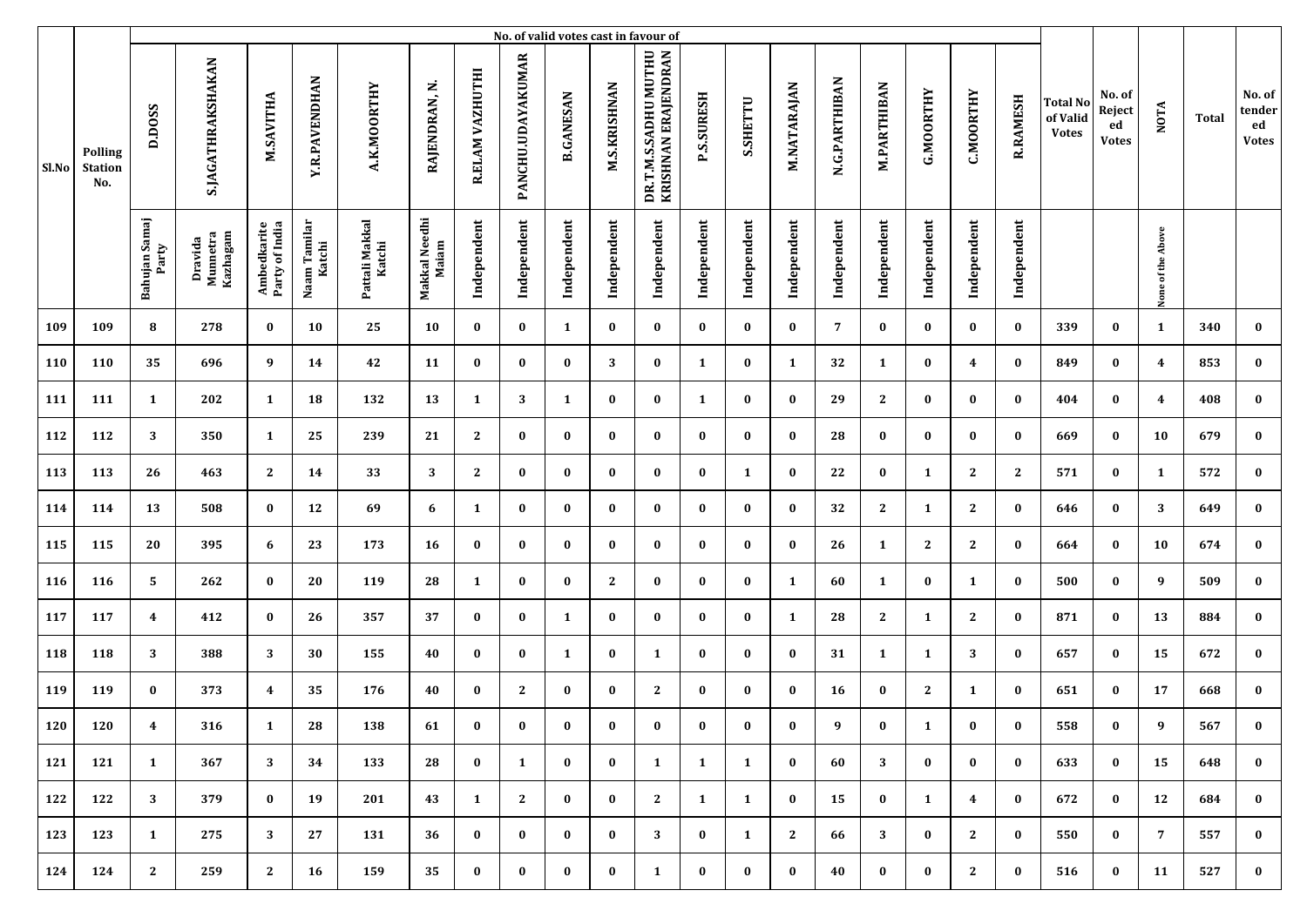|       |                                         |                         |                                 |                               |                        |                          |                        |                 |                   |                  |                     | No. of valid votes cast in favour of        |                   |              |              |               |                    |                  |                  |                 |                                             |                                        |                   |       |                                        |
|-------|-----------------------------------------|-------------------------|---------------------------------|-------------------------------|------------------------|--------------------------|------------------------|-----------------|-------------------|------------------|---------------------|---------------------------------------------|-------------------|--------------|--------------|---------------|--------------------|------------------|------------------|-----------------|---------------------------------------------|----------------------------------------|-------------------|-------|----------------------------------------|
| Sl.No | <b>Polling</b><br><b>Station</b><br>No. | D.DOSS                  | S.JAGATHRAKSHAKAN               | M.SAVITHA                     | <b>Y.R.PAVENDHAN</b>   | A.K.MOORTHY              | RAJENDRAN, N.          | R.ELAM VAZHUTHI | PANCHU.UDAYAKUMAR | <b>B.GANESAN</b> | <b>M.S.KRISHNAN</b> | DR.T.M.S.SADHU MUTHU<br>KRISHNAN ERAJENDRAN | <b>P.S.SURESH</b> | S.SHETTU     | M.NATARAJAN  | N.G.PARTHIBAN | <b>M.PARTHIBAN</b> | <b>G.MOORTHY</b> | <b>C.MOORTHY</b> | <b>R.RAMESH</b> | <b>Total No</b><br>of Valid<br><b>Votes</b> | No. of<br>Reject<br>ed<br><b>Votes</b> | <b>NOTA</b>       | Total | No. of<br>tender<br>ed<br><b>Votes</b> |
|       |                                         | Bahujan Samaj<br>Party  | Kazhagam<br>Dravida<br>Munnetra | Ambedkarite<br>Party of India | Naam Tamilar<br>Katchi | Pattali Makkal<br>Katchi | Makkal Needhi<br>Maiam | Independent     | Independent       | Independent      | Independent         | Independent                                 | Independent       | Independent  | Independent  | Independent   | Independent        | Independent      | Independent      | Independent     |                                             |                                        | None of the Above |       |                                        |
| 109   | 109                                     | 8                       | 278                             | $\bf{0}$                      | 10                     | 25                       | 10                     | $\bf{0}$        | $\bf{0}$          | $\mathbf{1}$     | $\bf{0}$            | $\bf{0}$                                    | $\bf{0}$          | $\bf{0}$     | $\bf{0}$     | 7             | $\bf{0}$           | $\bf{0}$         | $\bf{0}$         | $\bf{0}$        | 339                                         | $\bf{0}$                               | 1                 | 340   | $\bf{0}$                               |
| 110   | 110                                     | 35                      | 696                             | 9                             | 14                     | 42                       | 11                     | $\bf{0}$        | $\bf{0}$          | $\bf{0}$         | 3                   | $\bf{0}$                                    | 1                 | $\bf{0}$     | 1            | 32            | 1                  | $\bf{0}$         | 4                | $\bf{0}$        | 849                                         | $\bf{0}$                               | 4                 | 853   | $\bf{0}$                               |
| 111   | 111                                     | 1                       | 202                             | 1                             | 18                     | 132                      | 13                     | 1               | 3                 | 1                | $\bf{0}$            | $\bf{0}$                                    | 1                 | $\bf{0}$     | $\bf{0}$     | 29            | $\mathbf{2}$       | $\bf{0}$         | $\bf{0}$         | $\bf{0}$        | 404                                         | $\bf{0}$                               | 4                 | 408   | $\bf{0}$                               |
| 112   | 112                                     | 3                       | 350                             | 1                             | 25                     | 239                      | 21                     | 2               | $\bf{0}$          | $\bf{0}$         | $\bf{0}$            | $\bf{0}$                                    | $\bf{0}$          | $\bf{0}$     | $\bf{0}$     | 28            | $\bf{0}$           | $\bf{0}$         | $\bf{0}$         | $\bf{0}$        | 669                                         | $\bf{0}$                               | 10                | 679   | $\bf{0}$                               |
| 113   | 113                                     | 26                      | 463                             | $\mathbf{2}$                  | 14                     | 33                       | 3                      | $\mathbf{2}$    | $\bf{0}$          | $\bf{0}$         | $\bf{0}$            | $\bf{0}$                                    | $\bf{0}$          | $\mathbf{1}$ | $\bf{0}$     | 22            | $\bf{0}$           | 1                | $\mathbf{2}$     | $\mathbf{2}$    | 571                                         | $\bf{0}$                               | 1                 | 572   | $\bf{0}$                               |
| 114   | 114                                     | 13                      | 508                             | $\bf{0}$                      | 12                     | 69                       | 6                      | 1               | $\bf{0}$          | $\bf{0}$         | $\bf{0}$            | $\bf{0}$                                    | $\bf{0}$          | $\bf{0}$     | $\bf{0}$     | 32            | $\mathbf{2}$       | 1                | $\mathbf{2}$     | $\bf{0}$        | 646                                         | $\bf{0}$                               | 3                 | 649   | $\bf{0}$                               |
| 115   | 115                                     | 20                      | 395                             | 6                             | 23                     | 173                      | 16                     | $\bf{0}$        | $\bf{0}$          | $\bf{0}$         | $\bf{0}$            | $\bf{0}$                                    | $\bf{0}$          | $\bf{0}$     | $\bf{0}$     | 26            | 1                  | $\mathbf{2}$     | $\mathbf{2}$     | $\bf{0}$        | 664                                         | $\bf{0}$                               | 10                | 674   | $\bf{0}$                               |
| 116   | 116                                     | 5                       | 262                             | $\bf{0}$                      | 20                     | 119                      | 28                     | 1               | $\bf{0}$          | $\bf{0}$         | $\mathbf{2}$        | $\bf{0}$                                    | $\bf{0}$          | $\bf{0}$     | 1            | 60            | 1                  | 0                | 1                | $\bf{0}$        | 500                                         | $\bf{0}$                               | 9                 | 509   | $\bf{0}$                               |
| 117   | 117                                     | $\overline{\mathbf{4}}$ | 412                             | $\bf{0}$                      | 26                     | 357                      | 37                     | $\bf{0}$        | $\bf{0}$          | 1                | $\bf{0}$            | $\bf{0}$                                    | $\bf{0}$          | $\bf{0}$     | 1            | 28            | 2                  | 1                | $\mathbf{2}$     | $\bf{0}$        | 871                                         | $\bf{0}$                               | 13                | 884   | $\bf{0}$                               |
| 118   | 118                                     | 3                       | 388                             | 3                             | 30                     | 155                      | 40                     | $\bf{0}$        | $\bf{0}$          | $\mathbf{1}$     | $\bf{0}$            | 1                                           | $\bf{0}$          | $\bf{0}$     | $\bf{0}$     | 31            | 1                  | 1                | 3                | $\bf{0}$        | 657                                         | $\bf{0}$                               | 15                | 672   | $\bf{0}$                               |
| 119   | 119                                     | $\bf{0}$                | 373                             | $\overline{\mathbf{4}}$       | 35                     | 176                      | 40                     | $\bf{0}$        | $\mathbf{2}$      | $\bf{0}$         | $\bf{0}$            | $\mathbf{2}$                                | $\bf{0}$          | $\bf{0}$     | $\bf{0}$     | 16            | $\bf{0}$           | $\mathbf{2}$     | $\mathbf{1}$     | $\bf{0}$        | 651                                         | $\bf{0}$                               | 17                | 668   | $\bf{0}$                               |
| 120   | 120                                     | 4                       | 316                             | 1                             | 28                     | 138                      | 61                     | $\bf{0}$        | $\bf{0}$          | $\bf{0}$         | $\bf{0}$            | $\bf{0}$                                    | $\bf{0}$          | $\bf{0}$     | $\bf{0}$     | 9             | $\bf{0}$           | $\mathbf{1}$     | $\bf{0}$         | $\bf{0}$        | 558                                         | $\bf{0}$                               | 9                 | 567   | $\bf{0}$                               |
| 121   | 121                                     | $\mathbf{1}$            | 367                             | 3                             | 34                     | 133                      | 28                     | $\bf{0}$        | 1                 | $\bf{0}$         | $\bf{0}$            | 1                                           | $\mathbf{1}$      | $\mathbf{1}$ | $\bf{0}$     | 60            | 3                  | $\bf{0}$         | $\bf{0}$         | $\bf{0}$        | 633                                         | $\bf{0}$                               | 15                | 648   | $\bf{0}$                               |
| 122   | 122                                     | 3                       | 379                             | $\bf{0}$                      | 19                     | 201                      | 43                     | 1               | $\mathbf{2}$      | $\bf{0}$         | $\bf{0}$            | 2                                           | 1                 | $\mathbf{1}$ | $\bf{0}$     | 15            | $\bf{0}$           | 1                | $\overline{4}$   | $\bf{0}$        | 672                                         | $\bf{0}$                               | 12                | 684   | $\bf{0}$                               |
| 123   | 123                                     | $\mathbf{1}$            | 275                             | 3                             | 27                     | 131                      | 36                     | $\bf{0}$        | $\bf{0}$          | $\bf{0}$         | $\bf{0}$            | 3                                           | $\bf{0}$          | $\mathbf{1}$ | $\mathbf{2}$ | 66            | 3                  | $\bf{0}$         | $\mathbf{2}$     | $\bf{0}$        | 550                                         | $\bf{0}$                               | $\overline{7}$    | 557   | $\bf{0}$                               |
| 124   | 124                                     | $\mathbf{2}$            | 259                             | $\mathbf{2}$                  | 16                     | 159                      | 35                     | $\bf{0}$        | $\bf{0}$          | $\bf{0}$         | $\bf{0}$            | 1                                           | $\bf{0}$          | $\bf{0}$     | $\bf{0}$     | 40            | $\bf{0}$           | $\bf{0}$         | $\mathbf{2}$     | $\bf{0}$        | 516                                         | $\bf{0}$                               | 11                | 527   | $\bf{0}$                               |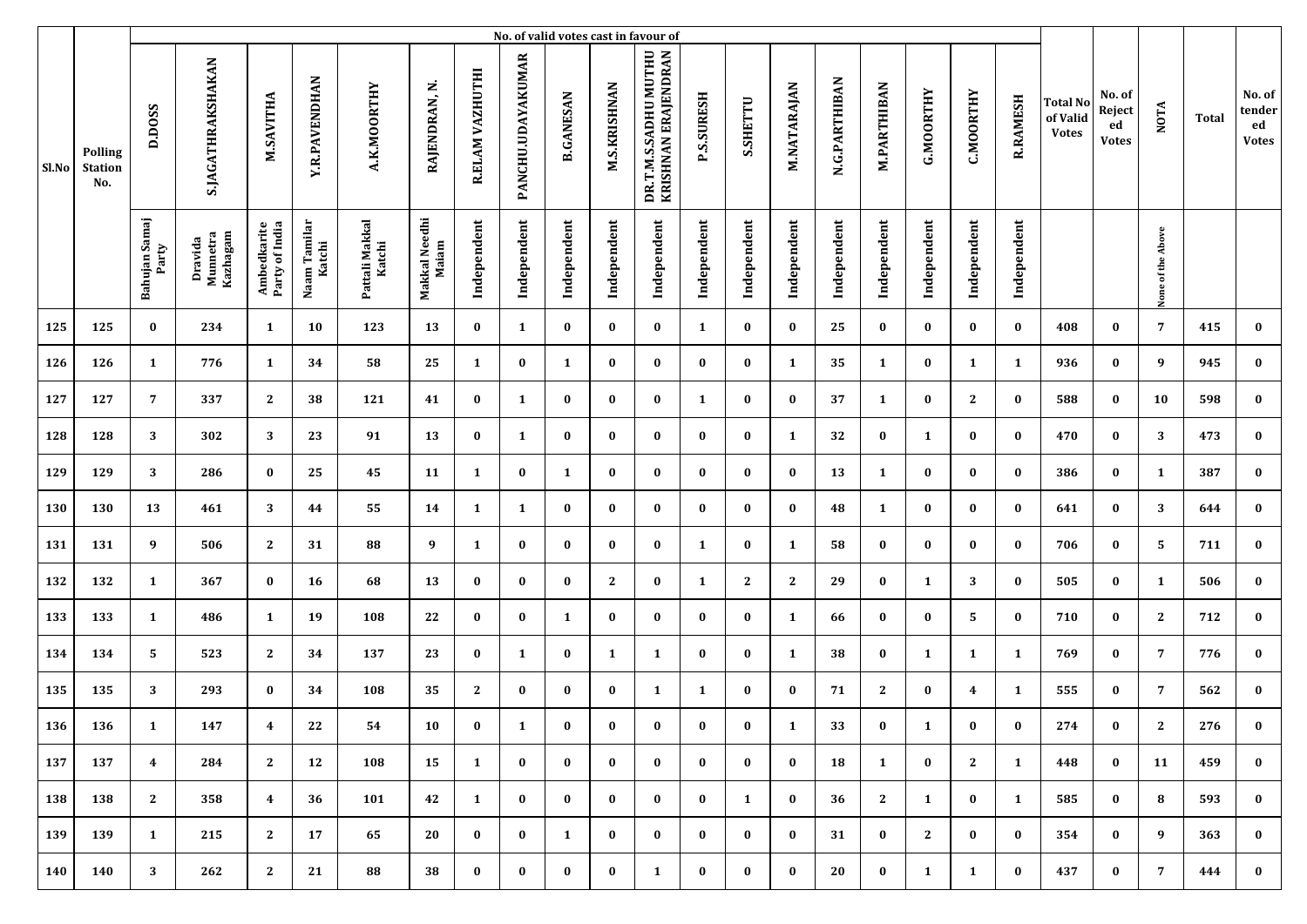|       |                                         |                        |                                 |                               |                        |                          |                        |                 |                   |                  |                     | No. of valid votes cast in favour of        |                   |              |              |               |                    |                  |                  |                 |                                             |                                        |                   |       |                                        |
|-------|-----------------------------------------|------------------------|---------------------------------|-------------------------------|------------------------|--------------------------|------------------------|-----------------|-------------------|------------------|---------------------|---------------------------------------------|-------------------|--------------|--------------|---------------|--------------------|------------------|------------------|-----------------|---------------------------------------------|----------------------------------------|-------------------|-------|----------------------------------------|
| Sl.No | <b>Polling</b><br><b>Station</b><br>No. | D.DOSS                 | S.JAGATHRAKSHAKAN               | M.SAVITHA                     | <b>Y.R.PAVENDHAN</b>   | A.K.MOORTHY              | RAJENDRAN, N.          | R.ELAM VAZHUTHI | PANCHU.UDAYAKUMAR | <b>B.GANESAN</b> | <b>M.S.KRISHNAN</b> | DR.T.M.S.SADHU MUTHU<br>KRISHNAN ERAJENDRAN | <b>P.S.SURESH</b> | S.SHETTU     | M.NATARAJAN  | N.G.PARTHIBAN | <b>M.PARTHIBAN</b> | <b>G.MOORTHY</b> | <b>C.MOORTHY</b> | <b>R.RAMESH</b> | <b>Total No</b><br>of Valid<br><b>Votes</b> | No. of<br>Reject<br>ed<br><b>Votes</b> | <b>NOTA</b>       | Total | No. of<br>tender<br>ed<br><b>Votes</b> |
|       |                                         | Bahujan Samaj<br>Party | Kazhagam<br>Dravida<br>Munnetra | Ambedkarite<br>Party of India | Naam Tamilar<br>Katchi | Pattali Makkal<br>Katchi | Makkal Needhi<br>Maiam | Independent     | Independent       | Independent      | Independent         | Independent                                 | Independent       | Independent  | Independent  | Independent   | Independent        | Independent      | Independent      | Independent     |                                             |                                        | None of the Above |       |                                        |
| 125   | 125                                     | $\bf{0}$               | 234                             | $\mathbf{1}$                  | 10                     | 123                      | 13                     | $\bf{0}$        | $\mathbf{1}$      | $\bf{0}$         | $\bf{0}$            | $\bf{0}$                                    | 1                 | $\bf{0}$     | $\bf{0}$     | 25            | $\bf{0}$           | $\bf{0}$         | $\bf{0}$         | $\bf{0}$        | 408                                         | $\bf{0}$                               | $\overline{7}$    | 415   | $\bf{0}$                               |
| 126   | 126                                     | 1                      | 776                             | 1                             | 34                     | 58                       | 25                     | 1               | $\bf{0}$          | 1                | $\bf{0}$            | $\bf{0}$                                    | $\bf{0}$          | $\bf{0}$     | 1            | 35            | 1                  | $\bf{0}$         | 1                | $\mathbf{1}$    | 936                                         | $\bf{0}$                               | 9                 | 945   | $\bf{0}$                               |
| 127   | 127                                     | 7                      | 337                             | $\mathbf{2}$                  | 38                     | 121                      | 41                     | $\bf{0}$        | 1                 | $\bf{0}$         | $\bf{0}$            | $\bf{0}$                                    | 1                 | $\bf{0}$     | $\bf{0}$     | 37            | 1                  | $\bf{0}$         | $\mathbf{2}$     | $\bf{0}$        | 588                                         | $\bf{0}$                               | 10                | 598   | $\bf{0}$                               |
| 128   | 128                                     | 3                      | 302                             | 3                             | 23                     | 91                       | 13                     | $\bf{0}$        | 1                 | $\bf{0}$         | $\bf{0}$            | $\bf{0}$                                    | $\bf{0}$          | $\bf{0}$     | 1            | 32            | $\bf{0}$           | 1                | $\bf{0}$         | $\bf{0}$        | 470                                         | $\bf{0}$                               | 3                 | 473   | $\bf{0}$                               |
| 129   | 129                                     | 3                      | 286                             | $\bf{0}$                      | 25                     | 45                       | 11                     | 1               | $\bf{0}$          | 1                | $\bf{0}$            | $\bf{0}$                                    | $\bf{0}$          | $\bf{0}$     | $\bf{0}$     | 13            | 1                  | $\bf{0}$         | $\bf{0}$         | $\bf{0}$        | 386                                         | $\bf{0}$                               | 1                 | 387   | $\bf{0}$                               |
| 130   | 130                                     | 13                     | 461                             | 3                             | 44                     | 55                       | 14                     | 1               | $\mathbf{1}$      | $\bf{0}$         | $\bf{0}$            | $\bf{0}$                                    | $\bf{0}$          | $\bf{0}$     | $\bf{0}$     | 48            | 1                  | $\bf{0}$         | $\bf{0}$         | $\bf{0}$        | 641                                         | $\bf{0}$                               | 3                 | 644   | $\bf{0}$                               |
| 131   | 131                                     | 9                      | 506                             | $\mathbf{2}$                  | 31                     | 88                       | 9                      | 1               | $\bf{0}$          | $\bf{0}$         | $\bf{0}$            | $\bf{0}$                                    | 1                 | $\bf{0}$     | 1            | 58            | 0                  | $\bf{0}$         | $\bf{0}$         | $\bf{0}$        | 706                                         | $\bf{0}$                               | 5                 | 711   | $\bf{0}$                               |
| 132   | 132                                     | 1                      | 367                             | $\bf{0}$                      | 16                     | 68                       | 13                     | $\bf{0}$        | $\bf{0}$          | $\bf{0}$         | $\mathbf{2}$        | $\bf{0}$                                    | 1                 | $\mathbf{2}$ | $\mathbf{2}$ | 29            | $\bf{0}$           | 1                | 3                | $\bf{0}$        | 505                                         | 0                                      | 1                 | 506   | $\bf{0}$                               |
| 133   | 133                                     | 1                      | 486                             | 1                             | 19                     | 108                      | 22                     | $\bf{0}$        | $\bf{0}$          | 1                | $\bf{0}$            | $\bf{0}$                                    | $\bf{0}$          | $\bf{0}$     | 1            | 66            | $\bf{0}$           | $\bf{0}$         | 5                | $\bf{0}$        | 710                                         | $\bf{0}$                               | 2                 | 712   | $\bf{0}$                               |
| 134   | 134                                     | 5                      | 523                             | $\mathbf{2}$                  | 34                     | 137                      | 23                     | $\bf{0}$        | 1                 | $\bf{0}$         | 1                   | 1                                           | $\bf{0}$          | $\bf{0}$     | 1            | 38            | $\bf{0}$           | 1                | $\mathbf{1}$     | 1               | 769                                         | $\bf{0}$                               | 7                 | 776   | $\bf{0}$                               |
| 135   | 135                                     | 3                      | 293                             | $\bf{0}$                      | 34                     | 108                      | 35                     | 2               | $\bf{0}$          | $\bf{0}$         | $\bf{0}$            | 1                                           | 1                 | $\bf{0}$     | $\bf{0}$     | 71            | 2                  | $\bf{0}$         | 4                | $\mathbf{1}$    | 555                                         | $\bf{0}$                               | 7                 | 562   | $\bf{0}$                               |
| 136   | 136                                     | $\mathbf{1}$           | 147                             | 4                             | 22                     | 54                       | 10                     | $\bf{0}$        | 1                 | $\bf{0}$         | $\bf{0}$            | $\bf{0}$                                    | $\bf{0}$          | $\bf{0}$     | 1            | 33            | $\bf{0}$           | $\mathbf{1}$     | $\bf{0}$         | $\bf{0}$        | 274                                         | $\bf{0}$                               | 2                 | 276   | $\bf{0}$                               |
| 137   | 137                                     | $\overline{4}$         | 284                             | 2                             | 12                     | 108                      | 15                     | 1               | $\bf{0}$          | $\bf{0}$         | $\bf{0}$            | $\bf{0}$                                    | $\bf{0}$          | $\bf{0}$     | $\bf{0}$     | 18            | 1                  | $\bf{0}$         | $\mathbf{2}$     | $\mathbf{1}$    | 448                                         | $\bf{0}$                               | 11                | 459   | $\bf{0}$                               |
| 138   | 138                                     | 2                      | 358                             | $\overline{4}$                | 36                     | 101                      | 42                     | 1               | $\bf{0}$          | $\bf{0}$         | $\bf{0}$            | $\bf{0}$                                    | $\bf{0}$          | $\mathbf{1}$ | $\bf{0}$     | 36            | 2                  | 1                | $\bf{0}$         | $\mathbf{1}$    | 585                                         | $\bf{0}$                               | 8                 | 593   | $\bf{0}$                               |
| 139   | 139                                     | $\mathbf{1}$           | 215                             | 2                             | 17                     | 65                       | 20                     | $\bf{0}$        | $\bf{0}$          | $\mathbf{1}$     | $\bf{0}$            | $\bf{0}$                                    | $\bf{0}$          | $\bf{0}$     | $\bf{0}$     | 31            | $\bf{0}$           | 2                | $\bf{0}$         | $\bf{0}$        | 354                                         | $\bf{0}$                               | 9                 | 363   | $\bf{0}$                               |
| 140   | 140                                     | 3                      | 262                             | 2                             | 21                     | 88                       | 38                     | $\bf{0}$        | $\bf{0}$          | $\bf{0}$         | $\bf{0}$            | 1                                           | $\bf{0}$          | $\bf{0}$     | $\bf{0}$     | 20            | $\bf{0}$           | 1                | $\mathbf{1}$     | $\bf{0}$        | 437                                         | $\bf{0}$                               | $7\phantom{.0}$   | 444   | $\bf{0}$                               |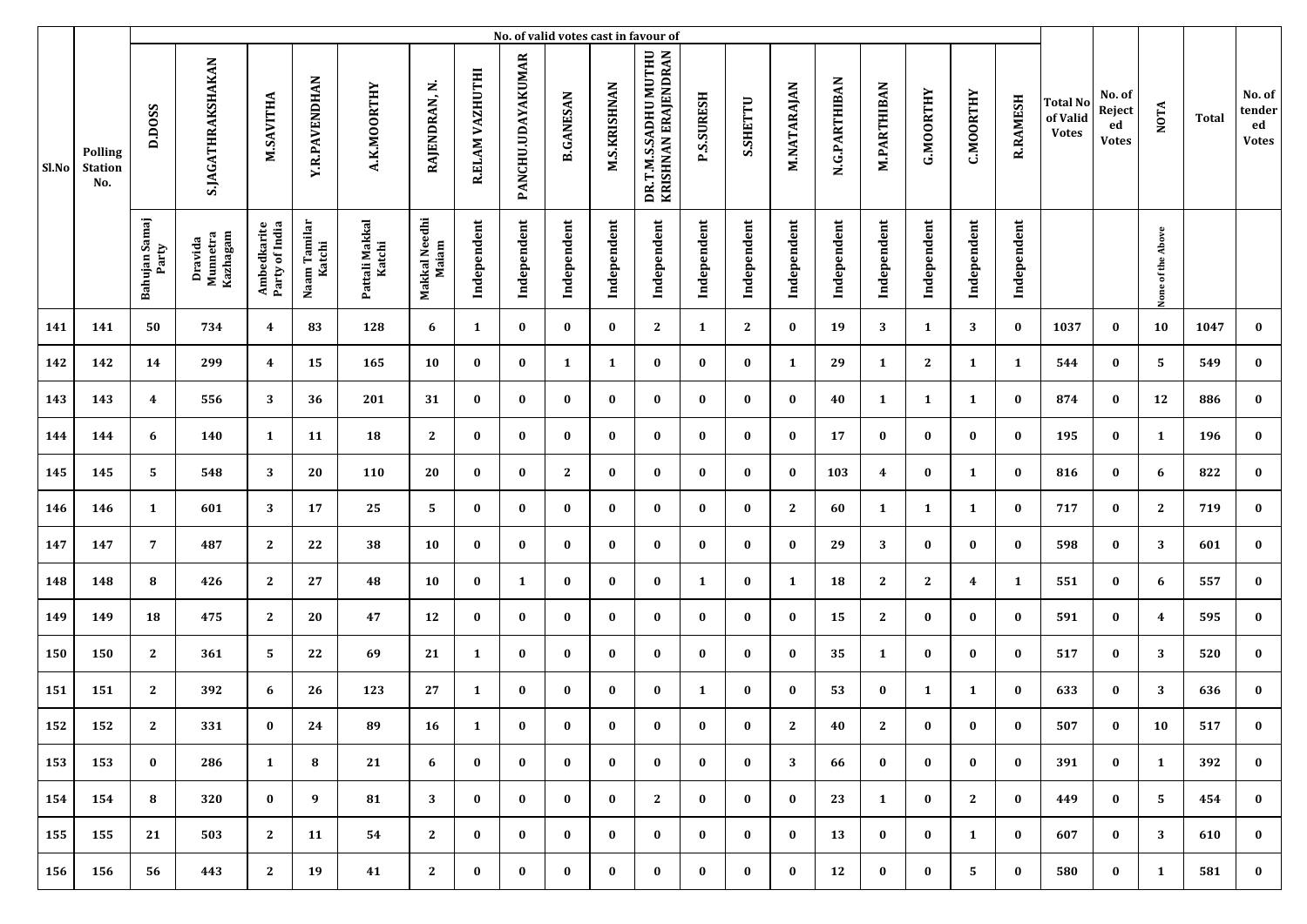|       |                                         |                        |                                 |                               |                        |                          |                        |                 |                   |                  |                     | No. of valid votes cast in favour of        |                   |              |              |               |                    |                  |                  |                 |                                             |                                        |                   |              |                                        |
|-------|-----------------------------------------|------------------------|---------------------------------|-------------------------------|------------------------|--------------------------|------------------------|-----------------|-------------------|------------------|---------------------|---------------------------------------------|-------------------|--------------|--------------|---------------|--------------------|------------------|------------------|-----------------|---------------------------------------------|----------------------------------------|-------------------|--------------|----------------------------------------|
| Sl.No | <b>Polling</b><br><b>Station</b><br>No. | D.DOSS                 | <b>S.JAGATHRAKSHAKAN</b>        | M.SAVITHA                     | <b>Y.R.PAVENDHAN</b>   | A.K.MOORTHY              | RAJENDRAN, N           | R.ELAM VAZHUTHI | PANCHU.UDAYAKUMAR | <b>B.GANESAN</b> | <b>M.S.KRISHNAN</b> | DR.T.M.S.SADHU MUTHU<br>KRISHNAN ERAJENDRAN | <b>P.S.SURESH</b> | S.SHETTU     | M.NATARAJAN  | N.G.PARTHIBAN | <b>M.PARTHIBAN</b> | <b>G.MOORTHY</b> | <b>C.MOORTHY</b> | <b>R.RAMESH</b> | <b>Total No</b><br>of Valid<br><b>Votes</b> | No. of<br>Reject<br>ed<br><b>Votes</b> | <b>NOTA</b>       | <b>Total</b> | No. of<br>tender<br>ed<br><b>Votes</b> |
|       |                                         | Bahujan Samaj<br>Party | Dravida<br>Munnetra<br>Kazhagam | Ambedkarite<br>Party of India | Naam Tamilar<br>Katchi | Pattali Makkal<br>Katchi | Makkal Needhi<br>Maiam | Independent     | Independent       | Independent      | Independent         | Independent                                 | Independent       | Independent  | Independent  | Independent   | Independent        | Independent      | Independent      | Independent     |                                             |                                        | None of the Above |              |                                        |
| 141   | 141                                     | 50                     | 734                             | $\overline{\mathbf{4}}$       | 83                     | 128                      | 6                      | 1               | $\bf{0}$          | $\bf{0}$         | $\bf{0}$            | $\mathbf{2}$                                | 1                 | $\mathbf{2}$ | $\bf{0}$     | 19            | 3                  | 1                | 3                | $\bf{0}$        | 1037                                        | $\bf{0}$                               | 10                | 1047         | $\bf{0}$                               |
| 142   | 142                                     | 14                     | 299                             | $\overline{\mathbf{4}}$       | 15                     | 165                      | 10                     | $\bf{0}$        | $\bf{0}$          | 1                | 1                   | $\bf{0}$                                    | $\bf{0}$          | $\bf{0}$     | 1            | 29            | 1                  | 2                | $\mathbf{1}$     | 1               | 544                                         | $\bf{0}$                               | 5                 | 549          | $\bf{0}$                               |
| 143   | 143                                     | $\boldsymbol{4}$       | 556                             | 3                             | 36                     | 201                      | 31                     | $\bf{0}$        | $\bf{0}$          | $\bf{0}$         | $\bf{0}$            | $\bf{0}$                                    | $\bf{0}$          | $\bf{0}$     | $\bf{0}$     | 40            | 1                  | 1                | 1                | $\bf{0}$        | 874                                         | $\bf{0}$                               | 12                | 886          | $\bf{0}$                               |
| 144   | 144                                     | 6                      | 140                             | $\mathbf{1}$                  | 11                     | 18                       | $\mathbf{2}$           | $\bf{0}$        | $\bf{0}$          | $\bf{0}$         | $\bf{0}$            | $\bf{0}$                                    | $\bf{0}$          | $\bf{0}$     | $\bf{0}$     | 17            | $\bf{0}$           | $\bf{0}$         | $\bf{0}$         | $\bf{0}$        | 195                                         | $\bf{0}$                               | 1                 | 196          | $\bf{0}$                               |
| 145   | 145                                     | 5                      | 548                             | 3                             | 20                     | 110                      | 20                     | $\bf{0}$        | $\bf{0}$          | 2                | $\bf{0}$            | $\bf{0}$                                    | $\bf{0}$          | $\bf{0}$     | $\bf{0}$     | 103           | 4                  | $\bf{0}$         | 1                | $\bf{0}$        | 816                                         | $\bf{0}$                               | 6                 | 822          | $\bf{0}$                               |
| 146   | 146                                     | 1                      | 601                             | 3                             | 17                     | 25                       | 5                      | $\bf{0}$        | $\bf{0}$          | $\bf{0}$         | $\bf{0}$            | $\bf{0}$                                    | $\bf{0}$          | $\bf{0}$     | $\mathbf{2}$ | 60            | 1                  | 1                | $\mathbf{1}$     | $\bf{0}$        | 717                                         | $\bf{0}$                               | $\mathbf{2}$      | 719          | $\bf{0}$                               |
| 147   | 147                                     | 7                      | 487                             | $\mathbf{2}$                  | 22                     | 38                       | 10                     | $\bf{0}$        | $\bf{0}$          | $\bf{0}$         | $\bf{0}$            | $\bf{0}$                                    | $\bf{0}$          | $\bf{0}$     | $\bf{0}$     | 29            | 3                  | $\bf{0}$         | $\bf{0}$         | $\bf{0}$        | 598                                         | $\bf{0}$                               | 3                 | 601          | $\bf{0}$                               |
| 148   | 148                                     | 8                      | 426                             | $\mathbf{2}$                  | 27                     | 48                       | 10                     | $\bf{0}$        | 1                 | $\bf{0}$         | $\bf{0}$            | $\bf{0}$                                    | $\mathbf{1}$      | $\bf{0}$     | 1            | 18            | $\mathbf{2}$       | $\mathbf{2}$     | 4                | $\mathbf{1}$    | 551                                         | $\bf{0}$                               | 6                 | 557          | $\bf{0}$                               |
| 149   | 149                                     | 18                     | 475                             | $\mathbf{2}$                  | 20                     | 47                       | 12                     | $\bf{0}$        | $\bf{0}$          | $\bf{0}$         | $\bf{0}$            | $\bf{0}$                                    | $\bf{0}$          | $\bf{0}$     | $\bf{0}$     | 15            | $\mathbf{2}$       | $\bf{0}$         | $\bf{0}$         | $\bf{0}$        | 591                                         | $\bf{0}$                               | 4                 | 595          | $\bf{0}$                               |
| 150   | 150                                     | $\mathbf{2}$           | 361                             | 5                             | 22                     | 69                       | 21                     | 1               | $\bf{0}$          | $\bf{0}$         | $\bf{0}$            | $\bf{0}$                                    | $\bf{0}$          | $\bf{0}$     | $\bf{0}$     | 35            | 1                  | $\bf{0}$         | $\bf{0}$         | $\bf{0}$        | 517                                         | 0                                      | 3                 | 520          | $\bf{0}$                               |
| 151   | 151                                     | $\mathbf{2}$           | 392                             | 6                             | 26                     | 123                      | 27                     | 1               | $\bf{0}$          | $\bf{0}$         | $\bf{0}$            | $\bf{0}$                                    | $\mathbf{1}$      | $\bf{0}$     | $\bf{0}$     | 53            | $\bf{0}$           | 1                | 1                | $\bf{0}$        | 633                                         | $\bf{0}$                               | 3                 | 636          | $\bf{0}$                               |
| 152   | 152                                     | 2                      | 331                             | $\bf{0}$                      | 24                     | 89                       | 16                     | 1               | 0                 | $\bf{0}$         | $\bf{0}$            | $\bf{0}$                                    | $\bf{0}$          | $\bf{0}$     | 2            | 40            | 2                  | $\bf{0}$         | $\bf{0}$         | $\bf{0}$        | 507                                         | $\bf{0}$                               | 10                | 517          | $\bf{0}$                               |
| 153   | 153                                     | $\bf{0}$               | 286                             | $\mathbf{1}$                  | 8                      | 21                       | 6                      | $\bf{0}$        | $\bf{0}$          | $\bf{0}$         | $\bf{0}$            | $\bf{0}$                                    | $\bf{0}$          | $\bf{0}$     | 3            | 66            | 0                  | $\bf{0}$         | $\bf{0}$         | $\bf{0}$        | 391                                         | $\bf{0}$                               | 1                 | 392          | $\bf{0}$                               |
| 154   | 154                                     | 8                      | 320                             | $\bf{0}$                      | 9                      | 81                       | 3                      | $\bf{0}$        | $\bf{0}$          | $\bf{0}$         | $\bf{0}$            | 2                                           | $\bf{0}$          | $\bf{0}$     | $\bf{0}$     | 23            | 1                  | $\bf{0}$         | $\mathbf{2}$     | $\bf{0}$        | 449                                         | $\bf{0}$                               | 5                 | 454          | $\bf{0}$                               |
| 155   | 155                                     | 21                     | 503                             | 2                             | 11                     | 54                       | $\mathbf{2}$           | $\bf{0}$        | $\bf{0}$          | $\bf{0}$         | $\bf{0}$            | $\bf{0}$                                    | $\bf{0}$          | $\bf{0}$     | $\bf{0}$     | 13            | $\bf{0}$           | $\bf{0}$         | 1                | $\bf{0}$        | 607                                         | $\bf{0}$                               | 3                 | 610          | $\bf{0}$                               |
| 156   | 156                                     | 56                     | 443                             | 2                             | 19                     | 41                       | $\mathbf{2}$           | $\bf{0}$        | $\bf{0}$          | $\bf{0}$         | $\bf{0}$            | $\bf{0}$                                    | $\bf{0}$          | $\bf{0}$     | $\bf{0}$     | 12            | $\bf{0}$           | $\bf{0}$         | 5                | $\bf{0}$        | 580                                         | $\bf{0}$                               | 1                 | 581          | $\bf{0}$                               |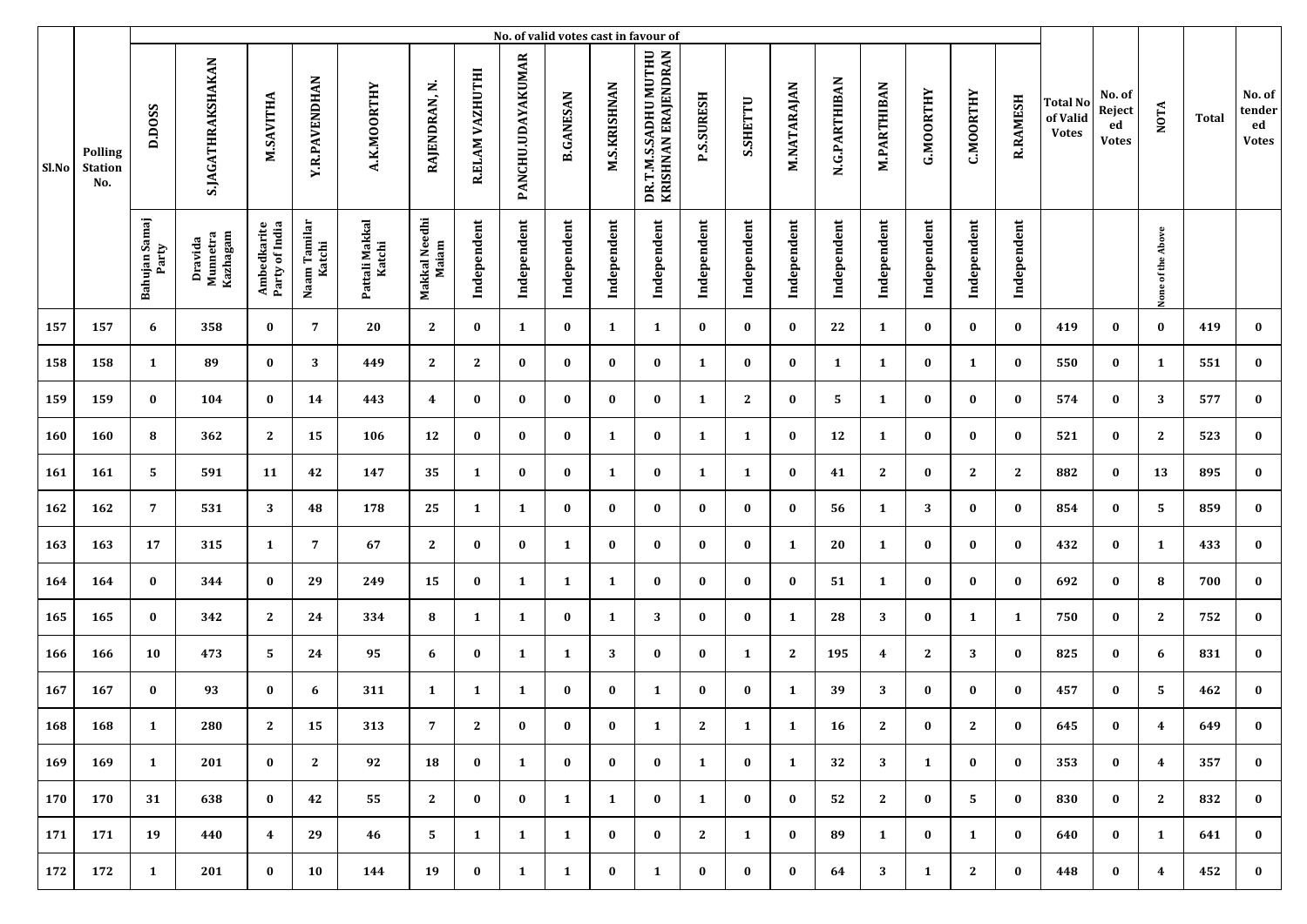|            |                                         |                        |                                 |                               |                        |                          |                        |                 |                   |                  |                     | No. of valid votes cast in favour of        |                   |              |              |               |                    |                  |                  |                 |                                             |                                        |                   |       |                                        |
|------------|-----------------------------------------|------------------------|---------------------------------|-------------------------------|------------------------|--------------------------|------------------------|-----------------|-------------------|------------------|---------------------|---------------------------------------------|-------------------|--------------|--------------|---------------|--------------------|------------------|------------------|-----------------|---------------------------------------------|----------------------------------------|-------------------|-------|----------------------------------------|
| Sl.No      | <b>Polling</b><br><b>Station</b><br>No. | D.DOSS                 | S.JAGATHRAKSHAKAN               | M.SAVITHA                     | <b>Y.R.PAVENDHAN</b>   | A.K.MOORTHY              | RAJENDRAN, N.          | R.ELAM VAZHUTHI | PANCHU.UDAYAKUMAR | <b>B.GANESAN</b> | <b>M.S.KRISHNAN</b> | DR.T.M.S.SADHU MUTHU<br>KRISHNAN ERAJENDRAN | <b>P.S.SURESH</b> | S.SHETTU     | M.NATARAJAN  | N.G.PARTHIBAN | <b>M.PARTHIBAN</b> | <b>G.MOORTHY</b> | <b>C.MOORTHY</b> | <b>R.RAMESH</b> | <b>Total No</b><br>of Valid<br><b>Votes</b> | No. of<br>Reject<br>ed<br><b>Votes</b> | <b>NOTA</b>       | Total | No. of<br>tender<br>ed<br><b>Votes</b> |
|            |                                         | Bahujan Samaj<br>Party | Kazhagam<br>Dravida<br>Munnetra | Ambedkarite<br>Party of India | Naam Tamilar<br>Katchi | Pattali Makkal<br>Katchi | Makkal Needhi<br>Maiam | Independent     | Independent       | Independent      | Independent         | Independent                                 | Independent       | Independent  | Independent  | Independent   | Independent        | Independent      | Independent      | Independent     |                                             |                                        | None of the Above |       |                                        |
| 157        | 157                                     | 6                      | 358                             | $\bf{0}$                      | 7                      | 20                       | $\mathbf{2}$           | $\bf{0}$        | $\mathbf{1}$      | $\bf{0}$         | 1                   | 1                                           | $\bf{0}$          | $\bf{0}$     | $\bf{0}$     | 22            | 1                  | $\bf{0}$         | $\bf{0}$         | $\bf{0}$        | 419                                         | $\bf{0}$                               | $\bf{0}$          | 419   | $\bf{0}$                               |
| 158        | 158                                     | 1                      | 89                              | $\bf{0}$                      | 3                      | 449                      | $\mathbf{2}$           | 2               | $\bf{0}$          | $\bf{0}$         | $\bf{0}$            | $\bf{0}$                                    | 1                 | $\bf{0}$     | $\bf{0}$     | 1             | 1                  | $\bf{0}$         | 1                | $\bf{0}$        | 550                                         | $\bf{0}$                               | 1                 | 551   | $\bf{0}$                               |
| 159        | 159                                     | $\bf{0}$               | 104                             | $\bf{0}$                      | 14                     | 443                      | 4                      | $\bf{0}$        | $\bf{0}$          | $\bf{0}$         | $\bf{0}$            | $\bf{0}$                                    | 1                 | $\mathbf{2}$ | $\bf{0}$     | 5             | 1                  | $\bf{0}$         | $\bf{0}$         | $\bf{0}$        | 574                                         | $\bf{0}$                               | 3                 | 577   | $\bf{0}$                               |
| <b>160</b> | 160                                     | 8                      | 362                             | $\mathbf{2}$                  | 15                     | 106                      | 12                     | $\bf{0}$        | $\bf{0}$          | $\bf{0}$         | 1                   | $\bf{0}$                                    | 1                 | 1            | $\bf{0}$     | 12            | 1                  | $\bf{0}$         | $\bf{0}$         | $\bf{0}$        | 521                                         | $\bf{0}$                               | $\mathbf{2}$      | 523   | $\bf{0}$                               |
| 161        | 161                                     | 5                      | 591                             | 11                            | 42                     | 147                      | 35                     | 1               | $\bf{0}$          | $\bf{0}$         | $\mathbf{1}$        | $\bf{0}$                                    | 1                 | 1            | $\bf{0}$     | 41            | $\mathbf{2}$       | $\bf{0}$         | $\mathbf{2}$     | $\mathbf{2}$    | 882                                         | $\bf{0}$                               | 13                | 895   | $\bf{0}$                               |
| 162        | 162                                     | $\overline{7}$         | 531                             | 3                             | 48                     | 178                      | 25                     | 1               | 1                 | $\bf{0}$         | $\bf{0}$            | $\bf{0}$                                    | $\bf{0}$          | $\bf{0}$     | $\bf{0}$     | 56            | 1                  | 3                | $\bf{0}$         | $\bf{0}$        | 854                                         | $\bf{0}$                               | 5                 | 859   | $\bf{0}$                               |
| 163        | 163                                     | 17                     | 315                             | $\mathbf{1}$                  | 7                      | 67                       | $\mathbf{2}$           | $\bf{0}$        | $\bf{0}$          | 1                | $\bf{0}$            | $\bf{0}$                                    | $\bf{0}$          | $\bf{0}$     | 1            | 20            | 1                  | $\bf{0}$         | $\bf{0}$         | $\bf{0}$        | 432                                         | $\bf{0}$                               | 1                 | 433   | $\bf{0}$                               |
| 164        | 164                                     | $\bf{0}$               | 344                             | $\bf{0}$                      | 29                     | 249                      | 15                     | $\bf{0}$        | 1                 | 1                | 1                   | $\bf{0}$                                    | $\bf{0}$          | $\bf{0}$     | $\bf{0}$     | 51            | 1                  | 0                | $\bf{0}$         | $\bf{0}$        | 692                                         | 0                                      | 8                 | 700   | $\bf{0}$                               |
| 165        | 165                                     | $\bf{0}$               | 342                             | $\mathbf{2}$                  | 24                     | 334                      | 8                      | 1               | 1                 | $\bf{0}$         | 1                   | 3                                           | $\bf{0}$          | $\bf{0}$     | 1            | 28            | 3                  | $\bf{0}$         | $\mathbf{1}$     | 1               | 750                                         | $\bf{0}$                               | 2                 | 752   | $\bf{0}$                               |
| 166        | 166                                     | 10                     | 473                             | 5                             | 24                     | 95                       | 6                      | $\bf{0}$        | 1                 | $\mathbf{1}$     | 3                   | $\bf{0}$                                    | $\bf{0}$          | 1            | $\mathbf{2}$ | 195           | 4                  | $\mathbf{2}$     | 3                | $\bf{0}$        | 825                                         | $\bf{0}$                               | 6                 | 831   | $\bf{0}$                               |
| 167        | 167                                     | $\bf{0}$               | 93                              | $\bf{0}$                      | 6                      | 311                      | $\mathbf{1}$           | 1               | 1                 | $\bf{0}$         | $\bf{0}$            | 1                                           | $\bf{0}$          | $\bf{0}$     | 1            | 39            | 3                  | $\bf{0}$         | $\bf{0}$         | $\bf{0}$        | 457                                         | $\bf{0}$                               | .5                | 462   | $\bf{0}$                               |
| 168        | 168                                     | 1                      | 280                             | 2                             | 15                     | 313                      | 7                      | 2               | 0                 | $\bf{0}$         | $\bf{0}$            | 1                                           | 2                 | $\mathbf{1}$ | 1            | 16            | 2                  | $\bf{0}$         | 2                | $\bf{0}$        | 645                                         | $\bf{0}$                               | 4                 | 649   | $\bf{0}$                               |
| 169        | 169                                     | $\mathbf{1}$           | 201                             | $\bf{0}$                      | $\mathbf{2}$           | 92                       | 18                     | $\bf{0}$        | $\mathbf{1}$      | $\bf{0}$         | $\bf{0}$            | $\bf{0}$                                    | $\mathbf{1}$      | $\bf{0}$     | 1            | 32            | 3                  | 1                | $\bf{0}$         | $\bf{0}$        | 353                                         | $\bf{0}$                               | $\overline{4}$    | 357   | $\bf{0}$                               |
| 170        | 170                                     | 31                     | 638                             | $\bf{0}$                      | 42                     | 55                       | $\mathbf{2}$           | $\bf{0}$        | $\bf{0}$          | $\mathbf{1}$     | 1                   | $\bf{0}$                                    | $\mathbf{1}$      | $\bf{0}$     | $\bf{0}$     | 52            | 2                  | $\bf{0}$         | 5                | $\bf{0}$        | 830                                         | $\bf{0}$                               | $\mathbf{2}$      | 832   | $\bf{0}$                               |
| 171        | 171                                     | 19                     | 440                             | $\overline{4}$                | 29                     | 46                       | 5                      | 1               | $\mathbf{1}$      | 1                | $\bf{0}$            | $\bf{0}$                                    | 2                 | $\mathbf{1}$ | $\bf{0}$     | 89            | 1                  | $\bf{0}$         | 1                | $\bf{0}$        | 640                                         | $\bf{0}$                               | 1                 | 641   | $\bf{0}$                               |
| 172        | 172                                     | $\mathbf{1}$           | 201                             | $\bf{0}$                      | 10                     | 144                      | 19                     | $\bf{0}$        | 1                 | $\mathbf{1}$     | $\bf{0}$            | 1                                           | $\bf{0}$          | $\bf{0}$     | $\bf{0}$     | 64            | 3                  | $\mathbf{1}$     | $\mathbf{2}$     | $\bf{0}$        | 448                                         | $\bf{0}$                               | $\overline{4}$    | 452   | $\bf{0}$                               |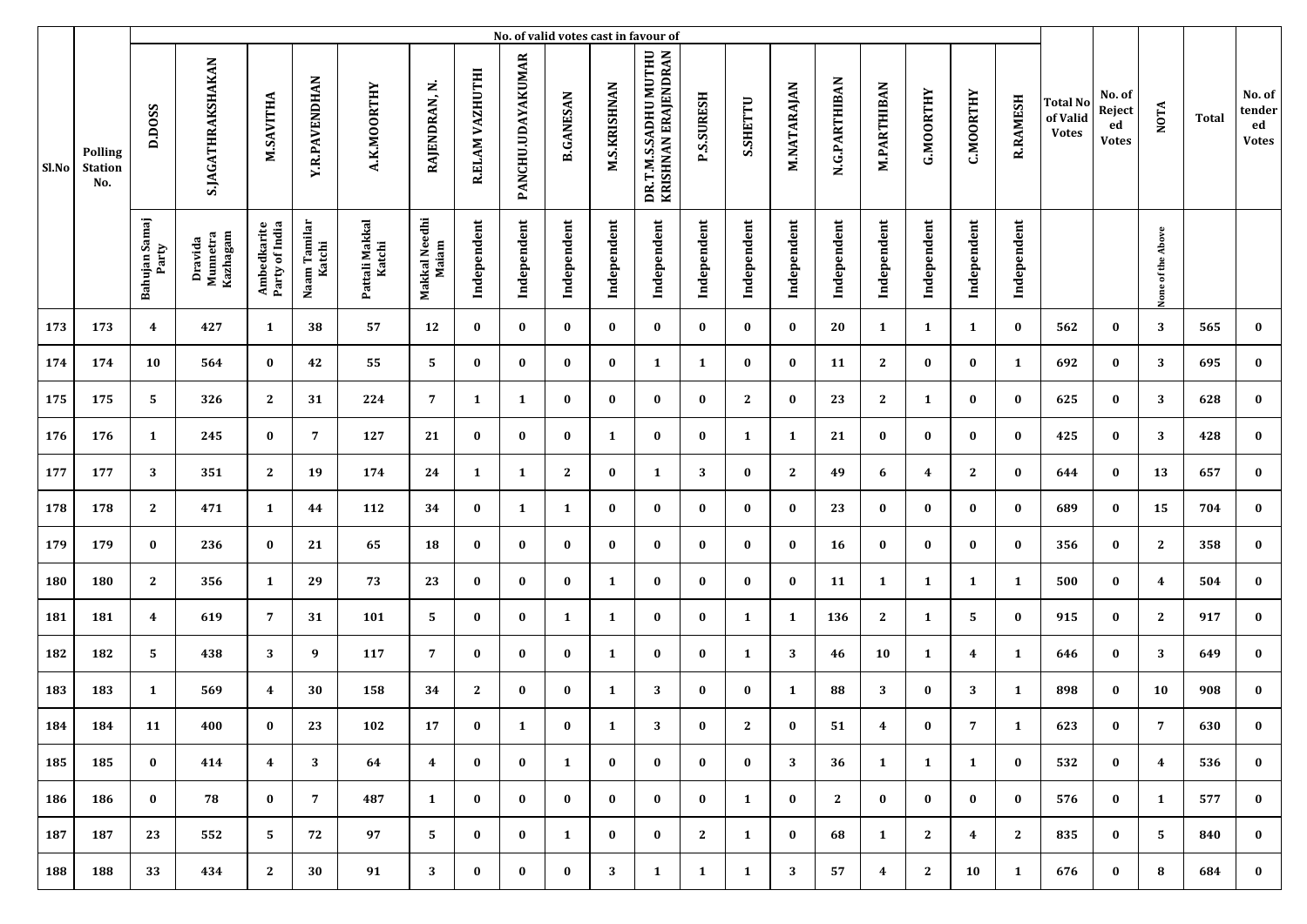|       |                                         |                         |                                 |                               |                        |                          |                        |                 |                   |                  |                     | No. of valid votes cast in favour of        |                   |              |              |               |                    |                  |                  |                 |                                             |                                        |                   |       |                                        |
|-------|-----------------------------------------|-------------------------|---------------------------------|-------------------------------|------------------------|--------------------------|------------------------|-----------------|-------------------|------------------|---------------------|---------------------------------------------|-------------------|--------------|--------------|---------------|--------------------|------------------|------------------|-----------------|---------------------------------------------|----------------------------------------|-------------------|-------|----------------------------------------|
| Sl.No | <b>Polling</b><br><b>Station</b><br>No. | D.DOSS                  | S.JAGATHRAKSHAKAN               | M.SAVITHA                     | <b>Y.R.PAVENDHAN</b>   | A.K.MOORTHY              | RAJENDRAN, N.          | R.ELAM VAZHUTHI | PANCHU.UDAYAKUMAR | <b>B.GANESAN</b> | <b>M.S.KRISHNAN</b> | DR.T.M.S.SADHU MUTHU<br>KRISHNAN ERAJENDRAN | <b>P.S.SURESH</b> | S.SHETTU     | M.NATARAJAN  | N.G.PARTHIBAN | <b>M.PARTHIBAN</b> | <b>G.MOORTHY</b> | <b>C.MOORTHY</b> | <b>R.RAMESH</b> | <b>Total No</b><br>of Valid<br><b>Votes</b> | No. of<br>Reject<br>ed<br><b>Votes</b> | <b>NOTA</b>       | Total | No. of<br>tender<br>ed<br><b>Votes</b> |
|       |                                         | Bahujan Samaj<br>Party  | Kazhagam<br>Dravida<br>Munnetra | Ambedkarite<br>Party of India | Naam Tamilar<br>Katchi | Pattali Makkal<br>Katchi | Makkal Needhi<br>Maiam | Independent     | Independent       | Independent      | Independent         | Independent                                 | Independent       | Independent  | Independent  | Independent   | Independent        | Independent      | Independent      | Independent     |                                             |                                        | None of the Above |       |                                        |
| 173   | 173                                     | $\overline{\mathbf{4}}$ | 427                             | $\mathbf{1}$                  | 38                     | 57                       | 12                     | $\bf{0}$        | $\bf{0}$          | $\bf{0}$         | $\bf{0}$            | $\bf{0}$                                    | $\bf{0}$          | $\bf{0}$     | $\bf{0}$     | 20            | 1                  | 1                | $\mathbf{1}$     | $\bf{0}$        | 562                                         | $\bf{0}$                               | 3                 | 565   | $\bf{0}$                               |
| 174   | 174                                     | 10                      | 564                             | $\bf{0}$                      | 42                     | 55                       | 5                      | $\bf{0}$        | $\bf{0}$          | $\bf{0}$         | $\bf{0}$            | 1                                           | 1                 | $\bf{0}$     | $\bf{0}$     | 11            | $\mathbf{2}$       | $\bf{0}$         | $\bf{0}$         | $\mathbf{1}$    | 692                                         | $\bf{0}$                               | 3                 | 695   | $\bf{0}$                               |
| 175   | 175                                     | 5                       | 326                             | $\mathbf{2}$                  | 31                     | 224                      | 7                      | 1               | 1                 | $\bf{0}$         | $\bf{0}$            | $\bf{0}$                                    | $\bf{0}$          | $\mathbf{2}$ | $\bf{0}$     | 23            | $\mathbf{2}$       | 1                | $\bf{0}$         | $\bf{0}$        | 625                                         | $\bf{0}$                               | 3                 | 628   | $\bf{0}$                               |
| 176   | 176                                     | 1                       | 245                             | $\bf{0}$                      | 7                      | 127                      | 21                     | $\bf{0}$        | $\bf{0}$          | $\bf{0}$         | 1                   | $\bf{0}$                                    | $\bf{0}$          | 1            | 1            | 21            | $\bf{0}$           | $\bf{0}$         | $\bf{0}$         | $\bf{0}$        | 425                                         | $\bf{0}$                               | 3                 | 428   | $\bf{0}$                               |
| 177   | 177                                     | 3                       | 351                             | $\mathbf{2}$                  | 19                     | 174                      | 24                     | 1               | $\mathbf{1}$      | 2                | $\bf{0}$            | 1                                           | 3                 | $\bf{0}$     | $\mathbf{2}$ | 49            | 6                  | 4                | $\mathbf{2}$     | $\bf{0}$        | 644                                         | $\bf{0}$                               | 13                | 657   | $\bf{0}$                               |
| 178   | 178                                     | $\mathbf{2}$            | 471                             | $\mathbf{1}$                  | 44                     | 112                      | 34                     | $\bf{0}$        | 1                 | $\mathbf{1}$     | $\bf{0}$            | $\bf{0}$                                    | $\bf{0}$          | $\bf{0}$     | $\bf{0}$     | 23            | $\bf{0}$           | $\bf{0}$         | $\bf{0}$         | $\bf{0}$        | 689                                         | $\bf{0}$                               | 15                | 704   | $\bf{0}$                               |
| 179   | 179                                     | $\bf{0}$                | 236                             | $\bf{0}$                      | 21                     | 65                       | 18                     | $\bf{0}$        | $\bf{0}$          | $\bf{0}$         | $\bf{0}$            | $\bf{0}$                                    | $\bf{0}$          | $\bf{0}$     | $\bf{0}$     | 16            | 0                  | $\bf{0}$         | $\bf{0}$         | $\bf{0}$        | 356                                         | $\bf{0}$                               | $\mathbf{2}$      | 358   | $\bf{0}$                               |
| 180   | 180                                     | $\mathbf{2}$            | 356                             | $\mathbf{1}$                  | 29                     | 73                       | 23                     | $\bf{0}$        | $\bf{0}$          | $\bf{0}$         | 1                   | $\bf{0}$                                    | $\bf{0}$          | $\bf{0}$     | $\bf{0}$     | 11            | 1                  | -1               | 1                | $\mathbf{1}$    | 500                                         | 0                                      | 4                 | 504   | $\bf{0}$                               |
| 181   | 181                                     | $\overline{\mathbf{4}}$ | 619                             | 7                             | 31                     | 101                      | 5                      | $\bf{0}$        | $\bf{0}$          | 1                | 1                   | $\bf{0}$                                    | $\bf{0}$          | 1            | 1            | 136           | 2                  | 1                | 5                | $\bf{0}$        | 915                                         | $\bf{0}$                               | 2                 | 917   | $\bf{0}$                               |
| 182   | 182                                     | 5                       | 438                             | 3                             | 9                      | 117                      | 7                      | $\bf{0}$        | $\bf{0}$          | $\bf{0}$         | 1                   | $\bf{0}$                                    | $\bf{0}$          | 1            | 3            | 46            | 10                 | 1                | 4                | 1               | 646                                         | $\bf{0}$                               | 3                 | 649   | $\bf{0}$                               |
| 183   | 183                                     | 1                       | 569                             | $\overline{\mathbf{4}}$       | 30                     | 158                      | 34                     | 2               | $\bf{0}$          | $\bf{0}$         | 1                   | 3                                           | $\bf{0}$          | $\bf{0}$     | 1            | 88            | 3                  | $\bf{0}$         | 3                | 1               | 898                                         | $\bf{0}$                               | 10                | 908   | $\bf{0}$                               |
| 184   | 184                                     | 11                      | 400                             | $\bf{0}$                      | 23                     | 102                      | 17                     | $\bf{0}$        | 1                 | $\bf{0}$         | 1                   | 3                                           | $\bf{0}$          | 2            | $\bf{0}$     | 51            | 4                  | $\bf{0}$         | 7                | 1               | 623                                         | $\bf{0}$                               | 7                 | 630   | $\bf{0}$                               |
| 185   | 185                                     | $\bf{0}$                | 414                             | $\overline{4}$                | 3 <sup>7</sup>         | 64                       | 4                      | $\bf{0}$        | $\bf{0}$          | $\mathbf{1}$     | $\bf{0}$            | $\bf{0}$                                    | $\bf{0}$          | $\bf{0}$     | 3            | 36            | 1                  | 1                | 1                | $\bf{0}$        | 532                                         | $\bf{0}$                               | $\overline{4}$    | 536   | $\bf{0}$                               |
| 186   | 186                                     | $\bf{0}$                | 78                              | $\bf{0}$                      | 7                      | 487                      | $\mathbf{1}$           | $\bf{0}$        | $\bf{0}$          | $\bf{0}$         | $\bf{0}$            | $\bf{0}$                                    | $\bf{0}$          | $\mathbf{1}$ | $\bf{0}$     | 2             | $\bf{0}$           | $\bf{0}$         | $\bf{0}$         | $\bf{0}$        | 576                                         | $\bf{0}$                               | 1                 | 577   | $\bf{0}$                               |
| 187   | 187                                     | 23                      | 552                             | 5                             | 72                     | 97                       | 5                      | $\bf{0}$        | $\bf{0}$          | $\mathbf{1}$     | $\bf{0}$            | $\bf{0}$                                    | 2                 | $\mathbf{1}$ | $\bf{0}$     | 68            | 1                  | 2                | $\overline{4}$   | $\mathbf{2}$    | 835                                         | $\bf{0}$                               | 5                 | 840   | $\bf{0}$                               |
| 188   | 188                                     | 33                      | 434                             | 2                             | 30                     | 91                       | 3                      | $\bf{0}$        | $\bf{0}$          | $\bf{0}$         | 3                   | 1                                           | $\mathbf{1}$      | $\mathbf{1}$ | 3            | 57            | $\boldsymbol{4}$   | $\mathbf{2}$     | 10               | $\mathbf{1}$    | 676                                         | $\bf{0}$                               | 8                 | 684   | $\bf{0}$                               |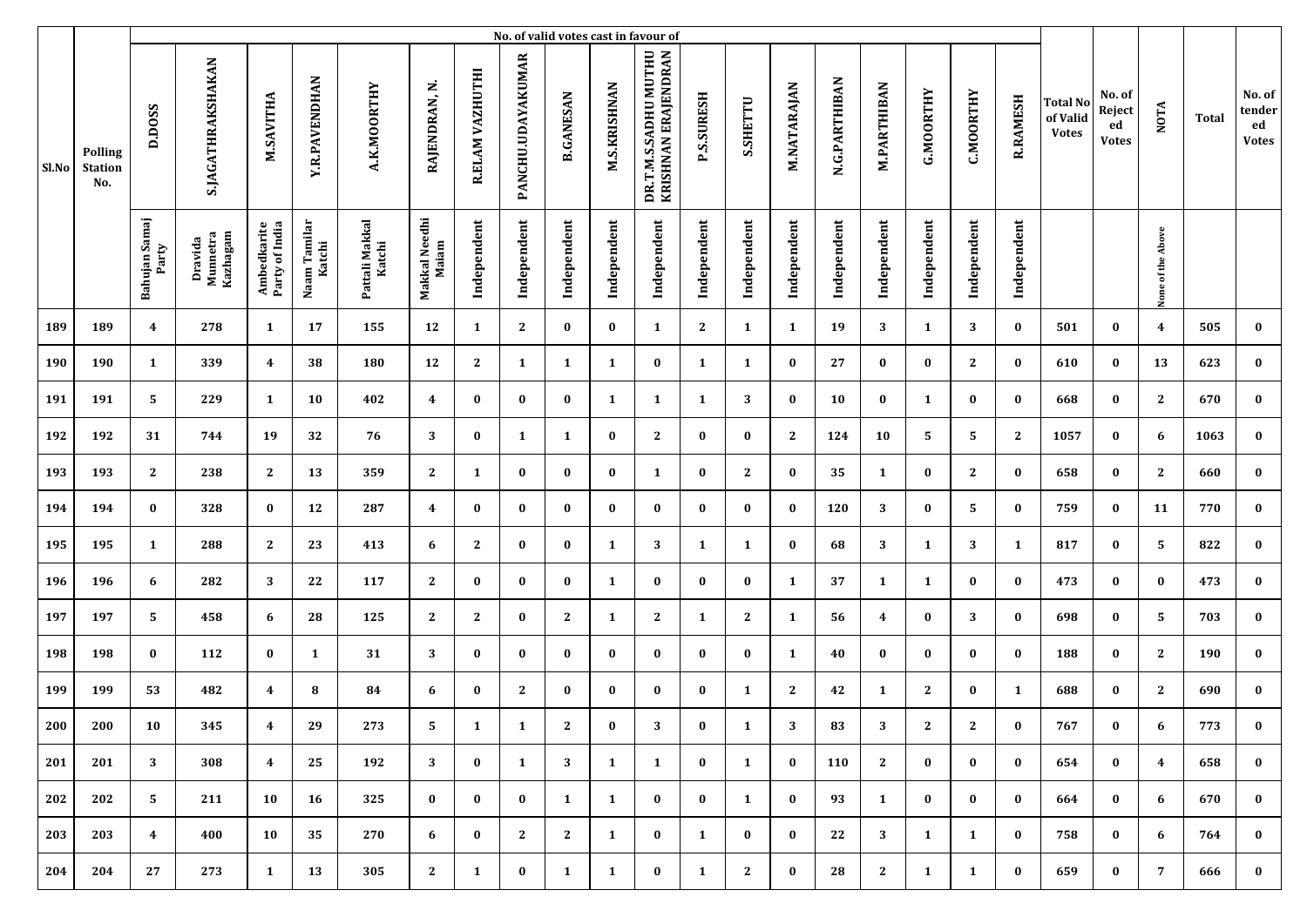|       |                                         | No. of valid votes cast in favour of |                                 |                               |                        |                          |                        |                 |                   |                  |                     |                                             |                   |              |              |               |                    |                  |                  |                 |                                             |                                        |                   |       |                                        |
|-------|-----------------------------------------|--------------------------------------|---------------------------------|-------------------------------|------------------------|--------------------------|------------------------|-----------------|-------------------|------------------|---------------------|---------------------------------------------|-------------------|--------------|--------------|---------------|--------------------|------------------|------------------|-----------------|---------------------------------------------|----------------------------------------|-------------------|-------|----------------------------------------|
| Sl.No | <b>Polling</b><br><b>Station</b><br>No. | D.DOSS                               | S.JAGATHRAKSHAKAN               | M.SAVITHA                     | <b>Y.R.PAVENDHAN</b>   | A.K.MOORTHY              | RAJENDRAN, N.          | R.ELAM VAZHUTHI | PANCHU.UDAYAKUMAR | <b>B.GANESAN</b> | <b>M.S.KRISHNAN</b> | DR.T.M.S.SADHU MUTHU<br>KRISHNAN ERAJENDRAN | <b>P.S.SURESH</b> | S.SHETTU     | M.NATARAJAN  | N.G.PARTHIBAN | <b>M.PARTHIBAN</b> | <b>G.MOORTHY</b> | <b>C.MOORTHY</b> | <b>R.RAMESH</b> | <b>Total No</b><br>of Valid<br><b>Votes</b> | No. of<br>Reject<br>ed<br><b>Votes</b> | <b>NOTA</b>       | Total | No. of<br>tender<br>ed<br><b>Votes</b> |
|       |                                         | Bahujan Samaj<br>Party               | Kazhagam<br>Dravida<br>Munnetra | Ambedkarite<br>Party of India | Naam Tamilar<br>Katchi | Pattali Makkal<br>Katchi | Makkal Needhi<br>Maiam | Independent     | Independent       | Independent      | Independent         | Independent                                 | Independent       | Independent  | Independent  | Independent   | Independent        | Independent      | Independent      | Independent     |                                             |                                        | None of the Above |       |                                        |
| 189   | 189                                     | $\overline{\mathbf{4}}$              | 278                             | $\mathbf{1}$                  | 17                     | 155                      | 12                     | 1               | $\mathbf{2}$      | $\bf{0}$         | $\bf{0}$            | 1                                           | $\mathbf{2}$      | $\mathbf{1}$ | 1            | 19            | 3                  | 1                | 3                | $\bf{0}$        | 501                                         | $\bf{0}$                               | $\overline{4}$    | 505   | $\bf{0}$                               |
| 190   | 190                                     | 1                                    | 339                             | $\overline{\mathbf{4}}$       | 38                     | 180                      | 12                     | 2               | 1                 | 1                | 1                   | $\bf{0}$                                    | 1                 | 1            | $\bf{0}$     | 27            | 0                  | $\bf{0}$         | $\mathbf{2}$     | $\bf{0}$        | 610                                         | $\bf{0}$                               | 13                | 623   | $\bf{0}$                               |
| 191   | 191                                     | 5                                    | 229                             | 1                             | 10                     | 402                      | 4                      | $\bf{0}$        | $\bf{0}$          | $\bf{0}$         | 1                   | 1                                           | 1                 | 3            | $\bf{0}$     | 10            | $\bf{0}$           | 1                | $\bf{0}$         | $\bf{0}$        | 668                                         | $\bf{0}$                               | $\mathbf{2}$      | 670   | $\bf{0}$                               |
| 192   | 192                                     | 31                                   | 744                             | 19                            | 32                     | 76                       | 3                      | $\bf{0}$        | 1                 | 1                | $\bf{0}$            | $\mathbf{2}$                                | $\bf{0}$          | $\bf{0}$     | 2            | 124           | 10                 | 5                | 5                | $\mathbf{2}$    | 1057                                        | $\bf{0}$                               | 6                 | 1063  | $\bf{0}$                               |
| 193   | 193                                     | $\mathbf{2}$                         | 238                             | $\mathbf{2}$                  | 13                     | 359                      | $\mathbf{2}$           | 1               | $\bf{0}$          | $\bf{0}$         | $\bf{0}$            | 1                                           | $\bf{0}$          | $\mathbf{2}$ | $\bf{0}$     | 35            | 1                  | $\bf{0}$         | $\mathbf{2}$     | $\bf{0}$        | 658                                         | $\bf{0}$                               | $\mathbf{2}$      | 660   | $\bf{0}$                               |
| 194   | 194                                     | $\bf{0}$                             | 328                             | $\bf{0}$                      | 12                     | 287                      | 4                      | $\bf{0}$        | $\bf{0}$          | $\bf{0}$         | $\bf{0}$            | $\bf{0}$                                    | $\bf{0}$          | $\bf{0}$     | $\bf{0}$     | 120           | 3                  | $\bf{0}$         | 5                | $\bf{0}$        | 759                                         | $\bf{0}$                               | 11                | 770   | $\bf{0}$                               |
| 195   | 195                                     | $\mathbf{1}$                         | 288                             | $\mathbf{2}$                  | 23                     | 413                      | 6                      | 2               | $\bf{0}$          | $\bf{0}$         | 1                   | 3                                           | 1                 | $\mathbf{1}$ | $\bf{0}$     | 68            | 3                  | 1                | 3                | 1               | 817                                         | $\bf{0}$                               | 5                 | 822   | $\bf{0}$                               |
| 196   | 196                                     | 6                                    | 282                             | 3                             | 22                     | 117                      | $\mathbf{2}$           | $\bf{0}$        | $\bf{0}$          | $\bf{0}$         | 1                   | $\bf{0}$                                    | $\bf{0}$          | $\bf{0}$     | 1            | 37            | 1                  | 1                | $\bf{0}$         | $\bf{0}$        | 473                                         | 0                                      | $\bf{0}$          | 473   | $\bf{0}$                               |
| 197   | 197                                     | 5                                    | 458                             | 6                             | 28                     | 125                      | $\mathbf{2}$           | 2               | $\bf{0}$          | 2                | $\mathbf{1}$        | 2                                           | 1                 | $\mathbf{2}$ | 1            | 56            | 4                  | $\bf{0}$         | 3                | $\bf{0}$        | 698                                         | $\bf{0}$                               | 5                 | 703   | $\bf{0}$                               |
| 198   | 198                                     | $\bf{0}$                             | 112                             | $\bf{0}$                      | 1                      | 31                       | 3                      | $\bf{0}$        | $\bf{0}$          | $\bf{0}$         | $\bf{0}$            | $\bf{0}$                                    | $\bf{0}$          | $\bf{0}$     | 1            | 40            | $\bf{0}$           | $\bf{0}$         | $\bf{0}$         | $\bf{0}$        | 188                                         | $\bf{0}$                               | $\mathbf{2}$      | 190   | $\bf{0}$                               |
| 199   | 199                                     | 53                                   | 482                             | $\overline{\mathbf{4}}$       | 8                      | 84                       | 6                      | $\bf{0}$        | $\mathbf{2}$      | $\bf{0}$         | $\bf{0}$            | $\bf{0}$                                    | $\bf{0}$          | 1            | $\mathbf{2}$ | 42            | 1                  | $\mathbf{2}$     | $\bf{0}$         | $\mathbf{1}$    | 688                                         | $\bf{0}$                               | $\mathbf{2}$      | 690   | $\bf{0}$                               |
| 200   | 200                                     | 10                                   | 345                             | 4                             | 29                     | 273                      | 5                      | 1               | 1                 | 2                | $\bf{0}$            | 3                                           | $\bf{0}$          | $\mathbf{1}$ | 3            | 83            | 3                  | 2                | 2                | $\bf{0}$        | 767                                         | $\bf{0}$                               | 6                 | 773   | $\bf{0}$                               |
| 201   | 201                                     | 3                                    | 308                             | $\overline{4}$                | 25                     | 192                      | 3                      | $\bf{0}$        | $\mathbf{1}$      | 3                | 1                   | 1                                           | $\bf{0}$          | $\mathbf{1}$ | $\bf{0}$     | 110           | $\mathbf{2}$       | $\bf{0}$         | $\bf{0}$         | $\bf{0}$        | 654                                         | $\bf{0}$                               | $\overline{4}$    | 658   | $\bf{0}$                               |
| 202   | 202                                     | 5.                                   | 211                             | 10                            | 16                     | 325                      | $\bf{0}$               | $\bf{0}$        | $\bf{0}$          | $\mathbf{1}$     | 1                   | $\bf{0}$                                    | $\bf{0}$          | $\mathbf{1}$ | $\bf{0}$     | 93            | 1                  | $\bf{0}$         | $\bf{0}$         | $\bf{0}$        | 664                                         | $\bf{0}$                               | 6                 | 670   | $\bf{0}$                               |
| 203   | 203                                     | $\overline{4}$                       | 400                             | 10                            | 35                     | 270                      | 6                      | $\bf{0}$        | $\mathbf{2}$      | 2                | 1                   | $\bf{0}$                                    | $\mathbf{1}$      | $\bf{0}$     | $\bf{0}$     | 22            | 3                  | 1                | 1                | $\bf{0}$        | 758                                         | $\bf{0}$                               | 6                 | 764   | $\bf{0}$                               |
| 204   | 204                                     | 27                                   | 273                             | $\mathbf{1}$                  | 13                     | 305                      | $\mathbf{2}$           | $\mathbf{1}$    | $\bf{0}$          | $\mathbf{1}$     | $\mathbf{1}$        | $\bf{0}$                                    | $\mathbf{1}$      | $\mathbf{2}$ | $\bf{0}$     | 28            | $\mathbf{2}$       | $\mathbf{1}$     | $\mathbf{1}$     | $\bf{0}$        | 659                                         | $\bf{0}$                               | $7\overline{ }$   | 666   | $\bf{0}$                               |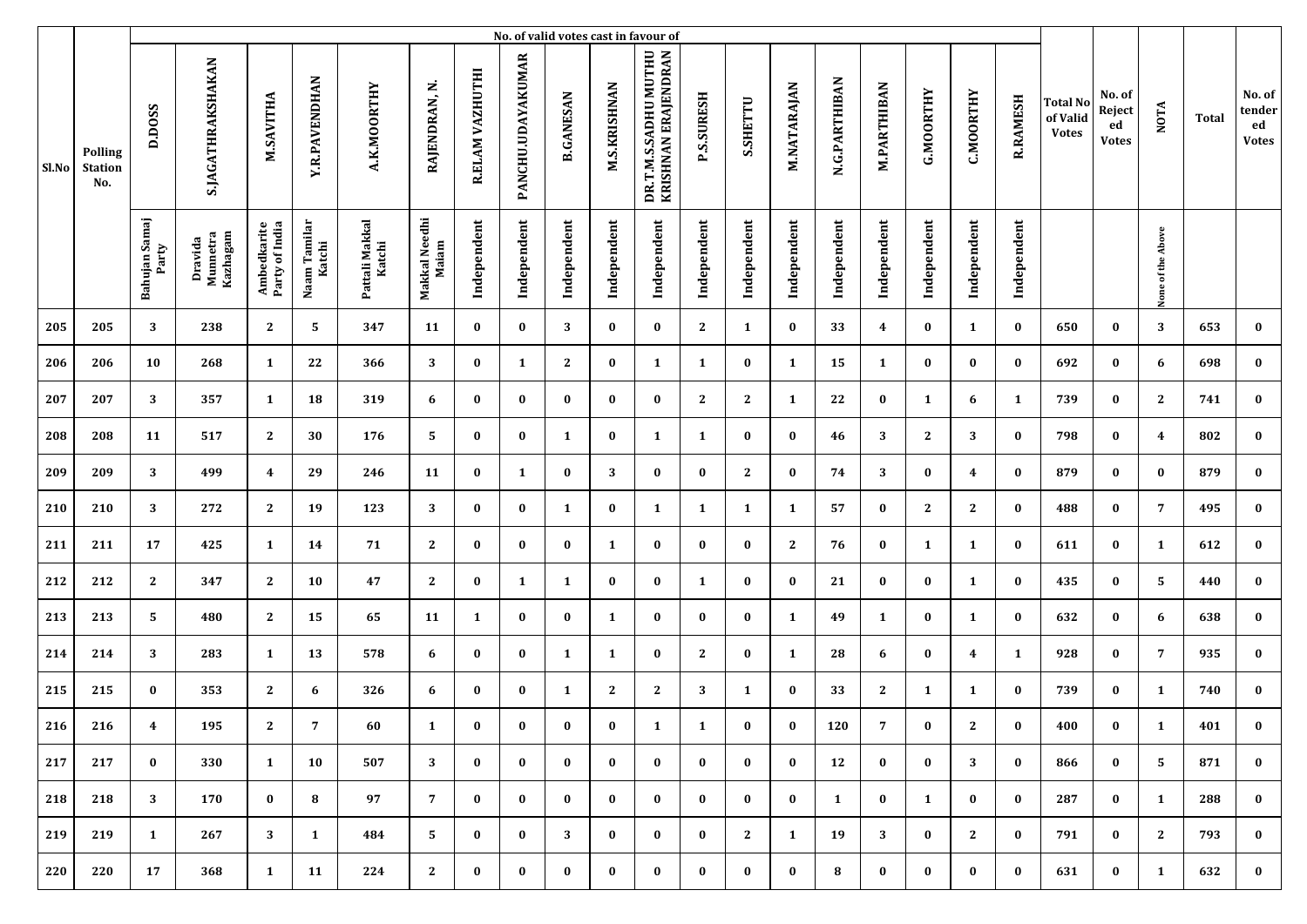|       | No. of valid votes cast in favour of    |                        |                                 |                               |                        |                          |                        |                 |                   |                  |                     |                                             |                   |              |             |               |                    |                  |                  |                 |                                             |                                        |                   |              |                                        |
|-------|-----------------------------------------|------------------------|---------------------------------|-------------------------------|------------------------|--------------------------|------------------------|-----------------|-------------------|------------------|---------------------|---------------------------------------------|-------------------|--------------|-------------|---------------|--------------------|------------------|------------------|-----------------|---------------------------------------------|----------------------------------------|-------------------|--------------|----------------------------------------|
| Sl.No | <b>Polling</b><br><b>Station</b><br>No. | D.DOSS                 | <b>S.JAGATHRAKSHAKAN</b>        | M.SAVITHA                     | <b>Y.R.PAVENDHAN</b>   | A.K.MOORTHY              | RAJENDRAN, N           | R.ELAM VAZHUTHI | PANCHU.UDAYAKUMAR | <b>B.GANESAN</b> | <b>M.S.KRISHNAN</b> | DR.T.M.S.SADHU MUTHU<br>KRISHNAN ERAJENDRAN | <b>P.S.SURESH</b> | S.SHETTU     | M.NATARAJAN | N.G.PARTHIBAN | <b>M.PARTHIBAN</b> | <b>G.MOORTHY</b> | <b>C.MOORTHY</b> | <b>R.RAMESH</b> | <b>Total No</b><br>of Valid<br><b>Votes</b> | No. of<br>Reject<br>ed<br><b>Votes</b> | <b>NOTA</b>       | <b>Total</b> | No. of<br>tender<br>ed<br><b>Votes</b> |
|       |                                         | Bahujan Samaj<br>Party | Dravida<br>Munnetra<br>Kazhagam | Ambedkarite<br>Party of India | Naam Tamilar<br>Katchi | Pattali Makkal<br>Katchi | Makkal Needhi<br>Maiam | Independent     | Independent       | Independent      | Independent         | Independent                                 | Independent       | Independent  | Independent | Independent   | Independent        | Independent      | Independent      | Independent     |                                             |                                        | None of the Above |              |                                        |
| 205   | 205                                     | 3                      | 238                             | $\mathbf{2}$                  | 5                      | 347                      | 11                     | $\bf{0}$        | $\bf{0}$          | 3                | $\bf{0}$            | $\bf{0}$                                    | $\mathbf{2}$      | 1            | $\bf{0}$    | 33            | 4                  | $\bf{0}$         | $\mathbf{1}$     | $\bf{0}$        | 650                                         | $\bf{0}$                               | 3                 | 653          | $\bf{0}$                               |
| 206   | 206                                     | 10                     | 268                             | $\mathbf{1}$                  | 22                     | 366                      | 3                      | $\bf{0}$        | 1                 | 2                | $\bf{0}$            | 1                                           | 1                 | $\bf{0}$     | 1           | 15            | 1                  | $\bf{0}$         | $\bf{0}$         | $\bf{0}$        | 692                                         | $\bf{0}$                               | 6                 | 698          | $\bf{0}$                               |
| 207   | 207                                     | 3                      | 357                             | $\mathbf{1}$                  | 18                     | 319                      | 6                      | $\bf{0}$        | $\bf{0}$          | $\bf{0}$         | $\bf{0}$            | $\bf{0}$                                    | $\mathbf{2}$      | $\mathbf{2}$ | 1           | 22            | $\bf{0}$           | 1                | 6                | $\mathbf{1}$    | 739                                         | $\bf{0}$                               | $\mathbf{2}$      | 741          | $\bf{0}$                               |
| 208   | 208                                     | 11                     | 517                             | $\mathbf{2}$                  | 30                     | 176                      | 5                      | $\bf{0}$        | $\bf{0}$          | 1                | $\bf{0}$            | 1                                           | 1                 | $\bf{0}$     | $\bf{0}$    | 46            | 3                  | $\mathbf{2}$     | 3                | $\bf{0}$        | 798                                         | $\bf{0}$                               | 4                 | 802          | $\bf{0}$                               |
| 209   | 209                                     | 3                      | 499                             | $\overline{4}$                | 29                     | 246                      | 11                     | $\bf{0}$        | 1                 | $\bf{0}$         | 3                   | $\bf{0}$                                    | $\bf{0}$          | $\mathbf{2}$ | $\bf{0}$    | 74            | 3                  | $\bf{0}$         | 4                | $\bf{0}$        | 879                                         | $\bf{0}$                               | $\bf{0}$          | 879          | $\bf{0}$                               |
| 210   | 210                                     | 3                      | 272                             | $\mathbf{2}$                  | 19                     | 123                      | 3                      | $\bf{0}$        | $\bf{0}$          | $\mathbf{1}$     | $\bf{0}$            | 1                                           | 1                 | $\mathbf{1}$ | 1           | 57            | $\bf{0}$           | $\mathbf{2}$     | $\mathbf{2}$     | $\bf{0}$        | 488                                         | $\bf{0}$                               | $\overline{7}$    | 495          | $\bf{0}$                               |
| 211   | 211                                     | 17                     | 425                             | $\mathbf{1}$                  | 14                     | 71                       | $\mathbf{2}$           | $\bf{0}$        | $\bf{0}$          | $\bf{0}$         | 1                   | $\bf{0}$                                    | $\bf{0}$          | $\bf{0}$     | 2           | 76            | $\bf{0}$           | 1                | $\mathbf{1}$     | $\bf{0}$        | 611                                         | $\bf{0}$                               | 1                 | 612          | $\bf{0}$                               |
| 212   | 212                                     | $\mathbf{2}$           | 347                             | $\mathbf{2}$                  | 10                     | 47                       | $\mathbf{2}$           | $\bf{0}$        | 1                 | 1                | $\bf{0}$            | $\bf{0}$                                    | $\mathbf{1}$      | $\bf{0}$     | $\bf{0}$    | 21            | 0                  | $\bf{0}$         | 1                | $\bf{0}$        | 435                                         | $\bf{0}$                               | 5                 | 440          | $\bf{0}$                               |
| 213   | 213                                     | 5                      | 480                             | $\mathbf{2}$                  | 15                     | 65                       | 11                     | 1               | $\bf{0}$          | $\bf{0}$         | 1                   | $\bf{0}$                                    | $\bf{0}$          | $\bf{0}$     | 1           | 49            | 1                  | 0                | $\mathbf{1}$     | $\bf{0}$        | 632                                         | $\bf{0}$                               | 6                 | 638          | $\bf{0}$                               |
| 214   | 214                                     | 3                      | 283                             | 1                             | 13                     | 578                      | 6                      | $\bf{0}$        | $\bf{0}$          | 1                | 1                   | $\bf{0}$                                    | $\mathbf{2}$      | $\bf{0}$     | 1           | 28            | 6                  | $\bf{0}$         | 4                | 1               | 928                                         | $\bf{0}$                               | $\overline{7}$    | 935          | $\bf{0}$                               |
| 215   | 215                                     | $\bf{0}$               | 353                             | $\mathbf{2}$                  | 6                      | 326                      | 6                      | $\bf{0}$        | $\bf{0}$          | 1                | $\boldsymbol{2}$    | $\mathbf{2}$                                | 3                 | 1            | $\bf{0}$    | 33            | $\mathbf{2}$       | 1                | 1                | $\bf{0}$        | 739                                         | $\bf{0}$                               | 1                 | 740          | $\bf{0}$                               |
| 216   | 216                                     | $\overline{4}$         | 195                             | 2                             | 7                      | 60                       | 1                      | $\bf{0}$        | $\bf{0}$          | $\bf{0}$         | $\bf{0}$            | 1                                           | 1                 | $\bf{0}$     | $\bf{0}$    | 120           | 7                  | $\bf{0}$         | 2                | $\bf{0}$        | 400                                         | $\bf{0}$                               | 1                 | 401          | $\bf{0}$                               |
| 217   | 217                                     | $\bf{0}$               | 330                             | $\mathbf{1}$                  | 10                     | 507                      | 3                      | $\bf{0}$        | $\bf{0}$          | $\bf{0}$         | $\bf{0}$            | $\bf{0}$                                    | $\bf{0}$          | $\bf{0}$     | $\bf{0}$    | 12            | 0                  | $\bf{0}$         | 3                | $\bf{0}$        | 866                                         | $\bf{0}$                               | 5                 | 871          | $\bf{0}$                               |
| 218   | 218                                     | 3                      | 170                             | $\bf{0}$                      | 8                      | 97                       | $7^{\circ}$            | $\bf{0}$        | $\bf{0}$          | $\bf{0}$         | $\bf{0}$            | $\bf{0}$                                    | $\bf{0}$          | $\bf{0}$     | $\bf{0}$    | 1             | $\bf{0}$           | 1                | $\bf{0}$         | $\bf{0}$        | 287                                         | $\bf{0}$                               | 1                 | 288          | $\bf{0}$                               |
| 219   | 219                                     | $\mathbf{1}$           | 267                             | 3                             | $\mathbf{1}$           | 484                      | 5                      | $\bf{0}$        | $\bf{0}$          | 3                | $\bf{0}$            | $\bf{0}$                                    | $\bf{0}$          | $\mathbf{2}$ | 1           | 19            | 3                  | $\bf{0}$         | $\mathbf{2}$     | $\bf{0}$        | 791                                         | $\bf{0}$                               | $\mathbf{2}$      | 793          | $\bf{0}$                               |
| 220   | 220                                     | 17                     | 368                             | $\mathbf{1}$                  | 11                     | 224                      | $\mathbf{2}$           | $\bf{0}$        | $\bf{0}$          | $\bf{0}$         | $\bf{0}$            | $\bf{0}$                                    | $\bf{0}$          | $\bf{0}$     | $\bf{0}$    | 8             | $\bf{0}$           | $\bf{0}$         | $\bf{0}$         | $\bf{0}$        | 631                                         | $\bf{0}$                               | 1                 | 632          | $\bf{0}$                               |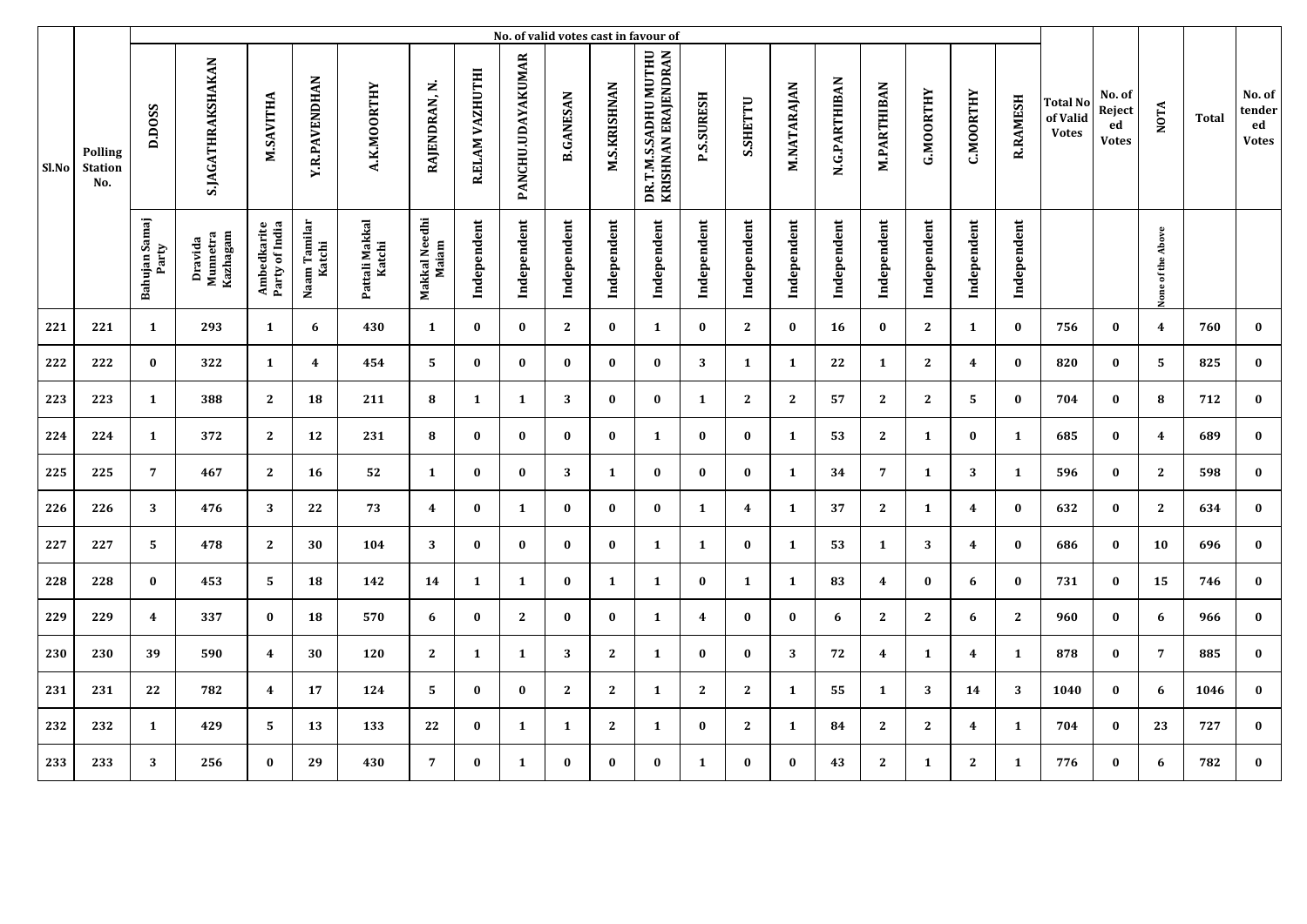|       | No. of valid votes cast in favour of |                         |                                 |                               |                        |                          |                        |                 |                   |                  |                     |                                             |                         |              |              |               |                    |                  |                  |                 |                                      |                                        |                   |       |                                        |
|-------|--------------------------------------|-------------------------|---------------------------------|-------------------------------|------------------------|--------------------------|------------------------|-----------------|-------------------|------------------|---------------------|---------------------------------------------|-------------------------|--------------|--------------|---------------|--------------------|------------------|------------------|-----------------|--------------------------------------|----------------------------------------|-------------------|-------|----------------------------------------|
| Sl.No | Polling<br><b>Station</b><br>No.     | D.DOSS                  | <b>S.JAGATHRAKSHAKAN</b>        | M.SAVITHA                     | <b>Y.R.PAVENDHAN</b>   | A.K.MOORTHY              | RAJENDRAN, N.          | R.ELAM VAZHUTHI | PANCHU.UDAYAKUMAR | <b>B.GANESAN</b> | <b>M.S.KRISHNAN</b> | DR.T.M.S.SADHU MUTHU<br>KRISHNAN ERAJENDRAN | <b>P.S.SURESH</b>       | S.SHETTU     | M.NATARAJAN  | N.G.PARTHIBAN | <b>M.PARTHIBAN</b> | <b>G.MOORTHY</b> | <b>C.MOORTHY</b> | <b>R.RAMESH</b> | Total No<br>of Valid<br><b>Votes</b> | No. of<br>Reject<br>ed<br><b>Votes</b> | <b>NOTA</b>       | Total | No. of<br>tender<br>ed<br><b>Votes</b> |
|       |                                      | Bahujan Samaj<br>Party  | Kazhagam<br>Dravida<br>Munnetra | Ambedkarite<br>Party of India | Naam Tamilar<br>Katchi | Pattali Makkal<br>Katchi | Makkal Needhi<br>Maiam | Independent     | Independent       | Independent      | Independent         | Independent                                 | Independent             | Independent  | Independent  | Independent   | Independent        | Independent      | Independent      | Independent     |                                      |                                        | None of the Above |       |                                        |
| 221   | 221                                  | $\mathbf{1}$            | 293                             | $\mathbf{1}$                  | 6                      | 430                      | $\mathbf{1}$           | $\bf{0}$        | $\bf{0}$          | $\mathbf{2}$     | $\bf{0}$            | $\mathbf{1}$                                | $\bf{0}$                | $\mathbf{2}$ | $\bf{0}$     | 16            | $\bf{0}$           | $\mathbf{2}$     | $\mathbf{1}$     | $\bf{0}$        | 756                                  | $\bf{0}$                               | $\boldsymbol{4}$  | 760   | $\bf{0}$                               |
| 222   | 222                                  | $\bf{0}$                | 322                             | $\mathbf{1}$                  | 4                      | 454                      | 5                      | $\bf{0}$        | $\bf{0}$          | $\bf{0}$         | $\bf{0}$            | $\bf{0}$                                    | 3                       | 1            | 1            | 22            | $\mathbf{1}$       | $\mathbf{2}$     | $\boldsymbol{4}$ | $\bf{0}$        | 820                                  | $\bf{0}$                               | 5                 | 825   | $\bf{0}$                               |
| 223   | 223                                  | 1                       | 388                             | $\mathbf{2}$                  | 18                     | 211                      | 8                      | 1               | $\mathbf{1}$      | 3                | $\bf{0}$            | $\bf{0}$                                    | 1                       | $\mathbf{2}$ | $\mathbf{2}$ | 57            | $\mathbf{2}$       | 2                | 5                | $\bf{0}$        | 704                                  | $\bf{0}$                               | 8                 | 712   | $\bf{0}$                               |
| 224   | 224                                  | 1                       | 372                             | $\mathbf{2}$                  | 12                     | 231                      | 8                      | $\bf{0}$        | $\bf{0}$          | $\bf{0}$         | $\bf{0}$            | 1                                           | $\bf{0}$                | $\bf{0}$     | 1            | 53            | 2                  | 1                | $\bf{0}$         | $\mathbf{1}$    | 685                                  | $\bf{0}$                               | $\overline{4}$    | 689   | $\bf{0}$                               |
| 225   | 225                                  | $\overline{7}$          | 467                             | $\mathbf{2}$                  | 16                     | 52                       | 1                      | $\bf{0}$        | $\bf{0}$          | 3                | 1                   | $\bf{0}$                                    | $\bf{0}$                | $\bf{0}$     | 1            | 34            | $\overline{7}$     | 1                | 3                | $\mathbf{1}$    | 596                                  | $\bf{0}$                               | $\mathbf{2}$      | 598   | $\bf{0}$                               |
| 226   | 226                                  | 3                       | 476                             | 3                             | ${\bf 22}$             | 73                       | 4                      | $\bf{0}$        | 1                 | $\bf{0}$         | $\bf{0}$            | $\bf{0}$                                    | $\mathbf{1}$            | 4            | 1            | 37            | $\mathbf{2}$       | 1                | 4                | $\bf{0}$        | 632                                  | $\bf{0}$                               | $\mathbf{2}$      | 634   | $\pmb{0}$                              |
| 227   | 227                                  | 5                       | 478                             | $\mathbf{2}$                  | 30                     | 104                      | 3                      | $\bf{0}$        | $\bf{0}$          | $\bf{0}$         | $\bf{0}$            | $\mathbf{1}$                                | $\mathbf{1}$            | $\bf{0}$     | 1            | 53            | $\mathbf{1}$       | 3                | $\boldsymbol{4}$ | $\bf{0}$        | 686                                  | $\bf{0}$                               | 10                | 696   | $\bf{0}$                               |
| 228   | 228                                  | $\bf{0}$                | 453                             | 5                             | 18                     | 142                      | 14                     | 1               | 1                 | $\bf{0}$         | 1                   | 1                                           | $\bf{0}$                | 1            | 1            | 83            | 4                  | $\bf{0}$         | 6                | $\bf{0}$        | 731                                  | $\bf{0}$                               | 15                | 746   | $\bf{0}$                               |
| 229   | 229                                  | $\overline{\mathbf{4}}$ | 337                             | $\bf{0}$                      | 18                     | 570                      | 6                      | $\bf{0}$        | $\mathbf{2}$      | $\bf{0}$         | $\bf{0}$            | 1                                           | $\overline{\mathbf{4}}$ | $\bf{0}$     | $\bf{0}$     | 6             | $\mathbf{2}$       | $\mathbf{2}$     | 6                | $\mathbf{2}$    | 960                                  | 0                                      | 6                 | 966   | $\bf{0}$                               |
| 230   | 230                                  | 39                      | 590                             | $\boldsymbol{4}$              | 30                     | 120                      | $\mathbf{2}$           | 1               | $\mathbf{1}$      | 3                | $\mathbf{2}$        | 1                                           | $\bf{0}$                | $\bf{0}$     | 3            | 72            | 4                  | 1                | 4                | $\mathbf{1}$    | 878                                  | $\bf{0}$                               | $\overline{7}$    | 885   | $\bf{0}$                               |
| 231   | 231                                  | 22                      | 782                             | $\overline{\mathbf{4}}$       | 17                     | 124                      | 5                      | $\mathbf{0}$    | $\bf{0}$          | $\mathbf{2}$     | $\mathbf{2}$        | 1                                           | 2                       | $\mathbf{2}$ | 1            | 55            | 1                  | 3                | 14               | 3               | 1040                                 | $\bf{0}$                               | 6                 | 1046  | $\bf{0}$                               |
| 232   | 232                                  | 1                       | 429                             | 5                             | 13                     | 133                      | 22                     | $\bf{0}$        | 1                 | 1                | $\mathbf{2}$        | 1                                           | $\bf{0}$                | $\mathbf{2}$ | 1            | 84            | $\mathbf{2}$       | $\mathbf{2}$     | 4                | $\mathbf{1}$    | 704                                  | $\bf{0}$                               | 23                | 727   | $\bf{0}$                               |
| 233   | 233                                  | 3                       | 256                             | $\bf{0}$                      | 29                     | 430                      | $\overline{7}$         | $\bf{0}$        | 1                 | $\bf{0}$         | $\bf{0}$            | $\bf{0}$                                    | $\mathbf{1}$            | $\bf{0}$     | $\bf{0}$     | 43            | $\mathbf{2}$       | 1                | $\mathbf{2}$     | 1               | 776                                  | 0                                      | 6                 | 782   | $\bf{0}$                               |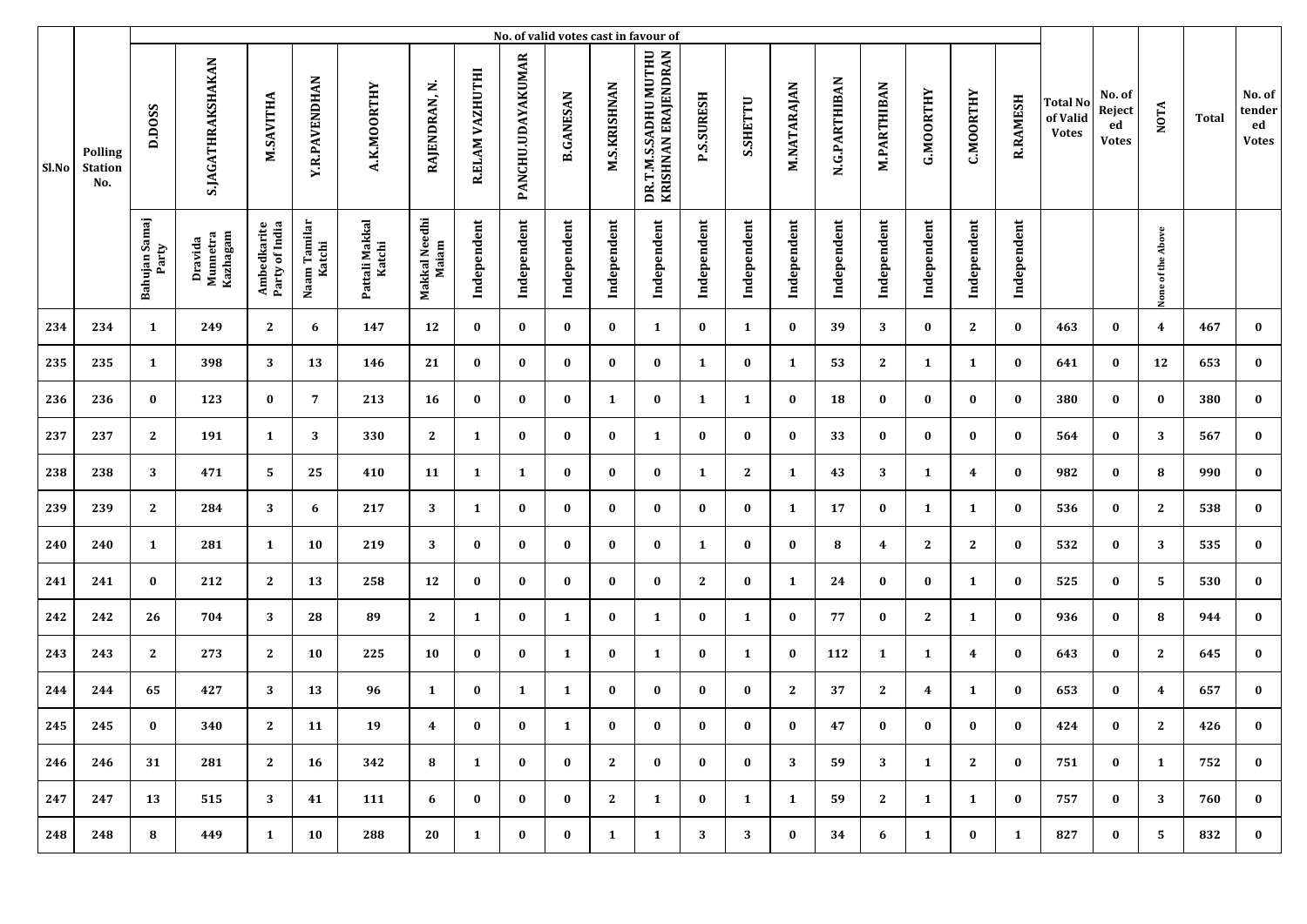|       |                                         | No. of valid votes cast in favour of |                                |                               |                        |                          |                        |                 |                          |                  |                     |                                             |                   |                 |             |               |                    |                  |                  |                 |                                             |                                        |                   |       |                                        |
|-------|-----------------------------------------|--------------------------------------|--------------------------------|-------------------------------|------------------------|--------------------------|------------------------|-----------------|--------------------------|------------------|---------------------|---------------------------------------------|-------------------|-----------------|-------------|---------------|--------------------|------------------|------------------|-----------------|---------------------------------------------|----------------------------------------|-------------------|-------|----------------------------------------|
| Sl.No | <b>Polling</b><br><b>Station</b><br>No. | D.DOSS                               | <b>S.JAGATHRAKSHAKAN</b>       | M.SAVITHA                     | <b>Y.R.PAVENDHAN</b>   | A.K.MOORTHY              | RAJENDRAN, N.          | R.ELAM VAZHUTHI | <b>PANCHU.UDAYAKUMAR</b> | <b>B.GANESAN</b> | <b>M.S.KRISHNAN</b> | KRISHNAN ERAJENDRAN<br>DR.T.M.S.SADHU MUTHU | <b>P.S.SURESH</b> | <b>S.SHETTU</b> | M.NATARAJAN | N.G.PARTHIBAN | <b>M.PARTHIBAN</b> | <b>G.MOORTHY</b> | <b>C.MOORTHY</b> | <b>R.RAMESH</b> | <b>Total No</b><br>of Valid<br><b>Votes</b> | No. of<br>Reject<br>ed<br><b>Votes</b> | <b>NOTA</b>       | Total | No. of<br>tender<br>ed<br><b>Votes</b> |
|       |                                         | Bahujan Samaj<br>Party               | Dravida<br>Mumetra<br>Kazhagam | Ambedkarite<br>Party of India | Naam Tamilar<br>Katchi | Pattali Makkal<br>Katchi | Makkal Needhi<br>Maiam | Independent     | Independent              | Independent      | Independent         | Independent                                 | Independent       | Independent     | Independent | Independent   | Independent        | Independent      | Independent      | Independent     |                                             |                                        | None of the Above |       |                                        |
| 234   | 234                                     | $\mathbf{1}$                         | 249                            | $\mathbf{2}$                  | 6                      | 147                      | 12                     | $\bf{0}$        | $\bf{0}$                 | $\bf{0}$         | $\bf{0}$            | 1                                           | $\bf{0}$          | 1               | $\bf{0}$    | 39            | 3                  | $\bf{0}$         | $\mathbf{2}$     | $\bf{0}$        | 463                                         | $\bf{0}$                               | 4                 | 467   | $\bf{0}$                               |
| 235   | 235                                     | $\mathbf{1}$                         | 398                            | 3                             | 13                     | 146                      | 21                     | $\bf{0}$        | $\bf{0}$                 | $\bf{0}$         | $\bf{0}$            | $\bf{0}$                                    | 1                 | $\bf{0}$        | 1           | 53            | $\mathbf{2}$       | 1                | 1                | $\bf{0}$        | 641                                         | $\bf{0}$                               | 12                | 653   | $\bf{0}$                               |
| 236   | 236                                     | $\bf{0}$                             | 123                            | $\bf{0}$                      | 7                      | 213                      | 16                     | $\bf{0}$        | $\bf{0}$                 | $\bf{0}$         | 1                   | $\bf{0}$                                    | $\mathbf{1}$      | $\mathbf{1}$    | $\bf{0}$    | 18            | 0                  | $\bf{0}$         | $\bf{0}$         | $\bf{0}$        | 380                                         | 0                                      | $\bf{0}$          | 380   | $\bf{0}$                               |
| 237   | 237                                     | $\mathbf{2}$                         | 191                            | $\mathbf{1}$                  | 3                      | 330                      | $\mathbf{2}$           | 1               | $\bf{0}$                 | $\bf{0}$         | 0                   | 1                                           | $\bf{0}$          | $\bf{0}$        | $\bf{0}$    | 33            | $\bf{0}$           | $\bf{0}$         | $\bf{0}$         | $\bf{0}$        | 564                                         | $\bf{0}$                               | 3                 | 567   | $\bf{0}$                               |
| 238   | 238                                     | 3                                    | 471                            | 5                             | 25                     | 410                      | 11                     | 1               | 1                        | $\bf{0}$         | $\bf{0}$            | 0                                           | 1                 | $\mathbf{2}$    | 1           | 43            | 3                  | 1                | 4                | $\bf{0}$        | 982                                         | $\bf{0}$                               | 8                 | 990   | $\bf{0}$                               |
| 239   | 239                                     | $\mathbf{2}$                         | 284                            | 3                             | 6                      | 217                      | 3                      | 1               | $\bf{0}$                 | $\bf{0}$         | $\bf{0}$            | 0                                           | $\bf{0}$          | $\bf{0}$        | 1           | 17            | 0                  | 1                | 1                | $\bf{0}$        | 536                                         | 0                                      | $\mathbf{2}$      | 538   | $\bf{0}$                               |
| 240   | 240                                     | $\mathbf{1}$                         | 281                            | $\mathbf{1}$                  | 10                     | 219                      | 3                      | $\bf{0}$        | $\bf{0}$                 | $\bf{0}$         | $\bf{0}$            | $\bf{0}$                                    | 1                 | $\bf{0}$        | $\bf{0}$    | 8             | 4                  | $\mathbf{2}$     | $\mathbf{2}$     | $\bf{0}$        | 532                                         | $\bf{0}$                               | 3                 | 535   | $\bf{0}$                               |
| 241   | 241                                     | $\bf{0}$                             | 212                            | $\mathbf{2}$                  | 13                     | 258                      | 12                     | $\bf{0}$        | $\bf{0}$                 | $\bf{0}$         | $\bf{0}$            | 0                                           | $\mathbf{2}$      | $\bf{0}$        | 1           | 24            | $\bf{0}$           | $\bf{0}$         | 1                | $\bf{0}$        | 525                                         | $\bf{0}$                               | 5                 | 530   | $\bf{0}$                               |
| 242   | 242                                     | 26                                   | 704                            | 3                             | 28                     | 89                       | $\mathbf{2}$           | 1               | $\bf{0}$                 | 1                | $\bf{0}$            | 1                                           | $\bf{0}$          | 1               | $\bf{0}$    | 77            | $\bf{0}$           | $\mathbf{2}$     | 1                | $\bf{0}$        | 936                                         | $\bf{0}$                               | 8                 | 944   | $\bf{0}$                               |
| 243   | 243                                     | $\mathbf{2}$                         | 273                            | $\mathbf{2}$                  | 10                     | 225                      | 10                     | $\bf{0}$        | $\bf{0}$                 | 1                | $\bf{0}$            | 1                                           | $\bf{0}$          | 1               | $\bf{0}$    | 112           | 1                  | 1                | 4                | $\bf{0}$        | 643                                         | $\bf{0}$                               | 2                 | 645   | $\bf{0}$                               |
| 244   | 244                                     | 65                                   | 427                            | 3                             | 13                     | 96                       | 1                      | $\bf{0}$        | 1                        | 1                | $\bf{0}$            | 0                                           | $\bf{0}$          | $\bf{0}$        | 2           | 37            | $\mathbf{2}$       | 4                | 1                | $\bf{0}$        | 653                                         | $\bf{0}$                               | 4                 | 657   | $\bf{0}$                               |
| 245   | 245                                     | $\bf{0}$                             | 340                            | $\mathbf{2}$                  | 11                     | 19                       | 4                      | $\bf{0}$        | $\bf{0}$                 | 1                | $\bf{U}$            | $\bf{0}$                                    | $\bf{0}$          | $\bf{0}$        | $\bf{0}$    | 47            | $\bf{U}$           | $\bf{0}$         | $\bf{0}$         | $\bf{0}$        | 424                                         | $\bf{0}$                               | 2                 | 426   | $\bf{0}$                               |
| 246   | 246                                     | 31                                   | 281                            | 2                             | 16                     | 342                      | 8                      | 1               | $\bf{0}$                 | $\bf{0}$         | $\mathbf{2}$        | $\bf{0}$                                    | $\bf{0}$          | $\bf{0}$        | 3           | 59            | 3                  | 1                | $\mathbf{2}$     | $\bf{0}$        | 751                                         | $\bf{0}$                               | 1                 | 752   | $\bf{0}$                               |
| 247   | 247                                     | 13                                   | 515                            | 3                             | 41                     | 111                      | 6                      | $\bf{0}$        | $\bf{0}$                 | $\bf{0}$         | $\mathbf{2}$        | 1                                           | $\bf{0}$          | $\mathbf{1}$    | 1           | 59            | $\mathbf{2}$       | 1                | 1                | $\bf{0}$        | 757                                         | $\bf{0}$                               | 3                 | 760   | $\bf{0}$                               |
| 248   | 248                                     | 8                                    | 449                            | $\mathbf{1}$                  | 10                     | 288                      | 20                     | $\mathbf{1}$    | $\bf{0}$                 | $\bf{0}$         | $\mathbf{1}$        | 1                                           | 3                 | 3               | $\bf{0}$    | 34            | 6                  | 1                | $\bf{0}$         | $\mathbf{1}$    | 827                                         | $\bf{0}$                               | $5^{\circ}$       | 832   | $\bf{0}$                               |